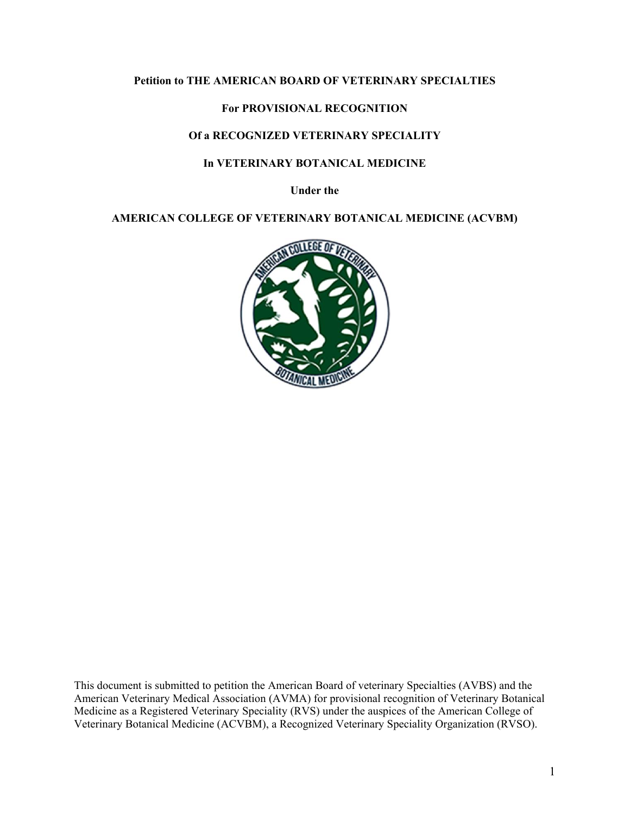#### **Petition to THE AMERICAN BOARD OF VETERINARY SPECIALTIES**

# **For PROVISIONAL RECOGNITION**

# **Of a RECOGNIZED VETERINARY SPECIALITY**

#### **In VETERINARY BOTANICAL MEDICINE**

**Under the** 

**AMERICAN COLLEGE OF VETERINARY BOTANICAL MEDICINE (ACVBM)** 



This document is submitted to petition the American Board of veterinary Specialties (AVBS) and the American Veterinary Medical Association (AVMA) for provisional recognition of Veterinary Botanical Medicine as a Registered Veterinary Speciality (RVS) under the auspices of the American College of Veterinary Botanical Medicine (ACVBM), a Recognized Veterinary Speciality Organization (RVSO).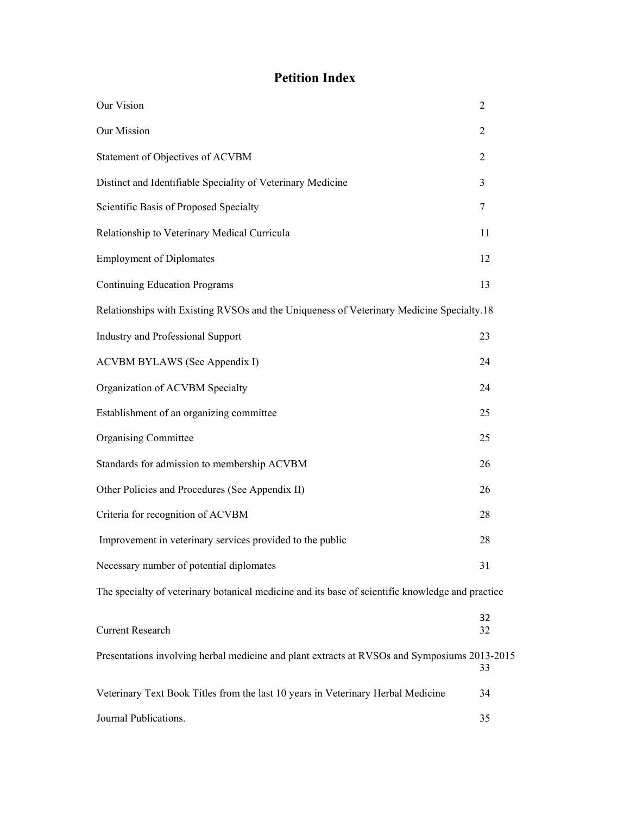# **Petition Index**

| Our Vision                                                                                       | $\overline{2}$ |  |
|--------------------------------------------------------------------------------------------------|----------------|--|
| Our Mission                                                                                      | $\overline{2}$ |  |
| Statement of Objectives of ACVBM                                                                 | $\overline{2}$ |  |
| Distinct and Identifiable Speciality of Veterinary Medicine                                      | 3              |  |
| Scientific Basis of Proposed Specialty                                                           | $\tau$         |  |
| Relationship to Veterinary Medical Curricula                                                     | 11             |  |
| <b>Employment of Diplomates</b>                                                                  | 12             |  |
| <b>Continuing Education Programs</b>                                                             | 13             |  |
| Relationships with Existing RVSOs and the Uniqueness of Veterinary Medicine Specialty.18         |                |  |
| <b>Industry and Professional Support</b>                                                         | 23             |  |
| ACVBM BYLAWS (See Appendix I)                                                                    | 24             |  |
| Organization of ACVBM Specialty                                                                  | 24             |  |
| Establishment of an organizing committee                                                         | 25             |  |
| <b>Organising Committee</b>                                                                      | 25             |  |
| Standards for admission to membership ACVBM                                                      | 26             |  |
| Other Policies and Procedures (See Appendix II)                                                  | 26             |  |
| Criteria for recognition of ACVBM                                                                | 28             |  |
| Improvement in veterinary services provided to the public                                        | 28             |  |
| Necessary number of potential diplomates                                                         | 31             |  |
| The specialty of veterinary botanical medicine and its base of scientific knowledge and practice |                |  |
| <b>Current Research</b>                                                                          | 32<br>32       |  |
| Presentations involving herbal medicine and plant extracts at RVSOs and Symposiums 2013-2015     | 33             |  |
| Veterinary Text Book Titles from the last 10 years in Veterinary Herbal Medicine                 | 34             |  |
| Journal Publications.                                                                            | 35             |  |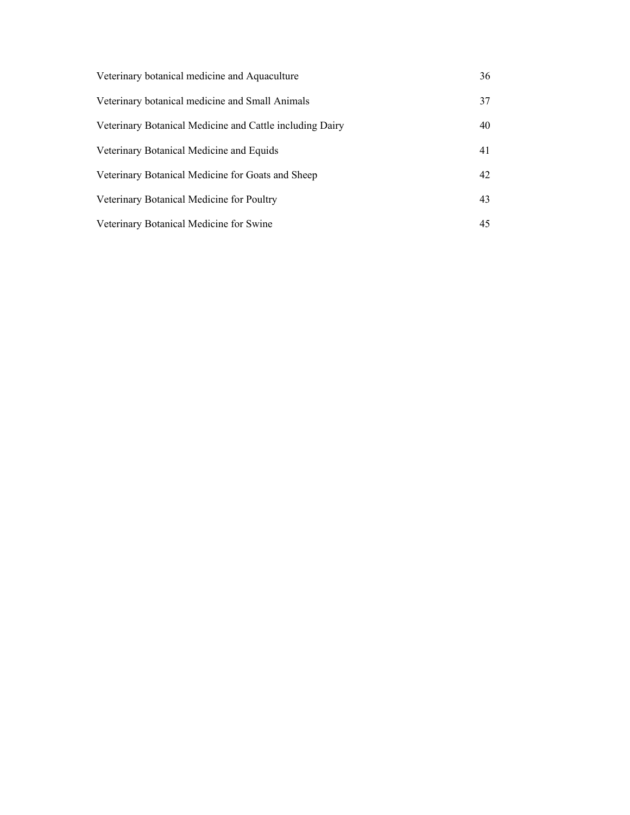| Veterinary botanical medicine and Aquaculture            | 36 |
|----------------------------------------------------------|----|
| Veterinary botanical medicine and Small Animals          | 37 |
| Veterinary Botanical Medicine and Cattle including Dairy | 40 |
| Veterinary Botanical Medicine and Equids                 | 41 |
| Veterinary Botanical Medicine for Goats and Sheep        | 42 |
| Veterinary Botanical Medicine for Poultry                | 43 |
| Veterinary Botanical Medicine for Swine                  | 45 |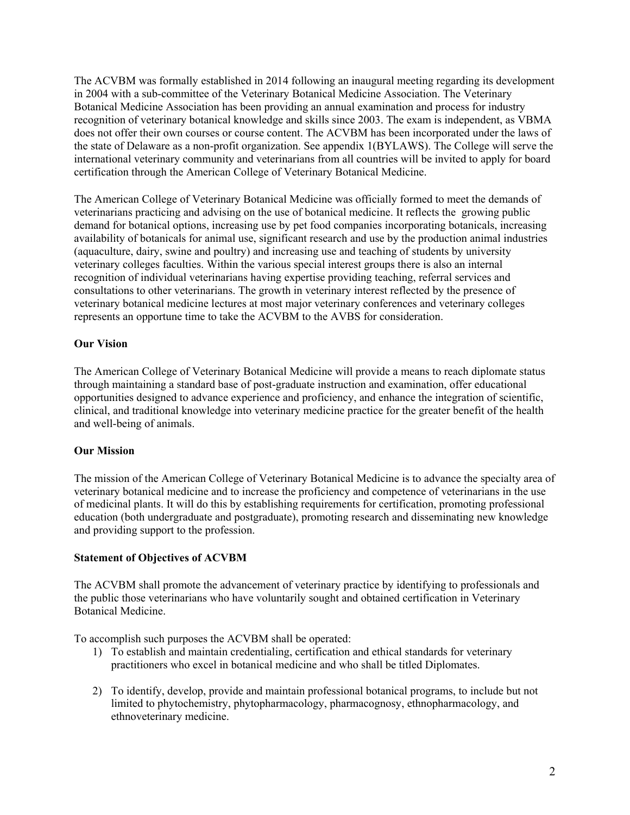The ACVBM was formally established in 2014 following an inaugural meeting regarding its development in 2004 with a sub-committee of the Veterinary Botanical Medicine Association. The Veterinary Botanical Medicine Association has been providing an annual examination and process for industry recognition of veterinary botanical knowledge and skills since 2003. The exam is independent, as VBMA does not offer their own courses or course content. The ACVBM has been incorporated under the laws of the state of Delaware as a non-profit organization. See appendix 1(BYLAWS). The College will serve the international veterinary community and veterinarians from all countries will be invited to apply for board certification through the American College of Veterinary Botanical Medicine.

The American College of Veterinary Botanical Medicine was officially formed to meet the demands of veterinarians practicing and advising on the use of botanical medicine. It reflects the growing public demand for botanical options, increasing use by pet food companies incorporating botanicals, increasing availability of botanicals for animal use, significant research and use by the production animal industries (aquaculture, dairy, swine and poultry) and increasing use and teaching of students by university veterinary colleges faculties. Within the various special interest groups there is also an internal recognition of individual veterinarians having expertise providing teaching, referral services and consultations to other veterinarians. The growth in veterinary interest reflected by the presence of veterinary botanical medicine lectures at most major veterinary conferences and veterinary colleges represents an opportune time to take the ACVBM to the AVBS for consideration.

# **Our Vision**

The American College of Veterinary Botanical Medicine will provide a means to reach diplomate status through maintaining a standard base of post-graduate instruction and examination, offer educational opportunities designed to advance experience and proficiency, and enhance the integration of scientific, clinical, and traditional knowledge into veterinary medicine practice for the greater benefit of the health and well-being of animals.

# **Our Mission**

The mission of the American College of Veterinary Botanical Medicine is to advance the specialty area of veterinary botanical medicine and to increase the proficiency and competence of veterinarians in the use of medicinal plants. It will do this by establishing requirements for certification, promoting professional education (both undergraduate and postgraduate), promoting research and disseminating new knowledge and providing support to the profession.

# **Statement of Objectives of ACVBM**

The ACVBM shall promote the advancement of veterinary practice by identifying to professionals and the public those veterinarians who have voluntarily sought and obtained certification in Veterinary Botanical Medicine.

To accomplish such purposes the ACVBM shall be operated:

- 1) To establish and maintain credentialing, certification and ethical standards for veterinary practitioners who excel in botanical medicine and who shall be titled Diplomates.
- 2) To identify, develop, provide and maintain professional botanical programs, to include but not limited to phytochemistry, phytopharmacology, pharmacognosy, ethnopharmacology, and ethnoveterinary medicine.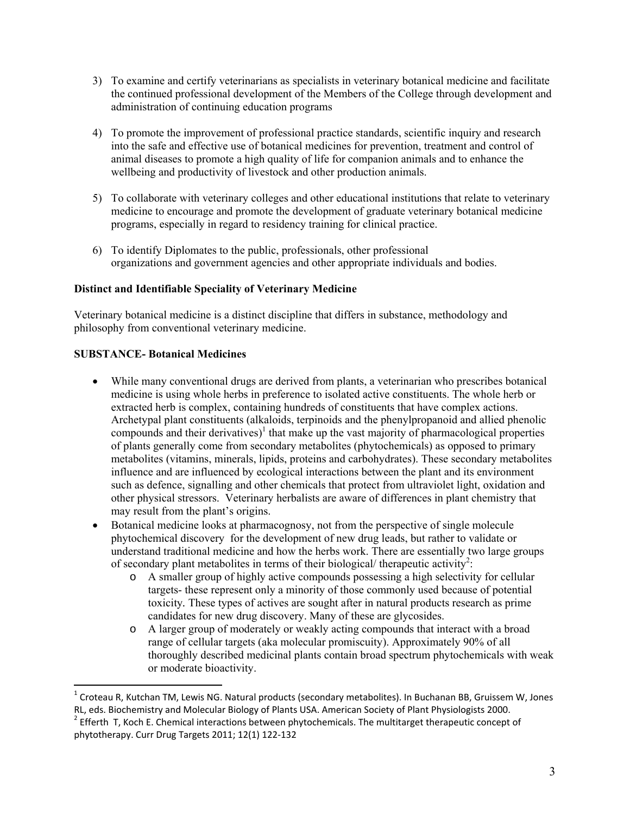- 3) To examine and certify veterinarians as specialists in veterinary botanical medicine and facilitate the continued professional development of the Members of the College through development and administration of continuing education programs
- 4) To promote the improvement of professional practice standards, scientific inquiry and research into the safe and effective use of botanical medicines for prevention, treatment and control of animal diseases to promote a high quality of life for companion animals and to enhance the wellbeing and productivity of livestock and other production animals.
- 5) To collaborate with veterinary colleges and other educational institutions that relate to veterinary medicine to encourage and promote the development of graduate veterinary botanical medicine programs, especially in regard to residency training for clinical practice.
- 6) To identify Diplomates to the public, professionals, other professional organizations and government agencies and other appropriate individuals and bodies.

# **Distinct and Identifiable Speciality of Veterinary Medicine**

Veterinary botanical medicine is a distinct discipline that differs in substance, methodology and philosophy from conventional veterinary medicine.

#### **SUBSTANCE- Botanical Medicines**

- While many conventional drugs are derived from plants, a veterinarian who prescribes botanical medicine is using whole herbs in preference to isolated active constituents. The whole herb or extracted herb is complex, containing hundreds of constituents that have complex actions. Archetypal plant constituents (alkaloids, terpinoids and the phenylpropanoid and allied phenolic compounds and their derivatives)<sup>1</sup> that make up the vast majority of pharmacological properties of plants generally come from secondary metabolites (phytochemicals) as opposed to primary metabolites (vitamins, minerals, lipids, proteins and carbohydrates). These secondary metabolites influence and are influenced by ecological interactions between the plant and its environment such as defence, signalling and other chemicals that protect from ultraviolet light, oxidation and other physical stressors. Veterinary herbalists are aware of differences in plant chemistry that may result from the plant's origins.
- Botanical medicine looks at pharmacognosy, not from the perspective of single molecule phytochemical discovery for the development of new drug leads, but rather to validate or understand traditional medicine and how the herbs work. There are essentially two large groups of secondary plant metabolites in terms of their biological/ therapeutic activity<sup>2</sup>:
	- o A smaller group of highly active compounds possessing a high selectivity for cellular targets- these represent only a minority of those commonly used because of potential toxicity*.* These types of actives are sought after in natural products research as prime candidates for new drug discovery. Many of these are glycosides.
	- o A larger group of moderately or weakly acting compounds that interact with a broad range of cellular targets (aka molecular promiscuity). Approximately 90% of all thoroughly described medicinal plants contain broad spectrum phytochemicals with weak or moderate bioactivity.

<sup>&</sup>lt;sup>1</sup> Croteau R, Kutchan TM, Lewis NG. Natural products (secondary metabolites). In Buchanan BB, Gruissem W, Jones RL, eds. Biochemistry and Molecular Biology of Plants USA. American Society of Plant Physiologists 2000. <sup>2</sup>

 $^2$  Efferth T, Koch E. Chemical interactions between phytochemicals. The multitarget therapeutic concept of phytotherapy. Curr Drug Targets 2011; 12(1) 122‐132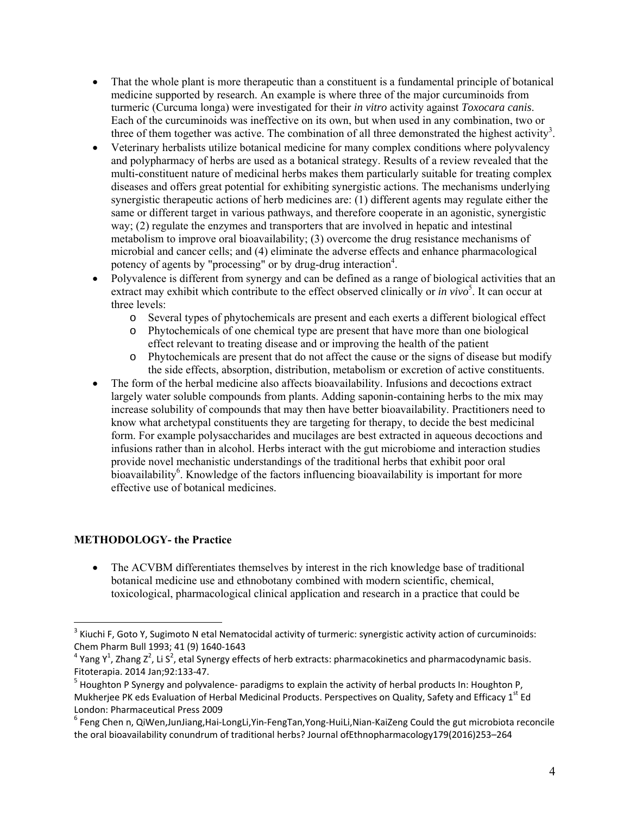- That the whole plant is more therapeutic than a constituent is a fundamental principle of botanical medicine supported by research. An example is where three of the major curcuminoids from turmeric (Curcuma longa) were investigated for their *in vitro* activity against *Toxocara canis*. Each of the curcuminoids was ineffective on its own, but when used in any combination, two or three of them together was active. The combination of all three demonstrated the highest activity<sup>3</sup>.
- Veterinary herbalists utilize botanical medicine for many complex conditions where polyvalency and polypharmacy of herbs are used as a botanical strategy. Results of a review revealed that the multi-constituent nature of medicinal herbs makes them particularly suitable for treating complex diseases and offers great potential for exhibiting synergistic actions. The mechanisms underlying synergistic therapeutic actions of herb medicines are: (1) different agents may regulate either the same or different target in various pathways, and therefore cooperate in an agonistic, synergistic way; (2) regulate the enzymes and transporters that are involved in hepatic and intestinal metabolism to improve oral bioavailability; (3) overcome the drug resistance mechanisms of microbial and cancer cells; and (4) eliminate the adverse effects and enhance pharmacological potency of agents by "processing" or by drug-drug interaction<sup>4</sup>.
- Polyvalence is different from synergy and can be defined as a range of biological activities that an extract may exhibit which contribute to the effect observed clinically or *in vivo*<sup>5</sup>. It can occur at three levels:
	- o Several types of phytochemicals are present and each exerts a different biological effect
	- o Phytochemicals of one chemical type are present that have more than one biological effect relevant to treating disease and or improving the health of the patient
	- o Phytochemicals are present that do not affect the cause or the signs of disease but modify the side effects, absorption, distribution, metabolism or excretion of active constituents.
- The form of the herbal medicine also affects bioavailability. Infusions and decoctions extract largely water soluble compounds from plants. Adding saponin-containing herbs to the mix may increase solubility of compounds that may then have better bioavailability. Practitioners need to know what archetypal constituents they are targeting for therapy, to decide the best medicinal form. For example polysaccharides and mucilages are best extracted in aqueous decoctions and infusions rather than in alcohol. Herbs interact with the gut microbiome and interaction studies provide novel mechanistic understandings of the traditional herbs that exhibit poor oral bioavailability<sup>6</sup>. Knowledge of the factors influencing bioavailability is important for more effective use of botanical medicines.

# **METHODOLOGY- the Practice**

 The ACVBM differentiates themselves by interest in the rich knowledge base of traditional botanical medicine use and ethnobotany combined with modern scientific, chemical, toxicological, pharmacological clinical application and research in a practice that could be

 $3$  Kiuchi F, Goto Y, Sugimoto N etal Nematocidal activity of turmeric: synergistic activity action of curcuminoids: Chem Pharm Bull 1993; 41 (9) 1640‐1643

<sup>&</sup>lt;sup>4</sup> Yang Y<sup>1</sup>, Zhang Z<sup>2</sup>, Li S<sup>2</sup>, etal Synergy effects of herb extracts: pharmacokinetics and pharmacodynamic basis. Fitoterapia. 2014 Jan;92:133‐47.

<sup>&</sup>lt;sup>5</sup> Houghton P Synergy and polyvalence- paradigms to explain the activity of herbal products In: Houghton P, Mukherjee PK eds Evaluation of Herbal Medicinal Products. Perspectives on Quality, Safety and Efficacy 1st Ed London: Pharmaceutical Press 2009

<sup>6</sup> Feng Chen n, QiWen,JunJiang,Hai‐LongLi,Yin‐FengTan,Yong‐HuiLi,Nian‐KaiZeng Could the gut microbiota reconcile the oral bioavailability conundrum of traditional herbs? Journal ofEthnopharmacology179(2016)253–264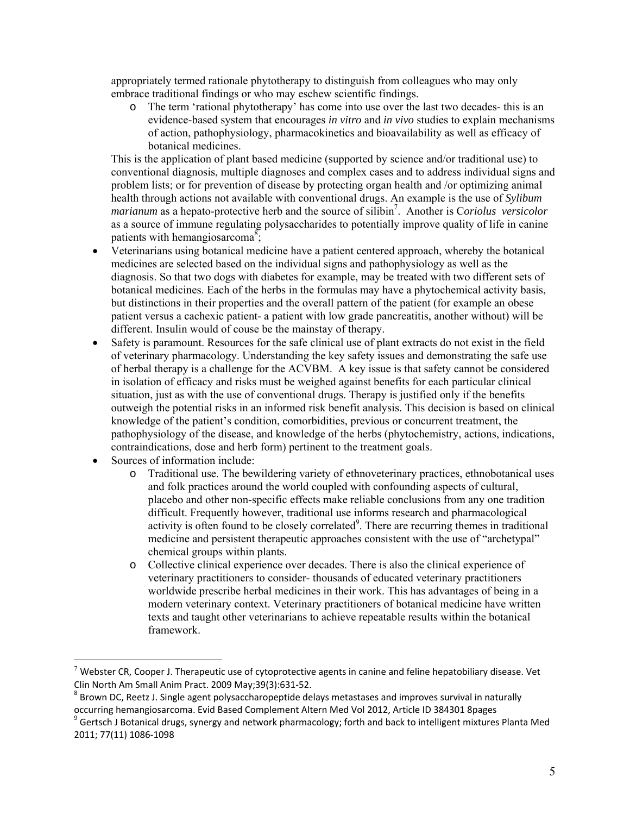appropriately termed rationale phytotherapy to distinguish from colleagues who may only embrace traditional findings or who may eschew scientific findings.

o The term 'rational phytotherapy' has come into use over the last two decades- this is an evidence-based system that encourages *in vitro* and *in vivo* studies to explain mechanisms of action, pathophysiology, pharmacokinetics and bioavailability as well as efficacy of botanical medicines.

This is the application of plant based medicine (supported by science and/or traditional use) to conventional diagnosis, multiple diagnoses and complex cases and to address individual signs and problem lists; or for prevention of disease by protecting organ health and /or optimizing animal health through actions not available with conventional drugs. An example is the use of *Sylibum marianum* as a hepato-protective herb and the source of silibin7 . Another is C*oriolus versicolor* as a source of immune regulating polysaccharides to potentially improve quality of life in canine patients with hemangiosarcoma<sup>8</sup>;

- Veterinarians using botanical medicine have a patient centered approach, whereby the botanical medicines are selected based on the individual signs and pathophysiology as well as the diagnosis. So that two dogs with diabetes for example, may be treated with two different sets of botanical medicines. Each of the herbs in the formulas may have a phytochemical activity basis, but distinctions in their properties and the overall pattern of the patient (for example an obese patient versus a cachexic patient- a patient with low grade pancreatitis, another without) will be different. Insulin would of couse be the mainstay of therapy.
- Safety is paramount. Resources for the safe clinical use of plant extracts do not exist in the field of veterinary pharmacology. Understanding the key safety issues and demonstrating the safe use of herbal therapy is a challenge for the ACVBM. A key issue is that safety cannot be considered in isolation of efficacy and risks must be weighed against benefits for each particular clinical situation, just as with the use of conventional drugs. Therapy is justified only if the benefits outweigh the potential risks in an informed risk benefit analysis. This decision is based on clinical knowledge of the patient's condition, comorbidities, previous or concurrent treatment, the pathophysiology of the disease, and knowledge of the herbs (phytochemistry, actions, indications, contraindications, dose and herb form) pertinent to the treatment goals.
- Sources of information include:

- o Traditional use. The bewildering variety of ethnoveterinary practices, ethnobotanical uses and folk practices around the world coupled with confounding aspects of cultural, placebo and other non-specific effects make reliable conclusions from any one tradition difficult. Frequently however, traditional use informs research and pharmacological activity is often found to be closely correlated<sup>9</sup>. There are recurring themes in traditional medicine and persistent therapeutic approaches consistent with the use of "archetypal" chemical groups within plants.
- o Collective clinical experience over decades. There is also the clinical experience of veterinary practitioners to consider- thousands of educated veterinary practitioners worldwide prescribe herbal medicines in their work. This has advantages of being in a modern veterinary context. Veterinary practitioners of botanical medicine have written texts and taught other veterinarians to achieve repeatable results within the botanical framework.

 $^7$  Webster CR, Cooper J. Therapeutic use of cytoprotective agents in canine and feline hepatobiliary disease. Vet Clin North Am Small Anim Pract. 2009 May; 39(3): 631-52.

<sup>&</sup>lt;sup>8</sup> Brown DC, Reetz J. Single agent polysaccharopeptide delays metastases and improves survival in naturally occurring hemangiosarcoma. Evid Based Complement Altern Med Vol 2012, Article ID 384301 8pages

<sup>&</sup>lt;sup>9</sup> Gertsch J Botanical drugs, synergy and network pharmacology; forth and back to intelligent mixtures Planta Med 2011; 77(11) 1086‐1098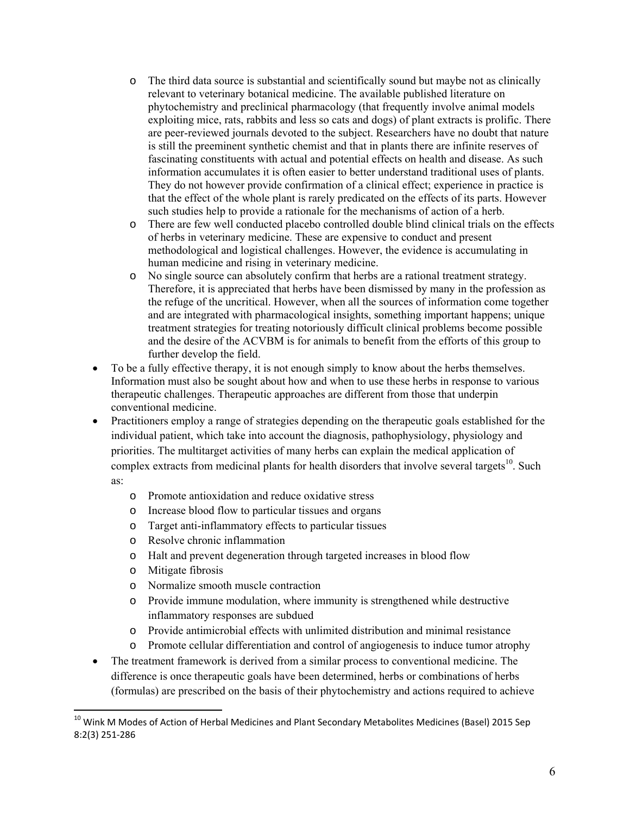- o The third data source is substantial and scientifically sound but maybe not as clinically relevant to veterinary botanical medicine. The available published literature on phytochemistry and preclinical pharmacology (that frequently involve animal models exploiting mice, rats, rabbits and less so cats and dogs) of plant extracts is prolific. There are peer-reviewed journals devoted to the subject. Researchers have no doubt that nature is still the preeminent synthetic chemist and that in plants there are infinite reserves of fascinating constituents with actual and potential effects on health and disease. As such information accumulates it is often easier to better understand traditional uses of plants. They do not however provide confirmation of a clinical effect; experience in practice is that the effect of the whole plant is rarely predicated on the effects of its parts. However such studies help to provide a rationale for the mechanisms of action of a herb.
- o There are few well conducted placebo controlled double blind clinical trials on the effects of herbs in veterinary medicine. These are expensive to conduct and present methodological and logistical challenges. However, the evidence is accumulating in human medicine and rising in veterinary medicine.
- o No single source can absolutely confirm that herbs are a rational treatment strategy. Therefore, it is appreciated that herbs have been dismissed by many in the profession as the refuge of the uncritical. However, when all the sources of information come together and are integrated with pharmacological insights, something important happens; unique treatment strategies for treating notoriously difficult clinical problems become possible and the desire of the ACVBM is for animals to benefit from the efforts of this group to further develop the field.
- To be a fully effective therapy, it is not enough simply to know about the herbs themselves. Information must also be sought about how and when to use these herbs in response to various therapeutic challenges. Therapeutic approaches are different from those that underpin conventional medicine.
- Practitioners employ a range of strategies depending on the therapeutic goals established for the individual patient, which take into account the diagnosis, pathophysiology, physiology and priorities. The multitarget activities of many herbs can explain the medical application of complex extracts from medicinal plants for health disorders that involve several targets<sup>10</sup>. Such

as:

- o Promote antioxidation and reduce oxidative stress
- o Increase blood flow to particular tissues and organs
- o Target anti-inflammatory effects to particular tissues
- o Resolve chronic inflammation
- o Halt and prevent degeneration through targeted increases in blood flow
- o Mitigate fibrosis

- o Normalize smooth muscle contraction
- o Provide immune modulation, where immunity is strengthened while destructive inflammatory responses are subdued
- o Provide antimicrobial effects with unlimited distribution and minimal resistance
- o Promote cellular differentiation and control of angiogenesis to induce tumor atrophy
- The treatment framework is derived from a similar process to conventional medicine. The difference is once therapeutic goals have been determined, herbs or combinations of herbs (formulas) are prescribed on the basis of their phytochemistry and actions required to achieve

 $^{10}$  Wink M Modes of Action of Herbal Medicines and Plant Secondary Metabolites Medicines (Basel) 2015 Sep 8:2(3) 251‐286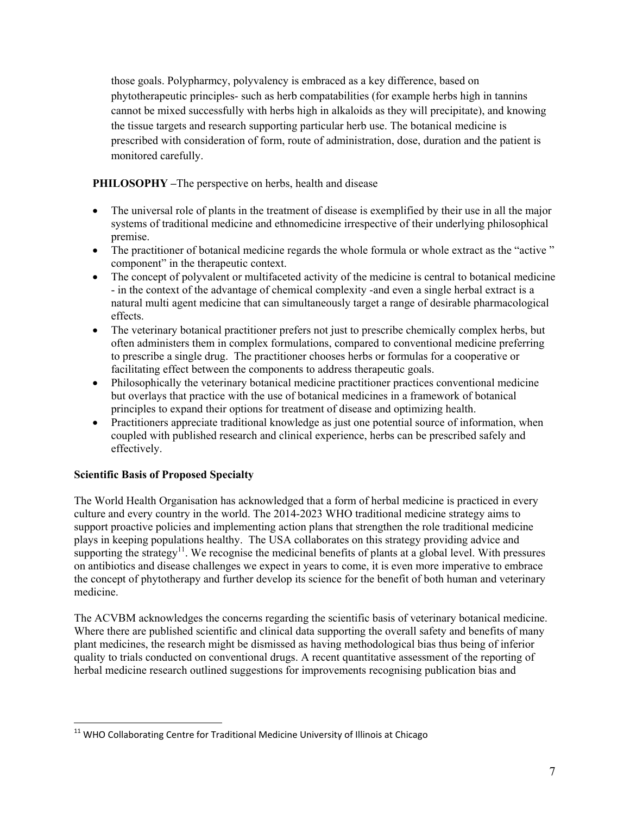those goals. Polypharmcy, polyvalency is embraced as a key difference, based on phytotherapeutic principles- such as herb compatabilities (for example herbs high in tannins cannot be mixed successfully with herbs high in alkaloids as they will precipitate), and knowing the tissue targets and research supporting particular herb use. The botanical medicine is prescribed with consideration of form, route of administration, dose, duration and the patient is monitored carefully.

**PHILOSOPHY –**The perspective on herbs, health and disease

- The universal role of plants in the treatment of disease is exemplified by their use in all the major systems of traditional medicine and ethnomedicine irrespective of their underlying philosophical premise.
- The practitioner of botanical medicine regards the whole formula or whole extract as the "active" component" in the therapeutic context.
- The concept of polyvalent or multifaceted activity of the medicine is central to botanical medicine - in the context of the advantage of chemical complexity -and even a single herbal extract is a natural multi agent medicine that can simultaneously target a range of desirable pharmacological effects.
- The veterinary botanical practitioner prefers not just to prescribe chemically complex herbs, but often administers them in complex formulations, compared to conventional medicine preferring to prescribe a single drug. The practitioner chooses herbs or formulas for a cooperative or facilitating effect between the components to address therapeutic goals.
- Philosophically the veterinary botanical medicine practitioner practices conventional medicine but overlays that practice with the use of botanical medicines in a framework of botanical principles to expand their options for treatment of disease and optimizing health.
- Practitioners appreciate traditional knowledge as just one potential source of information, when coupled with published research and clinical experience, herbs can be prescribed safely and effectively.

# **Scientific Basis of Proposed Specialty**

The World Health Organisation has acknowledged that a form of herbal medicine is practiced in every culture and every country in the world. The 2014-2023 WHO traditional medicine strategy aims to support proactive policies and implementing action plans that strengthen the role traditional medicine plays in keeping populations healthy. The USA collaborates on this strategy providing advice and supporting the strategy<sup>11</sup>. We recognise the medicinal benefits of plants at a global level. With pressures on antibiotics and disease challenges we expect in years to come, it is even more imperative to embrace the concept of phytotherapy and further develop its science for the benefit of both human and veterinary medicine.

The ACVBM acknowledges the concerns regarding the scientific basis of veterinary botanical medicine. Where there are published scientific and clinical data supporting the overall safety and benefits of many plant medicines, the research might be dismissed as having methodological bias thus being of inferior quality to trials conducted on conventional drugs. A recent quantitative assessment of the reporting of herbal medicine research outlined suggestions for improvements recognising publication bias and

 <sup>11</sup> WHO Collaborating Centre for Traditional Medicine University of Illinois at Chicago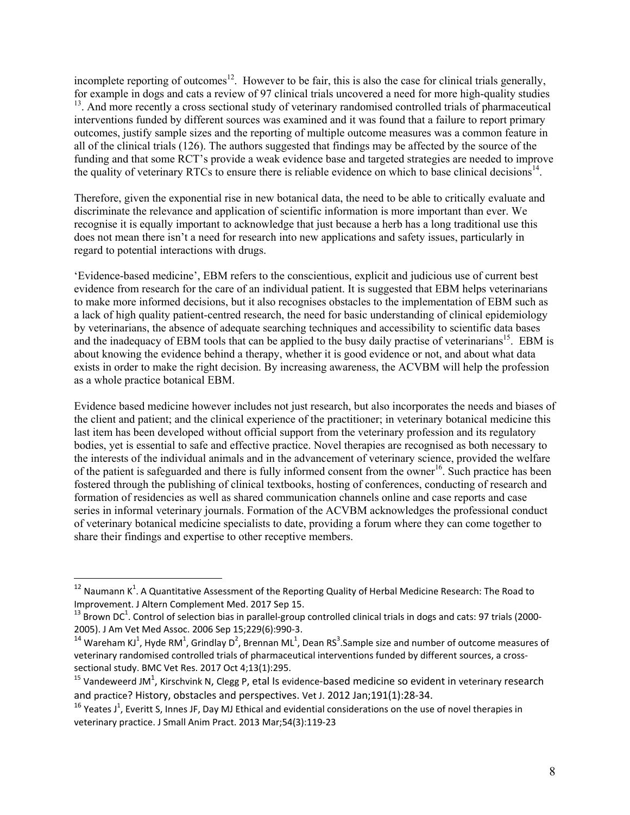incomplete reporting of outcomes<sup>12</sup>. However to be fair, this is also the case for clinical trials generally, for example in dogs and cats a review of 97 clinical trials uncovered a need for more high-quality studies <sup>13</sup>. And more recently a cross sectional study of veterinary randomised controlled trials of pharmaceutical interventions funded by different sources was examined and it was found that a failure to report primary outcomes, justify sample sizes and the reporting of multiple outcome measures was a common feature in all of the clinical trials (126). The authors suggested that findings may be affected by the source of the funding and that some RCT's provide a weak evidence base and targeted strategies are needed to improve the quality of veterinary RTCs to ensure there is reliable evidence on which to base clinical decisions<sup>14</sup>.

Therefore, given the exponential rise in new botanical data, the need to be able to critically evaluate and discriminate the relevance and application of scientific information is more important than ever. We recognise it is equally important to acknowledge that just because a herb has a long traditional use this does not mean there isn't a need for research into new applications and safety issues, particularly in regard to potential interactions with drugs.

'Evidence-based medicine', EBM refers to the conscientious, explicit and judicious use of current best evidence from research for the care of an individual patient. It is suggested that EBM helps veterinarians to make more informed decisions, but it also recognises obstacles to the implementation of EBM such as a lack of high quality patient-centred research, the need for basic understanding of clinical epidemiology by veterinarians, the absence of adequate searching techniques and accessibility to scientific data bases and the inadequacy of EBM tools that can be applied to the busy daily practise of veterinarians<sup>15</sup>. EBM is about knowing the evidence behind a therapy, whether it is good evidence or not, and about what data exists in order to make the right decision. By increasing awareness, the ACVBM will help the profession as a whole practice botanical EBM.

Evidence based medicine however includes not just research, but also incorporates the needs and biases of the client and patient; and the clinical experience of the practitioner; in veterinary botanical medicine this last item has been developed without official support from the veterinary profession and its regulatory bodies, yet is essential to safe and effective practice. Novel therapies are recognised as both necessary to the interests of the individual animals and in the advancement of veterinary science, provided the welfare of the patient is safeguarded and there is fully informed consent from the owner<sup>16</sup>. Such practice has been fostered through the publishing of clinical textbooks, hosting of conferences, conducting of research and formation of residencies as well as shared communication channels online and case reports and case series in informal veterinary journals. Formation of the ACVBM acknowledges the professional conduct of veterinary botanical medicine specialists to date, providing a forum where they can come together to share their findings and expertise to other receptive members.

 $^{12}$  Naumann K<sup>1</sup>. A Quantitative Assessment of the Reporting Quality of Herbal Medicine Research: The Road to

Improvement. J Altern Complement Med. 2017 Sep 15.<br><sup>13</sup> Brown DC<sup>1</sup>. Control of selection bias in parallel-group controlled clinical trials in dogs and cats: 97 trials (2000-2005). J Am Vet Med Assoc. 2006 Sep 15;229(6):990‐3.

<sup>&</sup>lt;sup>14</sup> Wareham KJ<sup>1</sup>, Hyde RM<sup>1</sup>, Grindlay D<sup>2</sup>, Brennan ML<sup>1</sup>, Dean RS<sup>3</sup>.Sample size and number of outcome measures of veterinary randomised controlled trials of pharmaceutical interventions funded by different sources, a crosssectional study. BMC Vet Res. 2017 Oct 4;13(1):295.

<sup>&</sup>lt;sup>15</sup> Vandeweerd JM<sup>1</sup>, Kirschvink N, Clegg P, etal Is evidence-based medicine so evident in veterinary research and practice? History, obstacles and perspectives. Vet J. 2012 Jan;191(1):28‐34.

<sup>&</sup>lt;sup>16</sup> Yeates J<sup>1</sup>, Everitt S, Innes JF, Day MJ Ethical and evidential considerations on the use of novel therapies in veterinary practice. J Small Anim Pract. 2013 Mar;54(3):119‐23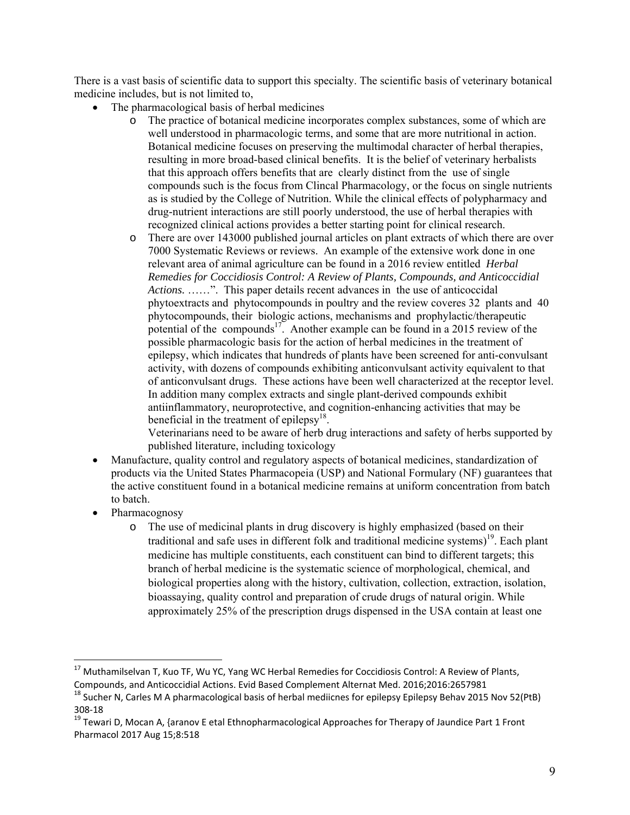There is a vast basis of scientific data to support this specialty. The scientific basis of veterinary botanical medicine includes, but is not limited to,

- The pharmacological basis of herbal medicines
	- o The practice of botanical medicine incorporates complex substances, some of which are well understood in pharmacologic terms, and some that are more nutritional in action. Botanical medicine focuses on preserving the multimodal character of herbal therapies, resulting in more broad-based clinical benefits. It is the belief of veterinary herbalists that this approach offers benefits that are clearly distinct from the use of single compounds such is the focus from Clincal Pharmacology, or the focus on single nutrients as is studied by the College of Nutrition. While the clinical effects of polypharmacy and drug-nutrient interactions are still poorly understood, the use of herbal therapies with recognized clinical actions provides a better starting point for clinical research.
	- o There are over 143000 published journal articles on plant extracts of which there are over 7000 Systematic Reviews or reviews. An example of the extensive work done in one relevant area of animal agriculture can be found in a 2016 review entitled *Herbal Remedies for Coccidiosis Control: A Review of Plants, Compounds, and Anticoccidial Actions.* ……". This paper details recent advances in the use of anticoccidal phytoextracts and phytocompounds in poultry and the review coveres 32 plants and 40 phytocompounds, their biologic actions, mechanisms and prophylactic/therapeutic potential of the compounds<sup>17</sup>. Another example can be found in a 2015 review of the possible pharmacologic basis for the action of herbal medicines in the treatment of epilepsy, which indicates that hundreds of plants have been screened for anti-convulsant activity, with dozens of compounds exhibiting anticonvulsant activity equivalent to that of anticonvulsant drugs. These actions have been well characterized at the receptor level. In addition many complex extracts and single plant-derived compounds exhibit antiinflammatory, neuroprotective, and cognition-enhancing activities that may be beneficial in the treatment of epilepsy<sup>18</sup>.

Veterinarians need to be aware of herb drug interactions and safety of herbs supported by published literature, including toxicology

- Manufacture, quality control and regulatory aspects of botanical medicines, standardization of products via the United States Pharmacopeia (USP) and National Formulary (NF) guarantees that the active constituent found in a botanical medicine remains at uniform concentration from batch to batch.
- Pharmacognosy

o The use of medicinal plants in drug discovery is highly emphasized (based on their traditional and safe uses in different folk and traditional medicine systems)<sup>19</sup>. Each plant medicine has multiple constituents, each constituent can bind to different targets; this branch of herbal medicine is the systematic science of morphological, chemical, and biological properties along with the history, cultivation, collection, extraction, isolation, bioassaying, quality control and preparation of crude drugs of natural origin. While approximately 25% of the prescription drugs dispensed in the USA contain at least one

<sup>&</sup>lt;sup>17</sup> Muthamilselvan T, Kuo TF, Wu YC, Yang WC Herbal Remedies for Coccidiosis Control: A Review of Plants,<br>Compounds, and Anticoccidial Actions. Evid Based Complement Alternat Med. 2016;2016:2657981

<sup>&</sup>lt;sup>18</sup> Sucher N, Carles M A pharmacological basis of herbal mediicnes for epilepsy Epilepsy Behav 2015 Nov 52(PtB) 308‐18

<sup>19</sup> Tewari D, Mocan A, {aranov E etal Ethnopharmacological Approaches for Therapy of Jaundice Part 1 Front Pharmacol 2017 Aug 15;8:518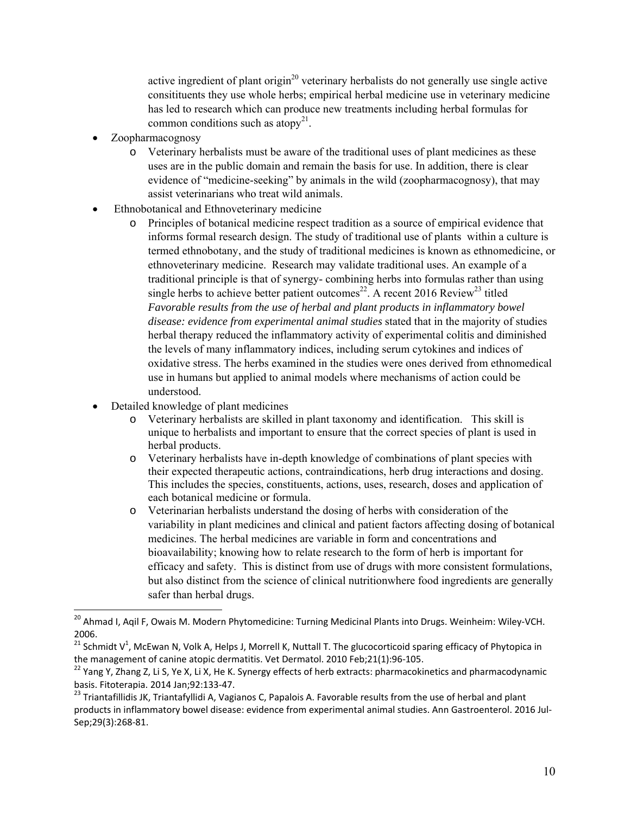active ingredient of plant origin<sup>20</sup> veterinary herbalists do not generally use single active consitituents they use whole herbs; empirical herbal medicine use in veterinary medicine has led to research which can produce new treatments including herbal formulas for common conditions such as atopy<sup>21</sup>.

- Zoopharmacognosy
	- o Veterinary herbalists must be aware of the traditional uses of plant medicines as these uses are in the public domain and remain the basis for use. In addition, there is clear evidence of "medicine-seeking" by animals in the wild (zoopharmacognosy), that may assist veterinarians who treat wild animals.
- Ethnobotanical and Ethnoveterinary medicine
	- o Principles of botanical medicine respect tradition as a source of empirical evidence that informs formal research design. The study of traditional use of plants within a culture is termed ethnobotany, and the study of traditional medicines is known as ethnomedicine, or ethnoveterinary medicine. Research may validate traditional uses. An example of a traditional principle is that of synergy- combining herbs into formulas rather than using single herbs to achieve better patient outcomes<sup>22</sup>. A recent 2016 Review<sup>23</sup> titled *Favorable results from the use of herbal and plant products in inflammatory bowel disease: evidence from experimental animal studies* stated that in the majority of studies herbal therapy reduced the inflammatory activity of experimental colitis and diminished the levels of many inflammatory indices, including serum cytokines and indices of oxidative stress. The herbs examined in the studies were ones derived from ethnomedical use in humans but applied to animal models where mechanisms of action could be understood.
- Detailed knowledge of plant medicines

- o Veterinary herbalists are skilled in plant taxonomy and identification. This skill is unique to herbalists and important to ensure that the correct species of plant is used in herbal products.
- o Veterinary herbalists have in-depth knowledge of combinations of plant species with their expected therapeutic actions, contraindications, herb drug interactions and dosing. This includes the species, constituents, actions, uses, research, doses and application of each botanical medicine or formula.
- o Veterinarian herbalists understand the dosing of herbs with consideration of the variability in plant medicines and clinical and patient factors affecting dosing of botanical medicines. The herbal medicines are variable in form and concentrations and bioavailability; knowing how to relate research to the form of herb is important for efficacy and safety. This is distinct from use of drugs with more consistent formulations, but also distinct from the science of clinical nutritionwhere food ingredients are generally safer than herbal drugs.

<sup>&</sup>lt;sup>20</sup> Ahmad I, Aqil F, Owais M. Modern Phytomedicine: Turning Medicinal Plants into Drugs. Weinheim: Wiley-VCH. 2006.

<sup>&</sup>lt;sup>21</sup> Schmidt V<sup>1</sup>, McEwan N, Volk A, Helps J, Morrell K, Nuttall T. The glucocorticoid sparing efficacy of Phytopica in

the management of canine atopic dermatitis. Vet Dermatol. 2010 Feb;21(1):96-105.<br><sup>22</sup> Yang Y, Zhang Z, Li S, Ye X, Li X, He K. Synergy effects of herb extracts: pharmacokinetics and pharmacodynamic<br>basis. Fitoterapia. 2014

<sup>&</sup>lt;sup>23</sup> Triantafillidis JK, Triantafyllidi A, Vagianos C, Papalois A. Favorable results from the use of herbal and plant products in inflammatory bowel disease: evidence from experimental animal studies. Ann Gastroenterol. 2016 Jul‐ Sep;29(3):268‐81.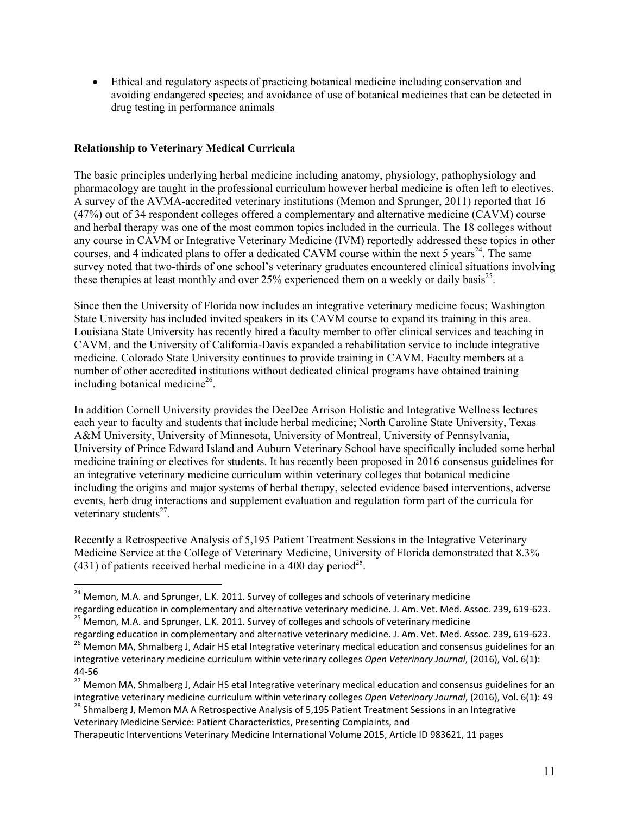Ethical and regulatory aspects of practicing botanical medicine including conservation and avoiding endangered species; and avoidance of use of botanical medicines that can be detected in drug testing in performance animals

### **Relationship to Veterinary Medical Curricula**

The basic principles underlying herbal medicine including anatomy, physiology, pathophysiology and pharmacology are taught in the professional curriculum however herbal medicine is often left to electives. A survey of the AVMA-accredited veterinary institutions (Memon and Sprunger, 2011) reported that 16 (47%) out of 34 respondent colleges offered a complementary and alternative medicine (CAVM) course and herbal therapy was one of the most common topics included in the curricula. The 18 colleges without any course in CAVM or Integrative Veterinary Medicine (IVM) reportedly addressed these topics in other courses, and 4 indicated plans to offer a dedicated CAVM course within the next 5 years<sup>24</sup>. The same survey noted that two-thirds of one school's veterinary graduates encountered clinical situations involving these therapies at least monthly and over 25% experienced them on a weekly or daily basis<sup>25</sup>.

Since then the University of Florida now includes an integrative veterinary medicine focus; Washington State University has included invited speakers in its CAVM course to expand its training in this area. Louisiana State University has recently hired a faculty member to offer clinical services and teaching in CAVM, and the University of California-Davis expanded a rehabilitation service to include integrative medicine. Colorado State University continues to provide training in CAVM. Faculty members at a number of other accredited institutions without dedicated clinical programs have obtained training including botanical medicine<sup>26</sup>.

In addition Cornell University provides the DeeDee Arrison Holistic and Integrative Wellness lectures each year to faculty and students that include herbal medicine; North Caroline State University, Texas A&M University, University of Minnesota, University of Montreal, University of Pennsylvania, University of Prince Edward Island and Auburn Veterinary School have specifically included some herbal medicine training or electives for students. It has recently been proposed in 2016 consensus guidelines for an integrative veterinary medicine curriculum within veterinary colleges that botanical medicine including the origins and major systems of herbal therapy, selected evidence based interventions, adverse events, herb drug interactions and supplement evaluation and regulation form part of the curricula for veterinary students<sup>27</sup>.

Recently a Retrospective Analysis of 5,195 Patient Treatment Sessions in the Integrative Veterinary Medicine Service at the College of Veterinary Medicine, University of Florida demonstrated that 8.3%  $(431)$  of patients received herbal medicine in a 400 day period<sup>28</sup>.

Veterinary Medicine Service: Patient Characteristics, Presenting Complaints, and

  $^{24}$  Memon, M.A. and Sprunger, L.K. 2011. Survey of colleges and schools of veterinary medicine

regarding education in complementary and alternative veterinary medicine. J. Am. Vet. Med. Assoc. 239, 619-623.<br><sup>25</sup> Memon, M.A. and Sprunger, L.K. 2011. Survey of colleges and schools of veterinary medicine<br>regarding educ

<sup>&</sup>lt;sup>26</sup> Memon MA, Shmalberg J, Adair HS etal Integrative veterinary medical education and consensus guidelines for an integrative veterinary medicine curriculum within veterinary colleges *Open Veterinary Journal*, (2016), Vol. 6(1):

<sup>44‐56</sup> <sup>27</sup> Memon MA, Shmalberg J, Adair HS etal Integrative veterinary medical education and consensus guidelines for an integrative veterinary medicine curriculum within veterinary colleges Open Veterinary Journal, (2016), Vol. 6(1): 49<br><sup>28</sup> Shmalberg J, Memon MA A Retrospective Analysis of 5,195 Patient Treatment Sessions in an Integrative

Therapeutic Interventions Veterinary Medicine International Volume 2015, Article ID 983621, 11 pages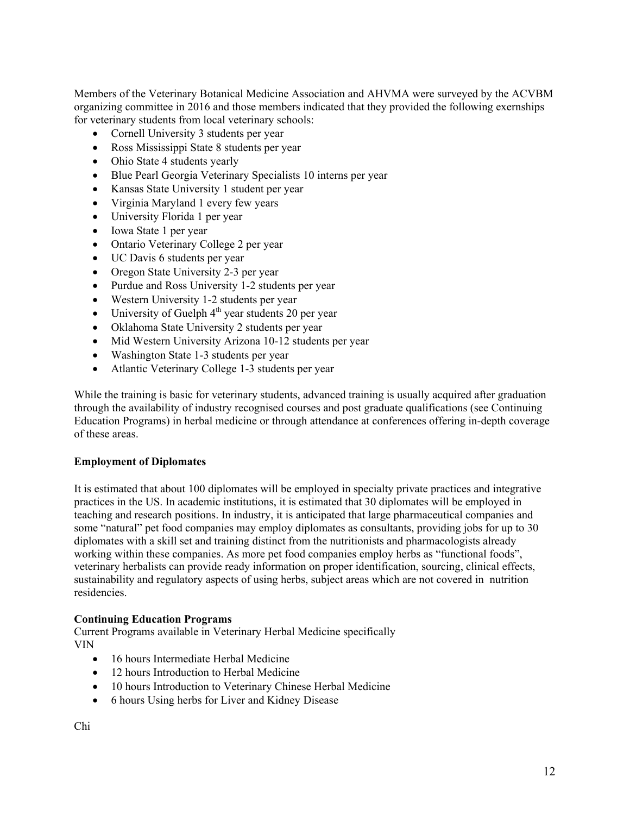Members of the Veterinary Botanical Medicine Association and AHVMA were surveyed by the ACVBM organizing committee in 2016 and those members indicated that they provided the following exernships for veterinary students from local veterinary schools:

- Cornell University 3 students per year
- Ross Mississippi State 8 students per year
- Ohio State 4 students yearly
- Blue Pearl Georgia Veterinary Specialists 10 interns per year
- Kansas State University 1 student per year
- Virginia Maryland 1 every few years
- University Florida 1 per year
- Iowa State 1 per year
- Ontario Veterinary College 2 per year
- UC Davis 6 students per year
- Oregon State University 2-3 per year
- Purdue and Ross University 1-2 students per year
- Western University 1-2 students per year
- $\bullet$  University of Guelph  $4<sup>th</sup>$  year students 20 per year
- Oklahoma State University 2 students per year
- Mid Western University Arizona 10-12 students per year
- Washington State 1-3 students per year
- Atlantic Veterinary College 1-3 students per year

While the training is basic for veterinary students, advanced training is usually acquired after graduation through the availability of industry recognised courses and post graduate qualifications (see Continuing Education Programs) in herbal medicine or through attendance at conferences offering in-depth coverage of these areas.

#### **Employment of Diplomates**

It is estimated that about 100 diplomates will be employed in specialty private practices and integrative practices in the US. In academic institutions, it is estimated that 30 diplomates will be employed in teaching and research positions. In industry, it is anticipated that large pharmaceutical companies and some "natural" pet food companies may employ diplomates as consultants, providing jobs for up to 30 diplomates with a skill set and training distinct from the nutritionists and pharmacologists already working within these companies. As more pet food companies employ herbs as "functional foods", veterinary herbalists can provide ready information on proper identification, sourcing, clinical effects, sustainability and regulatory aspects of using herbs, subject areas which are not covered in nutrition residencies.

#### **Continuing Education Programs**

Current Programs available in Veterinary Herbal Medicine specifically VIN

- 16 hours Intermediate Herbal Medicine
- 12 hours Introduction to Herbal Medicine
- 10 hours Introduction to Veterinary Chinese Herbal Medicine
- 6 hours Using herbs for Liver and Kidney Disease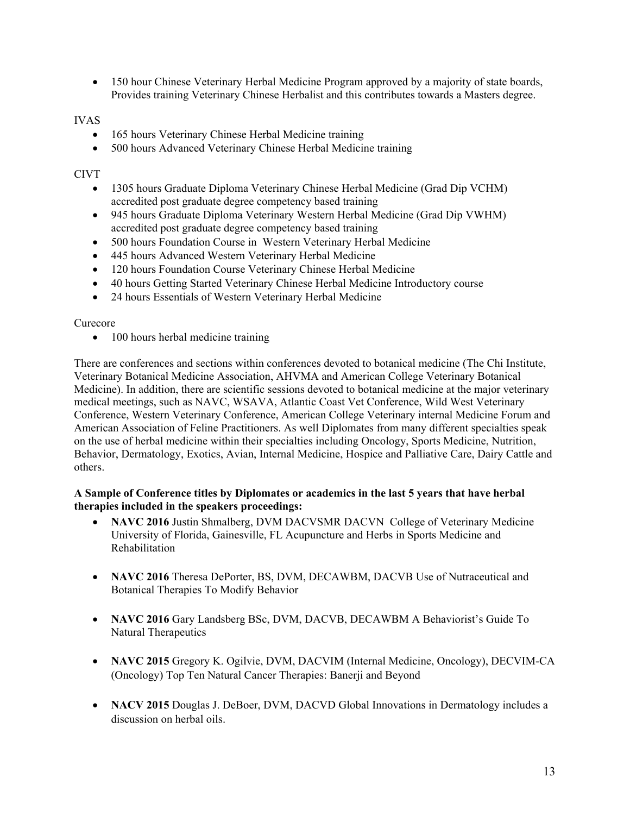150 hour Chinese Veterinary Herbal Medicine Program approved by a majority of state boards, Provides training Veterinary Chinese Herbalist and this contributes towards a Masters degree.

#### IVAS

- 165 hours Veterinary Chinese Herbal Medicine training
- 500 hours Advanced Veterinary Chinese Herbal Medicine training

#### CIVT

- 1305 hours Graduate Diploma Veterinary Chinese Herbal Medicine (Grad Dip VCHM) accredited post graduate degree competency based training
- 945 hours Graduate Diploma Veterinary Western Herbal Medicine (Grad Dip VWHM) accredited post graduate degree competency based training
- 500 hours Foundation Course in Western Veterinary Herbal Medicine
- 445 hours Advanced Western Veterinary Herbal Medicine
- 120 hours Foundation Course Veterinary Chinese Herbal Medicine
- 40 hours Getting Started Veterinary Chinese Herbal Medicine Introductory course
- 24 hours Essentials of Western Veterinary Herbal Medicine

#### Curecore

• 100 hours herbal medicine training

There are conferences and sections within conferences devoted to botanical medicine (The Chi Institute, Veterinary Botanical Medicine Association, AHVMA and American College Veterinary Botanical Medicine). In addition, there are scientific sessions devoted to botanical medicine at the major veterinary medical meetings, such as NAVC, WSAVA, Atlantic Coast Vet Conference, Wild West Veterinary Conference, Western Veterinary Conference, American College Veterinary internal Medicine Forum and American Association of Feline Practitioners. As well Diplomates from many different specialties speak on the use of herbal medicine within their specialties including Oncology, Sports Medicine, Nutrition, Behavior, Dermatology, Exotics, Avian, Internal Medicine, Hospice and Palliative Care, Dairy Cattle and others.

#### **A Sample of Conference titles by Diplomates or academics in the last 5 years that have herbal therapies included in the speakers proceedings:**

- NAVC 2016 Justin Shmalberg, DVM DACVSMR DACVN College of Veterinary Medicine University of Florida, Gainesville, FL Acupuncture and Herbs in Sports Medicine and Rehabilitation
- **NAVC 2016** Theresa DePorter, BS, DVM, DECAWBM, DACVB Use of Nutraceutical and Botanical Therapies To Modify Behavior
- **NAVC 2016** Gary Landsberg BSc, DVM, DACVB, DECAWBM A Behaviorist's Guide To Natural Therapeutics
- **NAVC 2015** Gregory K. Ogilvie, DVM, DACVIM (Internal Medicine, Oncology), DECVIM-CA (Oncology) Top Ten Natural Cancer Therapies: Banerji and Beyond
- NACV 2015 Douglas J. DeBoer, DVM, DACVD Global Innovations in Dermatology includes a discussion on herbal oils.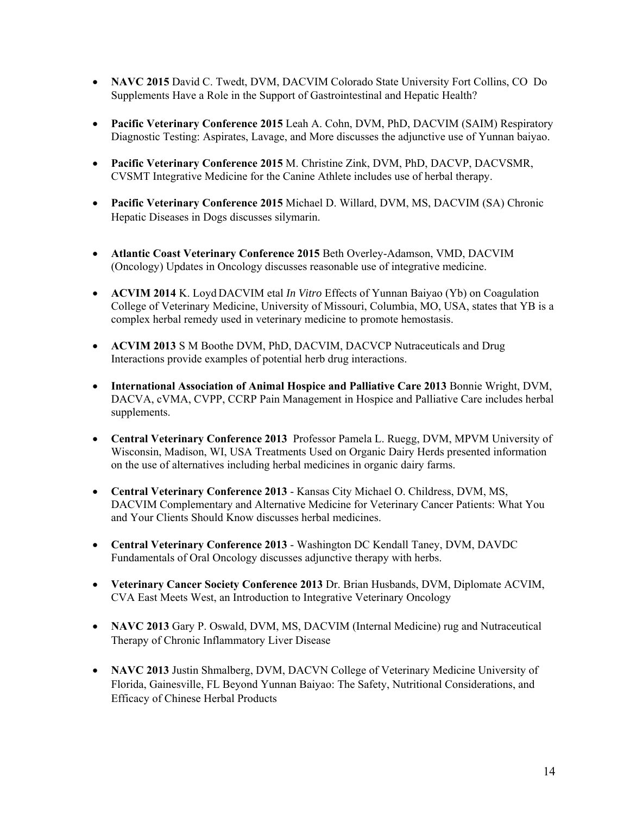- **NAVC 2015** David C. Twedt, DVM, DACVIM Colorado State University Fort Collins, CO Do Supplements Have a Role in the Support of Gastrointestinal and Hepatic Health?
- **Pacific Veterinary Conference 2015** Leah A. Cohn, DVM, PhD, DACVIM (SAIM) Respiratory Diagnostic Testing: Aspirates, Lavage, and More discusses the adjunctive use of Yunnan baiyao.
- **Pacific Veterinary Conference 2015** M. Christine Zink, DVM, PhD, DACVP, DACVSMR, CVSMT Integrative Medicine for the Canine Athlete includes use of herbal therapy.
- **Pacific Veterinary Conference 2015** Michael D. Willard, DVM, MS, DACVIM (SA) Chronic Hepatic Diseases in Dogs discusses silymarin.
- **Atlantic Coast Veterinary Conference 2015** Beth Overley-Adamson, VMD, DACVIM (Oncology) Updates in Oncology discusses reasonable use of integrative medicine.
- **ACVIM 2014** K. Loyd DACVIM etal *In Vitro* Effects of Yunnan Baiyao (Yb) on Coagulation College of Veterinary Medicine, University of Missouri, Columbia, MO, USA, states that YB is a complex herbal remedy used in veterinary medicine to promote hemostasis.
- **ACVIM 2013** S M Boothe DVM, PhD, DACVIM, DACVCP Nutraceuticals and Drug Interactions provide examples of potential herb drug interactions.
- **International Association of Animal Hospice and Palliative Care 2013** Bonnie Wright, DVM, DACVA, cVMA, CVPP, CCRP Pain Management in Hospice and Palliative Care includes herbal supplements.
- **Central Veterinary Conference 2013** Professor Pamela L. Ruegg, DVM, MPVM University of Wisconsin, Madison, WI, USA Treatments Used on Organic Dairy Herds presented information on the use of alternatives including herbal medicines in organic dairy farms.
- **Central Veterinary Conference 2013** Kansas City Michael O. Childress, DVM, MS, DACVIM Complementary and Alternative Medicine for Veterinary Cancer Patients: What You and Your Clients Should Know discusses herbal medicines.
- **Central Veterinary Conference 2013** Washington DC Kendall Taney, DVM, DAVDC Fundamentals of Oral Oncology discusses adjunctive therapy with herbs.
- **Veterinary Cancer Society Conference 2013** Dr. Brian Husbands, DVM, Diplomate ACVIM, CVA East Meets West, an Introduction to Integrative Veterinary Oncology
- **NAVC 2013** Gary P. Oswald, DVM, MS, DACVIM (Internal Medicine) rug and Nutraceutical Therapy of Chronic Inflammatory Liver Disease
- **NAVC 2013** Justin Shmalberg, DVM, DACVN College of Veterinary Medicine University of Florida, Gainesville, FL Beyond Yunnan Baiyao: The Safety, Nutritional Considerations, and Efficacy of Chinese Herbal Products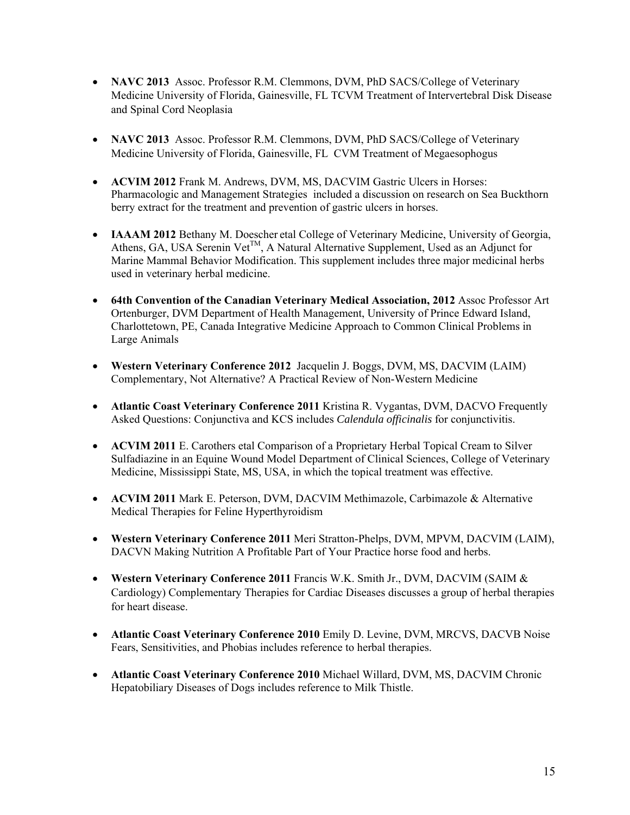- **NAVC 2013** Assoc. Professor R.M. Clemmons, DVM, PhD SACS/College of Veterinary Medicine University of Florida, Gainesville, FL TCVM Treatment of Intervertebral Disk Disease and Spinal Cord Neoplasia
- **NAVC 2013** Assoc. Professor R.M. Clemmons, DVM, PhD SACS/College of Veterinary Medicine University of Florida, Gainesville, FL CVM Treatment of Megaesophogus
- **ACVIM 2012** Frank M. Andrews, DVM, MS, DACVIM Gastric Ulcers in Horses: Pharmacologic and Management Strategies included a discussion on research on Sea Buckthorn berry extract for the treatment and prevention of gastric ulcers in horses.
- **IAAAM 2012** Bethany M. Doescher etal College of Veterinary Medicine, University of Georgia, Athens, GA, USA Serenin Vet<sup>TM</sup>, A Natural Alternative Supplement, Used as an Adjunct for Marine Mammal Behavior Modification. This supplement includes three major medicinal herbs used in veterinary herbal medicine.
- **64th Convention of the Canadian Veterinary Medical Association, 2012** Assoc Professor Art Ortenburger, DVM Department of Health Management, University of Prince Edward Island, Charlottetown, PE, Canada Integrative Medicine Approach to Common Clinical Problems in Large Animals
- **Western Veterinary Conference 2012** Jacquelin J. Boggs, DVM, MS, DACVIM (LAIM) Complementary, Not Alternative? A Practical Review of Non-Western Medicine
- **Atlantic Coast Veterinary Conference 2011** Kristina R. Vygantas, DVM, DACVO Frequently Asked Questions: Conjunctiva and KCS includes *Calendula officinalis* for conjunctivitis.
- **ACVIM 2011** E. Carothers etal Comparison of a Proprietary Herbal Topical Cream to Silver Sulfadiazine in an Equine Wound Model Department of Clinical Sciences, College of Veterinary Medicine, Mississippi State, MS, USA, in which the topical treatment was effective.
- **ACVIM 2011** Mark E. Peterson, DVM, DACVIM Methimazole, Carbimazole & Alternative Medical Therapies for Feline Hyperthyroidism
- **Western Veterinary Conference 2011** Meri Stratton-Phelps, DVM, MPVM, DACVIM (LAIM), DACVN Making Nutrition A Profitable Part of Your Practice horse food and herbs.
- **Western Veterinary Conference 2011** Francis W.K. Smith Jr., DVM, DACVIM (SAIM & Cardiology) Complementary Therapies for Cardiac Diseases discusses a group of herbal therapies for heart disease.
- **Atlantic Coast Veterinary Conference 2010** Emily D. Levine, DVM, MRCVS, DACVB Noise Fears, Sensitivities, and Phobias includes reference to herbal therapies.
- **Atlantic Coast Veterinary Conference 2010** Michael Willard, DVM, MS, DACVIM Chronic Hepatobiliary Diseases of Dogs includes reference to Milk Thistle.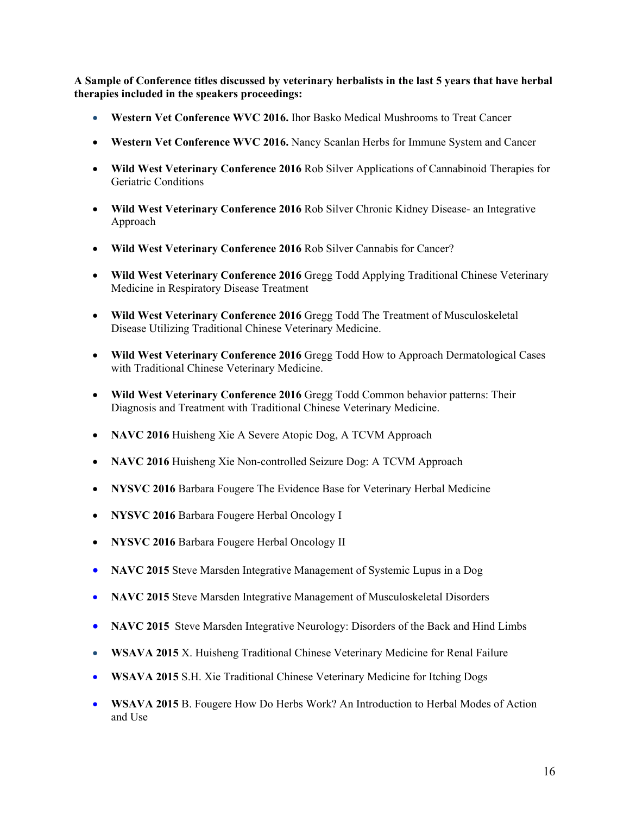**A Sample of Conference titles discussed by veterinary herbalists in the last 5 years that have herbal therapies included in the speakers proceedings:** 

- **Western Vet Conference WVC 2016.** Ihor Basko Medical Mushrooms to Treat Cancer
- **Western Vet Conference WVC 2016.** Nancy Scanlan Herbs for Immune System and Cancer
- **Wild West Veterinary Conference 2016** Rob Silver Applications of Cannabinoid Therapies for Geriatric Conditions
- **Wild West Veterinary Conference 2016** Rob Silver Chronic Kidney Disease- an Integrative Approach
- **Wild West Veterinary Conference 2016** Rob Silver Cannabis for Cancer?
- **Wild West Veterinary Conference 2016** Gregg Todd Applying Traditional Chinese Veterinary Medicine in Respiratory Disease Treatment
- **Wild West Veterinary Conference 2016** Gregg Todd The Treatment of Musculoskeletal Disease Utilizing Traditional Chinese Veterinary Medicine.
- **Wild West Veterinary Conference 2016** Gregg Todd How to Approach Dermatological Cases with Traditional Chinese Veterinary Medicine.
- **Wild West Veterinary Conference 2016** Gregg Todd Common behavior patterns: Their Diagnosis and Treatment with Traditional Chinese Veterinary Medicine.
- NAVC 2016 Huisheng Xie A Severe Atopic Dog, A TCVM Approach
- **NAVC 2016** Huisheng Xie Non-controlled Seizure Dog: A TCVM Approach
- **NYSVC 2016** Barbara Fougere The Evidence Base for Veterinary Herbal Medicine
- **NYSVC 2016** Barbara Fougere Herbal Oncology I
- **NYSVC 2016** Barbara Fougere Herbal Oncology II
- **NAVC 2015** Steve Marsden Integrative Management of Systemic Lupus in a Dog
- **NAVC 2015** Steve Marsden Integrative Management of Musculoskeletal Disorders
- **NAVC 2015** Steve Marsden Integrative Neurology: Disorders of the Back and Hind Limbs
- **WSAVA 2015** X. Huisheng Traditional Chinese Veterinary Medicine for Renal Failure
- **WSAVA 2015** S.H. Xie Traditional Chinese Veterinary Medicine for Itching Dogs
- **WSAVA 2015** B. Fougere How Do Herbs Work? An Introduction to Herbal Modes of Action and Use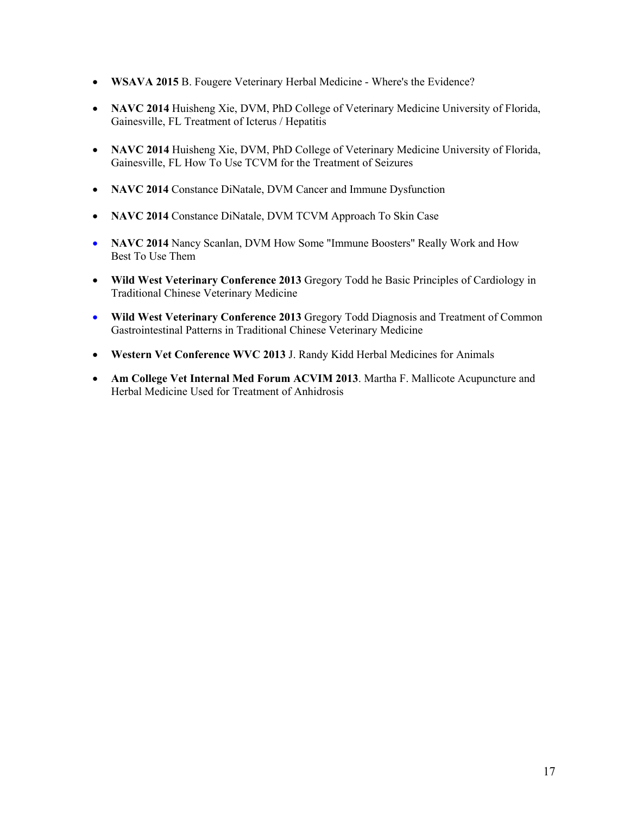- **WSAVA 2015** B. Fougere Veterinary Herbal Medicine Where's the Evidence?
- **NAVC 2014** Huisheng Xie, DVM, PhD College of Veterinary Medicine University of Florida, Gainesville, FL Treatment of Icterus / Hepatitis
- **NAVC 2014** Huisheng Xie, DVM, PhD College of Veterinary Medicine University of Florida, Gainesville, FL How To Use TCVM for the Treatment of Seizures
- **NAVC 2014** Constance DiNatale, DVM Cancer and Immune Dysfunction
- **NAVC 2014** Constance DiNatale, DVM TCVM Approach To Skin Case
- **NAVC 2014** Nancy Scanlan, DVM How Some "Immune Boosters" Really Work and How Best To Use Them
- **Wild West Veterinary Conference 2013** Gregory Todd he Basic Principles of Cardiology in Traditional Chinese Veterinary Medicine
- **Wild West Veterinary Conference 2013** Gregory Todd Diagnosis and Treatment of Common Gastrointestinal Patterns in Traditional Chinese Veterinary Medicine
- **Western Vet Conference WVC 2013** J. Randy Kidd Herbal Medicines for Animals
- **Am College Vet Internal Med Forum ACVIM 2013**. Martha F. Mallicote Acupuncture and Herbal Medicine Used for Treatment of Anhidrosis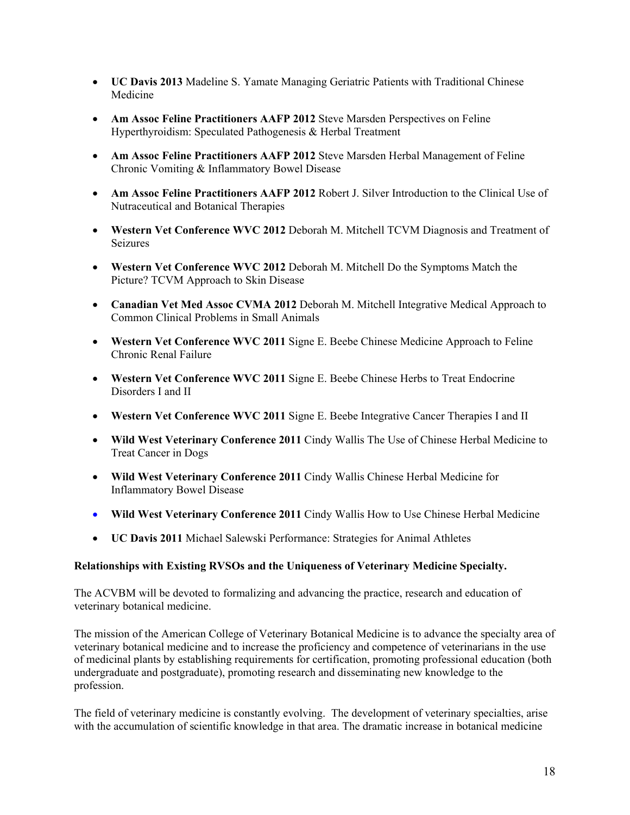- **UC Davis 2013** Madeline S. Yamate Managing Geriatric Patients with Traditional Chinese Medicine
- **Am Assoc Feline Practitioners AAFP 2012** Steve Marsden Perspectives on Feline Hyperthyroidism: Speculated Pathogenesis & Herbal Treatment
- **Am Assoc Feline Practitioners AAFP 2012** Steve Marsden Herbal Management of Feline Chronic Vomiting & Inflammatory Bowel Disease
- **Am Assoc Feline Practitioners AAFP 2012** Robert J. Silver Introduction to the Clinical Use of Nutraceutical and Botanical Therapies
- **Western Vet Conference WVC 2012** Deborah M. Mitchell TCVM Diagnosis and Treatment of Seizures
- **Western Vet Conference WVC 2012** Deborah M. Mitchell Do the Symptoms Match the Picture? TCVM Approach to Skin Disease
- **Canadian Vet Med Assoc CVMA 2012** Deborah M. Mitchell Integrative Medical Approach to Common Clinical Problems in Small Animals
- **Western Vet Conference WVC 2011** Signe E. Beebe Chinese Medicine Approach to Feline Chronic Renal Failure
- **Western Vet Conference WVC 2011** Signe E. Beebe Chinese Herbs to Treat Endocrine Disorders I and II
- **Western Vet Conference WVC 2011** Signe E. Beebe Integrative Cancer Therapies I and II
- **Wild West Veterinary Conference 2011** Cindy Wallis The Use of Chinese Herbal Medicine to Treat Cancer in Dogs
- **Wild West Veterinary Conference 2011** Cindy Wallis Chinese Herbal Medicine for Inflammatory Bowel Disease
- **Wild West Veterinary Conference 2011** Cindy Wallis How to Use Chinese Herbal Medicine
- **UC Davis 2011** Michael Salewski Performance: Strategies for Animal Athletes

#### **Relationships with Existing RVSOs and the Uniqueness of Veterinary Medicine Specialty.**

The ACVBM will be devoted to formalizing and advancing the practice, research and education of veterinary botanical medicine.

The mission of the American College of Veterinary Botanical Medicine is to advance the specialty area of veterinary botanical medicine and to increase the proficiency and competence of veterinarians in the use of medicinal plants by establishing requirements for certification, promoting professional education (both undergraduate and postgraduate), promoting research and disseminating new knowledge to the profession.

The field of veterinary medicine is constantly evolving. The development of veterinary specialties, arise with the accumulation of scientific knowledge in that area. The dramatic increase in botanical medicine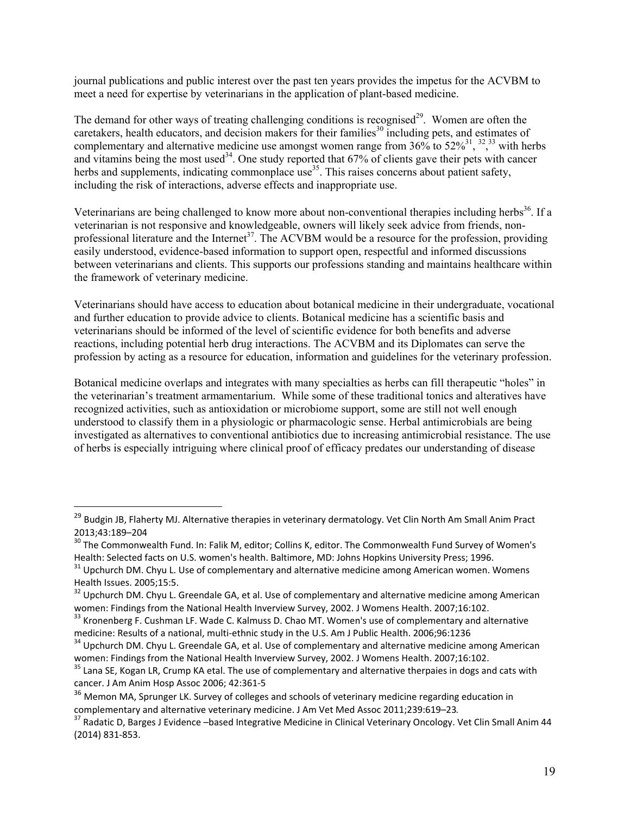journal publications and public interest over the past ten years provides the impetus for the ACVBM to meet a need for expertise by veterinarians in the application of plant-based medicine.

The demand for other ways of treating challenging conditions is recognised<sup>29</sup>. Women are often the caretakers, health educators, and decision makers for their families<sup>30</sup> including pets, and estimates of complementary and alternative medicine use amongst women range from  $36\%$  to  $52\%$ <sup>31</sup>, <sup>32</sup>, 33 with herbs and vitamins being the most used<sup>34</sup>. One study reported that  $67\%$  of clients gave their pets with cancer herbs and supplements, indicating commonplace use<sup>35</sup>. This raises concerns about patient safety, including the risk of interactions, adverse effects and inappropriate use.

Veterinarians are being challenged to know more about non-conventional therapies including herbs<sup>36</sup>. If a veterinarian is not responsive and knowledgeable, owners will likely seek advice from friends, nonprofessional literature and the Internet<sup>37</sup>. The ACVBM would be a resource for the profession, providing easily understood, evidence-based information to support open, respectful and informed discussions between veterinarians and clients. This supports our professions standing and maintains healthcare within the framework of veterinary medicine.

Veterinarians should have access to education about botanical medicine in their undergraduate, vocational and further education to provide advice to clients. Botanical medicine has a scientific basis and veterinarians should be informed of the level of scientific evidence for both benefits and adverse reactions, including potential herb drug interactions. The ACVBM and its Diplomates can serve the profession by acting as a resource for education, information and guidelines for the veterinary profession.

Botanical medicine overlaps and integrates with many specialties as herbs can fill therapeutic "holes" in the veterinarian's treatment armamentarium. While some of these traditional tonics and alteratives have recognized activities, such as antioxidation or microbiome support, some are still not well enough understood to classify them in a physiologic or pharmacologic sense. Herbal antimicrobials are being investigated as alternatives to conventional antibiotics due to increasing antimicrobial resistance. The use of herbs is especially intriguing where clinical proof of efficacy predates our understanding of disease

<sup>&</sup>lt;sup>29</sup> Budgin JB, Flaherty MJ. Alternative therapies in veterinary dermatology. Vet Clin North Am Small Anim Pract 2013;43:189–204

<sup>&</sup>lt;sup>30</sup> The Commonwealth Fund. In: Falik M, editor; Collins K, editor. The Commonwealth Fund Survey of Women's Health: Selected facts on U.S. women's health. Baltimore, MD: Johns Hopkins University Press; 1996.

<sup>&</sup>lt;sup>31</sup> Upchurch DM. Chyu L. Use of complementary and alternative medicine among American women. Womens Health Issues. 2005;15:5.

 $32$  Upchurch DM. Chyu L. Greendale GA, et al. Use of complementary and alternative medicine among American women: Findings from the National Health Inverview Survey, 2002. J Womens Health. 2007;16:102.

<sup>&</sup>lt;sup>33</sup> Kronenberg F. Cushman LF. Wade C. Kalmuss D. Chao MT. Women's use of complementary and alternative medicine: Results of a national, multi-ethnic study in the U.S. Am J Public Health. 2006;96:1236

<sup>&</sup>lt;sup>34</sup> Upchurch DM. Chyu L. Greendale GA, et al. Use of complementary and alternative medicine among American women: Findings from the National Health Inverview Survey, 2002. J Womens Health. 2007;16:102.

<sup>&</sup>lt;sup>35</sup> Lana SE, Kogan LR, Crump KA etal. The use of complementary and alternative therpaies in dogs and cats with cancer. J Am Anim Hosp Assoc 2006; 42:361‐5

<sup>&</sup>lt;sup>36</sup> Memon MA, Sprunger LK. Survey of colleges and schools of veterinary medicine regarding education in complementary and alternative veterinary medicine. J Am Vet Med Assoc 2011;239:619–23.

<sup>&</sup>lt;sup>37</sup> Radatic D. Barges J Evidence –based Integrative Medicine in Clinical Veterinary Oncology. Vet Clin Small Anim 44 (2014) 831‐853.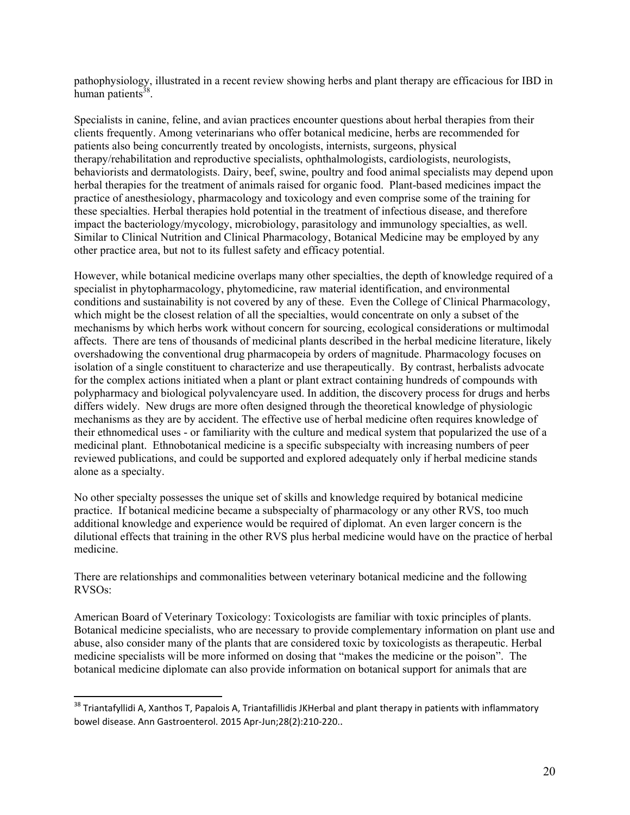pathophysiology, illustrated in a recent review showing herbs and plant therapy are efficacious for IBD in human patients $38$ .

Specialists in canine, feline, and avian practices encounter questions about herbal therapies from their clients frequently. Among veterinarians who offer botanical medicine, herbs are recommended for patients also being concurrently treated by oncologists, internists, surgeons, physical therapy/rehabilitation and reproductive specialists, ophthalmologists, cardiologists, neurologists, behaviorists and dermatologists. Dairy, beef, swine, poultry and food animal specialists may depend upon herbal therapies for the treatment of animals raised for organic food. Plant-based medicines impact the practice of anesthesiology, pharmacology and toxicology and even comprise some of the training for these specialties. Herbal therapies hold potential in the treatment of infectious disease, and therefore impact the bacteriology/mycology, microbiology, parasitology and immunology specialties, as well. Similar to Clinical Nutrition and Clinical Pharmacology, Botanical Medicine may be employed by any other practice area, but not to its fullest safety and efficacy potential.

However, while botanical medicine overlaps many other specialties, the depth of knowledge required of a specialist in phytopharmacology, phytomedicine, raw material identification, and environmental conditions and sustainability is not covered by any of these. Even the College of Clinical Pharmacology, which might be the closest relation of all the specialties, would concentrate on only a subset of the mechanisms by which herbs work without concern for sourcing, ecological considerations or multimodal affects. There are tens of thousands of medicinal plants described in the herbal medicine literature, likely overshadowing the conventional drug pharmacopeia by orders of magnitude. Pharmacology focuses on isolation of a single constituent to characterize and use therapeutically. By contrast, herbalists advocate for the complex actions initiated when a plant or plant extract containing hundreds of compounds with polypharmacy and biological polyvalencyare used. In addition, the discovery process for drugs and herbs differs widely. New drugs are more often designed through the theoretical knowledge of physiologic mechanisms as they are by accident. The effective use of herbal medicine often requires knowledge of their ethnomedical uses - or familiarity with the culture and medical system that popularized the use of a medicinal plant. Ethnobotanical medicine is a specific subspecialty with increasing numbers of peer reviewed publications, and could be supported and explored adequately only if herbal medicine stands alone as a specialty.

No other specialty possesses the unique set of skills and knowledge required by botanical medicine practice. If botanical medicine became a subspecialty of pharmacology or any other RVS, too much additional knowledge and experience would be required of diplomat. An even larger concern is the dilutional effects that training in the other RVS plus herbal medicine would have on the practice of herbal medicine.

There are relationships and commonalities between veterinary botanical medicine and the following RVSOs:

American Board of Veterinary Toxicology: Toxicologists are familiar with toxic principles of plants. Botanical medicine specialists, who are necessary to provide complementary information on plant use and abuse, also consider many of the plants that are considered toxic by toxicologists as therapeutic. Herbal medicine specialists will be more informed on dosing that "makes the medicine or the poison". The botanical medicine diplomate can also provide information on botanical support for animals that are

<sup>&</sup>lt;sup>38</sup> Triantafyllidi A, Xanthos T, Papalois A, Triantafillidis JKHerbal and plant therapy in patients with inflammatory bowel disease. Ann Gastroenterol. 2015 Apr‐Jun;28(2):210‐220..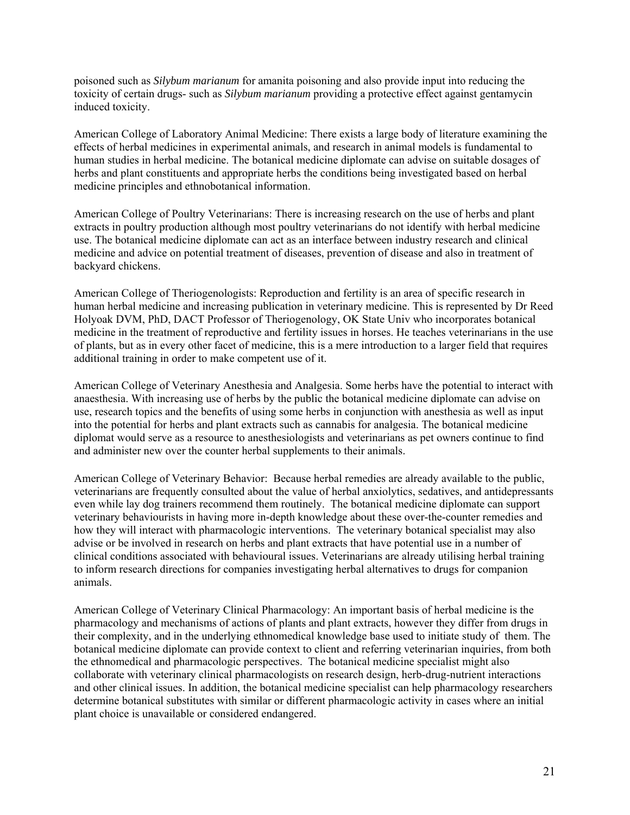poisoned such as *Silybum marianum* for amanita poisoning and also provide input into reducing the toxicity of certain drugs- such as *Silybum marianum* providing a protective effect against gentamycin induced toxicity.

American College of Laboratory Animal Medicine: There exists a large body of literature examining the effects of herbal medicines in experimental animals, and research in animal models is fundamental to human studies in herbal medicine. The botanical medicine diplomate can advise on suitable dosages of herbs and plant constituents and appropriate herbs the conditions being investigated based on herbal medicine principles and ethnobotanical information.

American College of Poultry Veterinarians: There is increasing research on the use of herbs and plant extracts in poultry production although most poultry veterinarians do not identify with herbal medicine use. The botanical medicine diplomate can act as an interface between industry research and clinical medicine and advice on potential treatment of diseases, prevention of disease and also in treatment of backyard chickens.

American College of Theriogenologists: Reproduction and fertility is an area of specific research in human herbal medicine and increasing publication in veterinary medicine. This is represented by Dr Reed Holyoak DVM, PhD, DACT Professor of Theriogenology, OK State Univ who incorporates botanical medicine in the treatment of reproductive and fertility issues in horses. He teaches veterinarians in the use of plants, but as in every other facet of medicine, this is a mere introduction to a larger field that requires additional training in order to make competent use of it.

American College of Veterinary Anesthesia and Analgesia. Some herbs have the potential to interact with anaesthesia. With increasing use of herbs by the public the botanical medicine diplomate can advise on use, research topics and the benefits of using some herbs in conjunction with anesthesia as well as input into the potential for herbs and plant extracts such as cannabis for analgesia. The botanical medicine diplomat would serve as a resource to anesthesiologists and veterinarians as pet owners continue to find and administer new over the counter herbal supplements to their animals.

American College of Veterinary Behavior: Because herbal remedies are already available to the public, veterinarians are frequently consulted about the value of herbal anxiolytics, sedatives, and antidepressants even while lay dog trainers recommend them routinely. The botanical medicine diplomate can support veterinary behaviourists in having more in-depth knowledge about these over-the-counter remedies and how they will interact with pharmacologic interventions. The veterinary botanical specialist may also advise or be involved in research on herbs and plant extracts that have potential use in a number of clinical conditions associated with behavioural issues. Veterinarians are already utilising herbal training to inform research directions for companies investigating herbal alternatives to drugs for companion animals.

American College of Veterinary Clinical Pharmacology: An important basis of herbal medicine is the pharmacology and mechanisms of actions of plants and plant extracts, however they differ from drugs in their complexity, and in the underlying ethnomedical knowledge base used to initiate study of them. The botanical medicine diplomate can provide context to client and referring veterinarian inquiries, from both the ethnomedical and pharmacologic perspectives. The botanical medicine specialist might also collaborate with veterinary clinical pharmacologists on research design, herb-drug-nutrient interactions and other clinical issues. In addition, the botanical medicine specialist can help pharmacology researchers determine botanical substitutes with similar or different pharmacologic activity in cases where an initial plant choice is unavailable or considered endangered.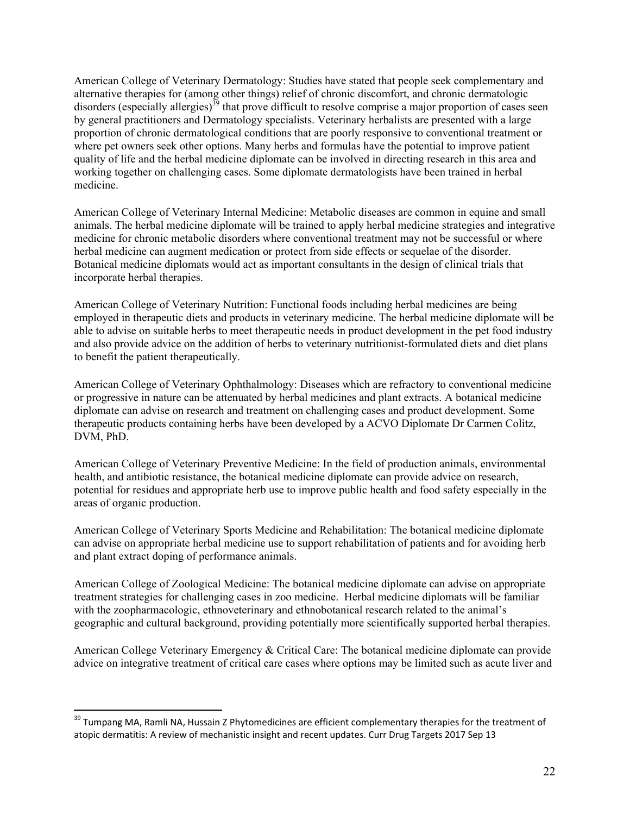American College of Veterinary Dermatology: Studies have stated that people seek complementary and alternative therapies for (among other things) relief of chronic discomfort, and chronic dermatologic disorders (especially allergies)<sup>39</sup> that prove difficult to resolve comprise a major proportion of cases seen by general practitioners and Dermatology specialists. Veterinary herbalists are presented with a large proportion of chronic dermatological conditions that are poorly responsive to conventional treatment or where pet owners seek other options. Many herbs and formulas have the potential to improve patient quality of life and the herbal medicine diplomate can be involved in directing research in this area and working together on challenging cases. Some diplomate dermatologists have been trained in herbal medicine.

American College of Veterinary Internal Medicine: Metabolic diseases are common in equine and small animals. The herbal medicine diplomate will be trained to apply herbal medicine strategies and integrative medicine for chronic metabolic disorders where conventional treatment may not be successful or where herbal medicine can augment medication or protect from side effects or sequelae of the disorder. Botanical medicine diplomats would act as important consultants in the design of clinical trials that incorporate herbal therapies.

American College of Veterinary Nutrition: Functional foods including herbal medicines are being employed in therapeutic diets and products in veterinary medicine. The herbal medicine diplomate will be able to advise on suitable herbs to meet therapeutic needs in product development in the pet food industry and also provide advice on the addition of herbs to veterinary nutritionist-formulated diets and diet plans to benefit the patient therapeutically.

American College of Veterinary Ophthalmology: Diseases which are refractory to conventional medicine or progressive in nature can be attenuated by herbal medicines and plant extracts. A botanical medicine diplomate can advise on research and treatment on challenging cases and product development. Some therapeutic products containing herbs have been developed by a ACVO Diplomate Dr Carmen Colitz, DVM, PhD.

American College of Veterinary Preventive Medicine: In the field of production animals, environmental health, and antibiotic resistance, the botanical medicine diplomate can provide advice on research, potential for residues and appropriate herb use to improve public health and food safety especially in the areas of organic production.

American College of Veterinary Sports Medicine and Rehabilitation: The botanical medicine diplomate can advise on appropriate herbal medicine use to support rehabilitation of patients and for avoiding herb and plant extract doping of performance animals.

American College of Zoological Medicine: The botanical medicine diplomate can advise on appropriate treatment strategies for challenging cases in zoo medicine. Herbal medicine diplomats will be familiar with the zoopharmacologic, ethnoveterinary and ethnobotanical research related to the animal's geographic and cultural background, providing potentially more scientifically supported herbal therapies.

American College Veterinary Emergency & Critical Care: The botanical medicine diplomate can provide advice on integrative treatment of critical care cases where options may be limited such as acute liver and

<sup>&</sup>lt;sup>39</sup> Tumpang MA, Ramli NA, Hussain Z Phytomedicines are efficient complementary therapies for the treatment of atopic dermatitis: A review of mechanistic insight and recent updates. Curr Drug Targets 2017 Sep 13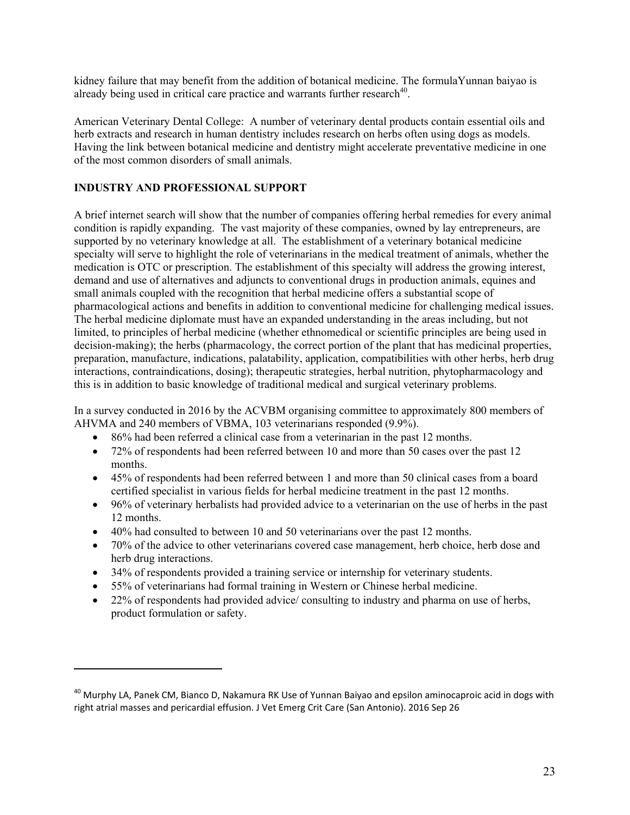kidney failure that may benefit from the addition of botanical medicine. The formulaYunnan baiyao is already being used in critical care practice and warrants further research<sup>40</sup>.

American Veterinary Dental College: A number of veterinary dental products contain essential oils and herb extracts and research in human dentistry includes research on herbs often using dogs as models. Having the link between botanical medicine and dentistry might accelerate preventative medicine in one of the most common disorders of small animals.

### **INDUSTRY AND PROFESSIONAL SUPPORT**

A brief internet search will show that the number of companies offering herbal remedies for every animal condition is rapidly expanding. The vast majority of these companies, owned by lay entrepreneurs, are supported by no veterinary knowledge at all. The establishment of a veterinary botanical medicine specialty will serve to highlight the role of veterinarians in the medical treatment of animals, whether the medication is OTC or prescription. The establishment of this specialty will address the growing interest, demand and use of alternatives and adjuncts to conventional drugs in production animals, equines and small animals coupled with the recognition that herbal medicine offers a substantial scope of pharmacological actions and benefits in addition to conventional medicine for challenging medical issues. The herbal medicine diplomate must have an expanded understanding in the areas including, but not limited, to principles of herbal medicine (whether ethnomedical or scientific principles are being used in decision-making); the herbs (pharmacology, the correct portion of the plant that has medicinal properties, preparation, manufacture, indications, palatability, application, compatibilities with other herbs, herb drug interactions, contraindications, dosing); therapeutic strategies, herbal nutrition, phytopharmacology and this is in addition to basic knowledge of traditional medical and surgical veterinary problems.

In a survey conducted in 2016 by the ACVBM organising committee to approximately 800 members of AHVMA and 240 members of VBMA, 103 veterinarians responded (9.9%).

- 86% had been referred a clinical case from a veterinarian in the past 12 months.
- 72% of respondents had been referred between 10 and more than 50 cases over the past 12 months.
- 45% of respondents had been referred between 1 and more than 50 clinical cases from a board certified specialist in various fields for herbal medicine treatment in the past 12 months.
- 96% of veterinary herbalists had provided advice to a veterinarian on the use of herbs in the past 12 months.
- 40% had consulted to between 10 and 50 veterinarians over the past 12 months.
- 70% of the advice to other veterinarians covered case management, herb choice, herb dose and herb drug interactions.
- 34% of respondents provided a training service or internship for veterinary students.
- 55% of veterinarians had formal training in Western or Chinese herbal medicine.
- 22% of respondents had provided advice/ consulting to industry and pharma on use of herbs, product formulation or safety.

<sup>&</sup>lt;sup>40</sup> Murphy LA, Panek CM, Bianco D, Nakamura RK Use of Yunnan Baiyao and epsilon aminocaproic acid in dogs with right atrial masses and pericardial effusion. J Vet Emerg Crit Care (San Antonio). 2016 Sep 26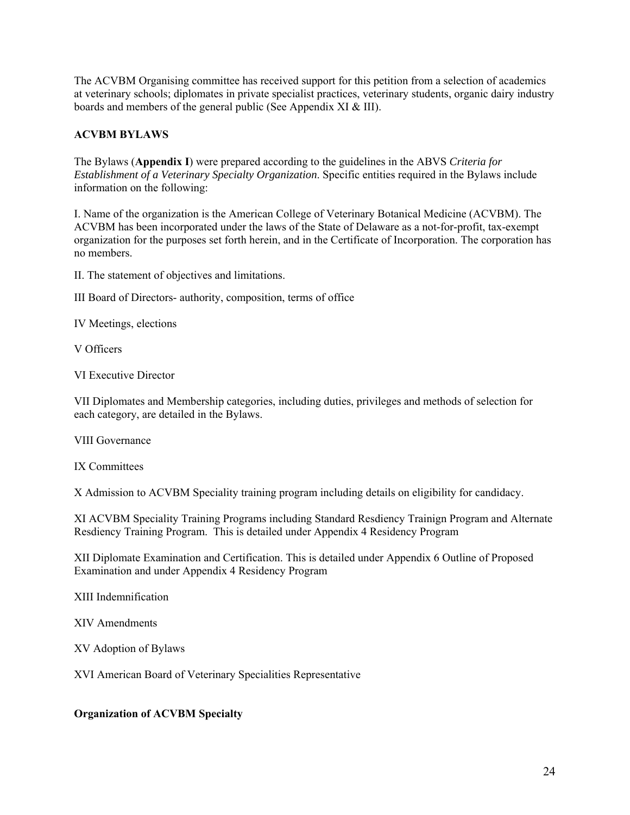The ACVBM Organising committee has received support for this petition from a selection of academics at veterinary schools; diplomates in private specialist practices, veterinary students, organic dairy industry boards and members of the general public (See Appendix XI & III).

### **ACVBM BYLAWS**

The Bylaws (**Appendix I**) were prepared according to the guidelines in the ABVS *Criteria for Establishment of a Veterinary Specialty Organization*. Specific entities required in the Bylaws include information on the following:

I. Name of the organization is the American College of Veterinary Botanical Medicine (ACVBM). The ACVBM has been incorporated under the laws of the State of Delaware as a not-for-profit, tax-exempt organization for the purposes set forth herein, and in the Certificate of Incorporation. The corporation has no members.

II. The statement of objectives and limitations.

III Board of Directors- authority, composition, terms of office

IV Meetings, elections

V Officers

VI Executive Director

VII Diplomates and Membership categories, including duties, privileges and methods of selection for each category, are detailed in the Bylaws.

VIII Governance

IX Committees

X Admission to ACVBM Speciality training program including details on eligibility for candidacy.

XI ACVBM Speciality Training Programs including Standard Resdiency Trainign Program and Alternate Resdiency Training Program. This is detailed under Appendix 4 Residency Program

XII Diplomate Examination and Certification. This is detailed under Appendix 6 Outline of Proposed Examination and under Appendix 4 Residency Program

XIII Indemnification

XIV Amendments

XV Adoption of Bylaws

XVI American Board of Veterinary Specialities Representative

#### **Organization of ACVBM Specialty**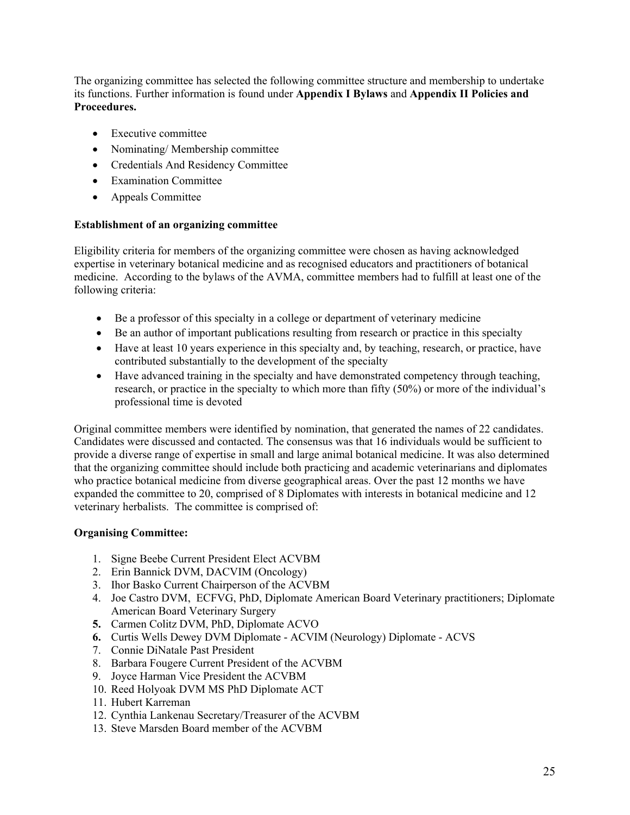The organizing committee has selected the following committee structure and membership to undertake its functions. Further information is found under **Appendix I Bylaws** and **Appendix II Policies and Proceedures.** 

- Executive committee
- Nominating/Membership committee
- Credentials And Residency Committee
- Examination Committee
- Appeals Committee

#### **Establishment of an organizing committee**

Eligibility criteria for members of the organizing committee were chosen as having acknowledged expertise in veterinary botanical medicine and as recognised educators and practitioners of botanical medicine. According to the bylaws of the AVMA, committee members had to fulfill at least one of the following criteria:

- Be a professor of this specialty in a college or department of veterinary medicine
- Be an author of important publications resulting from research or practice in this specialty
- Have at least 10 years experience in this specialty and, by teaching, research, or practice, have contributed substantially to the development of the specialty
- Have advanced training in the specialty and have demonstrated competency through teaching, research, or practice in the specialty to which more than fifty (50%) or more of the individual's professional time is devoted

Original committee members were identified by nomination, that generated the names of 22 candidates. Candidates were discussed and contacted. The consensus was that 16 individuals would be sufficient to provide a diverse range of expertise in small and large animal botanical medicine. It was also determined that the organizing committee should include both practicing and academic veterinarians and diplomates who practice botanical medicine from diverse geographical areas. Over the past 12 months we have expanded the committee to 20, comprised of 8 Diplomates with interests in botanical medicine and 12 veterinary herbalists. The committee is comprised of:

# **Organising Committee:**

- 1. Signe Beebe Current President Elect ACVBM
- 2. Erin Bannick DVM, DACVIM (Oncology)
- 3. Ihor Basko Current Chairperson of the ACVBM
- 4. Joe Castro DVM, ECFVG, PhD, Diplomate American Board Veterinary practitioners; Diplomate American Board Veterinary Surgery
- **5.** Carmen Colitz DVM, PhD, Diplomate ACVO
- **6.** Curtis Wells Dewey DVM Diplomate ACVIM (Neurology) Diplomate ACVS
- 7. Connie DiNatale Past President
- 8. Barbara Fougere Current President of the ACVBM
- 9. Joyce Harman Vice President the ACVBM
- 10. Reed Holyoak DVM MS PhD Diplomate ACT
- 11. Hubert Karreman
- 12. Cynthia Lankenau Secretary/Treasurer of the ACVBM
- 13. Steve Marsden Board member of the ACVBM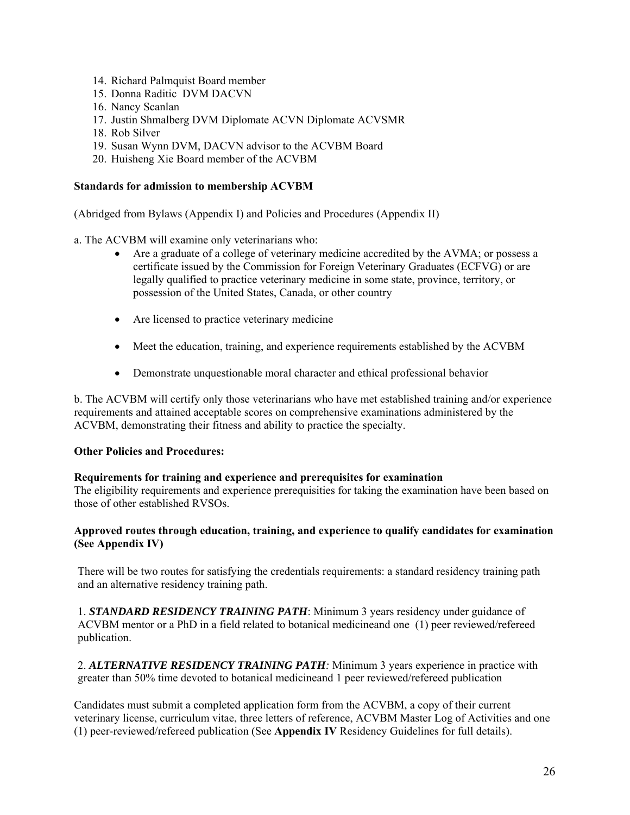- 14. Richard Palmquist Board member
- 15. Donna Raditic DVM DACVN
- 16. Nancy Scanlan
- 17. Justin Shmalberg DVM Diplomate ACVN Diplomate ACVSMR
- 18. Rob Silver
- 19. Susan Wynn DVM, DACVN advisor to the ACVBM Board
- 20. Huisheng Xie Board member of the ACVBM

#### **Standards for admission to membership ACVBM**

(Abridged from Bylaws (Appendix I) and Policies and Procedures (Appendix II)

a. The ACVBM will examine only veterinarians who:

- Are a graduate of a college of veterinary medicine accredited by the AVMA; or possess a certificate issued by the Commission for Foreign Veterinary Graduates (ECFVG) or are legally qualified to practice veterinary medicine in some state, province, territory, or possession of the United States, Canada, or other country
- Are licensed to practice veterinary medicine
- Meet the education, training, and experience requirements established by the ACVBM
- Demonstrate unquestionable moral character and ethical professional behavior

b. The ACVBM will certify only those veterinarians who have met established training and/or experience requirements and attained acceptable scores on comprehensive examinations administered by the ACVBM, demonstrating their fitness and ability to practice the specialty.

#### **Other Policies and Procedures:**

#### **Requirements for training and experience and prerequisites for examination**

The eligibility requirements and experience prerequisities for taking the examination have been based on those of other established RVSOs.

#### **Approved routes through education, training, and experience to qualify candidates for examination (See Appendix IV)**

There will be two routes for satisfying the credentials requirements: a standard residency training path and an alternative residency training path.

1. *STANDARD RESIDENCY TRAINING PATH*: Minimum 3 years residency under guidance of ACVBM mentor or a PhD in a field related to botanical medicineand one (1) peer reviewed/refereed publication.

2. *ALTERNATIVE RESIDENCY TRAINING PATH:* Minimum 3 years experience in practice with greater than 50% time devoted to botanical medicineand 1 peer reviewed/refereed publication

Candidates must submit a completed application form from the ACVBM, a copy of their current veterinary license, curriculum vitae, three letters of reference, ACVBM Master Log of Activities and one (1) peer-reviewed/refereed publication (See **Appendix IV** Residency Guidelines for full details).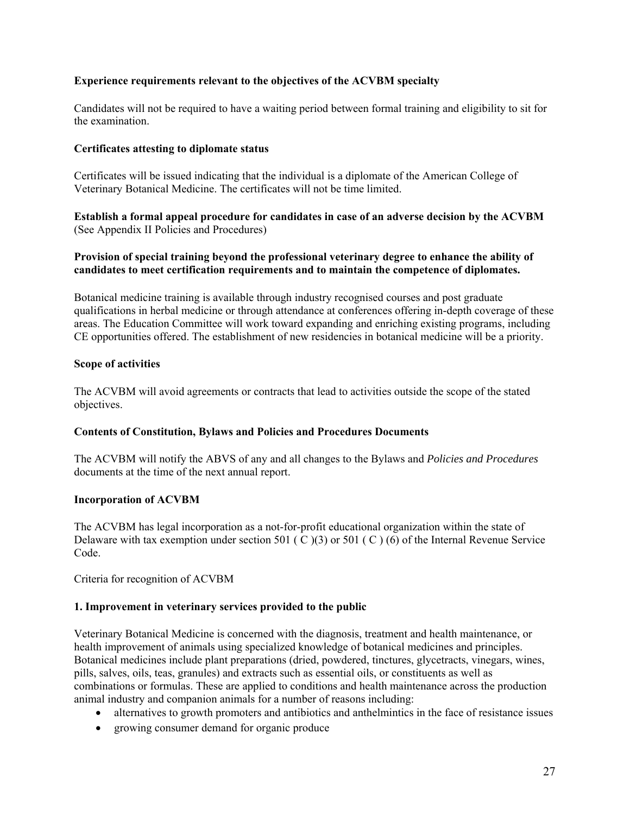### **Experience requirements relevant to the objectives of the ACVBM specialty**

Candidates will not be required to have a waiting period between formal training and eligibility to sit for the examination.

#### **Certificates attesting to diplomate status**

Certificates will be issued indicating that the individual is a diplomate of the American College of Veterinary Botanical Medicine. The certificates will not be time limited.

**Establish a formal appeal procedure for candidates in case of an adverse decision by the ACVBM**  (See Appendix II Policies and Procedures)

#### **Provision of special training beyond the professional veterinary degree to enhance the ability of candidates to meet certification requirements and to maintain the competence of diplomates.**

Botanical medicine training is available through industry recognised courses and post graduate qualifications in herbal medicine or through attendance at conferences offering in-depth coverage of these areas. The Education Committee will work toward expanding and enriching existing programs, including CE opportunities offered. The establishment of new residencies in botanical medicine will be a priority.

#### **Scope of activities**

The ACVBM will avoid agreements or contracts that lead to activities outside the scope of the stated objectives.

#### **Contents of Constitution, Bylaws and Policies and Procedures Documents**

The ACVBM will notify the ABVS of any and all changes to the Bylaws and *Policies and Procedures* documents at the time of the next annual report.

#### **Incorporation of ACVBM**

The ACVBM has legal incorporation as a not-for-profit educational organization within the state of Delaware with tax exemption under section 501 ( C )(3) or 501 ( C ) (6) of the Internal Revenue Service Code.

Criteria for recognition of ACVBM

#### **1. Improvement in veterinary services provided to the public**

Veterinary Botanical Medicine is concerned with the diagnosis, treatment and health maintenance, or health improvement of animals using specialized knowledge of botanical medicines and principles. Botanical medicines include plant preparations (dried, powdered, tinctures, glycetracts, vinegars, wines, pills, salves, oils, teas, granules) and extracts such as essential oils, or constituents as well as combinations or formulas. These are applied to conditions and health maintenance across the production animal industry and companion animals for a number of reasons including:

- alternatives to growth promoters and antibiotics and anthelmintics in the face of resistance issues
- growing consumer demand for organic produce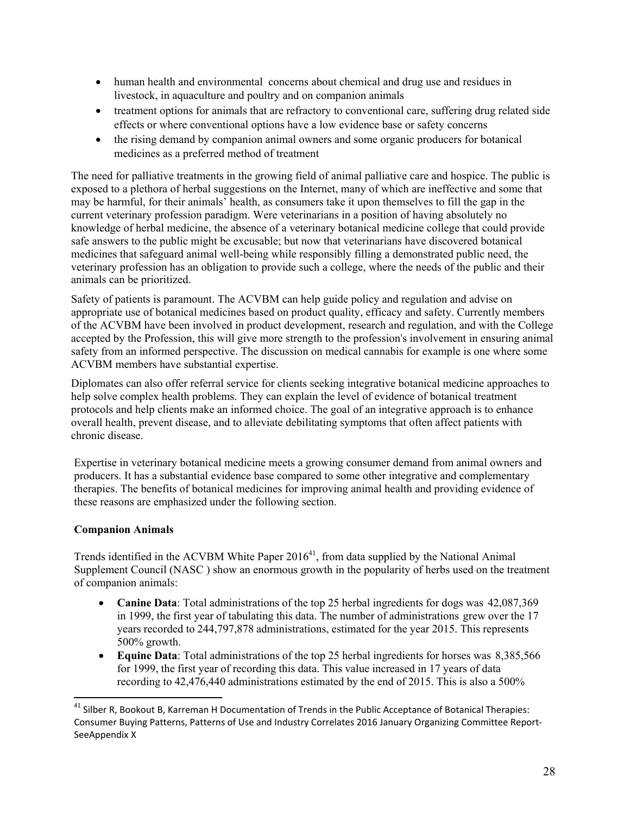- human health and environmental concerns about chemical and drug use and residues in livestock, in aquaculture and poultry and on companion animals
- treatment options for animals that are refractory to conventional care, suffering drug related side effects or where conventional options have a low evidence base or safety concerns
- the rising demand by companion animal owners and some organic producers for botanical medicines as a preferred method of treatment

The need for palliative treatments in the growing field of animal palliative care and hospice. The public is exposed to a plethora of herbal suggestions on the Internet, many of which are ineffective and some that may be harmful, for their animals' health, as consumers take it upon themselves to fill the gap in the current veterinary profession paradigm. Were veterinarians in a position of having absolutely no knowledge of herbal medicine, the absence of a veterinary botanical medicine college that could provide safe answers to the public might be excusable; but now that veterinarians have discovered botanical medicines that safeguard animal well-being while responsibly filling a demonstrated public need, the veterinary profession has an obligation to provide such a college, where the needs of the public and their animals can be prioritized.

Safety of patients is paramount. The ACVBM can help guide policy and regulation and advise on appropriate use of botanical medicines based on product quality, efficacy and safety. Currently members of the ACVBM have been involved in product development, research and regulation, and with the College accepted by the Profession, this will give more strength to the profession's involvement in ensuring animal safety from an informed perspective. The discussion on medical cannabis for example is one where some ACVBM members have substantial expertise.

Diplomates can also offer referral service for clients seeking integrative botanical medicine approaches to help solve complex health problems. They can explain the level of evidence of botanical treatment protocols and help clients make an informed choice. The goal of an integrative approach is to enhance overall health, prevent disease, and to alleviate debilitating symptoms that often affect patients with chronic disease.

Expertise in veterinary botanical medicine meets a growing consumer demand from animal owners and producers. It has a substantial evidence base compared to some other integrative and complementary therapies. The benefits of botanical medicines for improving animal health and providing evidence of these reasons are emphasized under the following section.

# **Companion Animals**

Trends identified in the ACVBM White Paper  $2016<sup>41</sup>$ , from data supplied by the National Animal Supplement Council (NASC ) show an enormous growth in the popularity of herbs used on the treatment of companion animals:

- **Canine Data**: Total administrations of the top 25 herbal ingredients for dogs was 42,087,369 in 1999, the first year of tabulating this data. The number of administrations grew over the 17 years recorded to 244,797,878 administrations, estimated for the year 2015. This represents 500% growth.
- **Equine Data**: Total administrations of the top 25 herbal ingredients for horses was 8,385,566 for 1999, the first year of recording this data. This value increased in 17 years of data recording to 42,476,440 administrations estimated by the end of 2015. This is also a 500%

<sup>&</sup>lt;sup>41</sup> Silber R, Bookout B, Karreman H Documentation of Trends in the Public Acceptance of Botanical Therapies: Consumer Buying Patterns, Patterns of Use and Industry Correlates 2016 January Organizing Committee Report‐ SeeAppendix X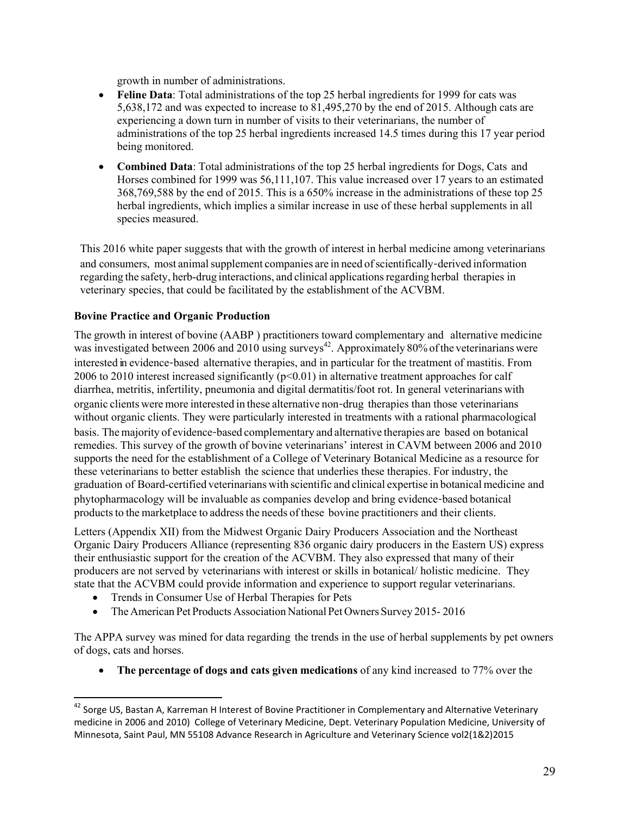growth in number of administrations.

- **Feline Data**: Total administrations of the top 25 herbal ingredients for 1999 for cats was 5,638,172 and was expected to increase to 81,495,270 by the end of 2015. Although cats are experiencing a down turn in number of visits to their veterinarians, the number of administrations of the top 25 herbal ingredients increased 14.5 times during this 17 year period being monitored.
- **Combined Data**: Total administrations of the top 25 herbal ingredients for Dogs, Cats and Horses combined for 1999 was 56,111,107. This value increased over 17 years to an estimated 368,769,588 by the end of 2015. This is a 650% increase in the administrations of these top 25 herbal ingredients, which implies a similar increase in use of these herbal supplements in all species measured.

This 2016 white paper suggests that with the growth of interest in herbal medicine among veterinarians and consumers, most animal supplement companies are in need of scientifically-derived information regarding the safety, herb-drug interactions, and clinical applications regarding herbal therapies in veterinary species, that could be facilitated by the establishment of the ACVBM.

# **Bovine Practice and Organic Production**

The growth in interest of bovine (AABP ) practitioners toward complementary and alternative medicine was investigated between 2006 and 2010 using surveys<sup>42</sup>. Approximately 80% of the veterinarians were interested in evidence-based alternative therapies, and in particular for the treatment of mastitis. From 2006 to 2010 interest increased significantly ( $p<0.01$ ) in alternative treatment approaches for calf diarrhea, metritis, infertility, pneumonia and digital dermatitis/foot rot. In general veterinarians with organic clients were more interested in these alternative non-drug therapies than those veterinarians without organic clients. They were particularly interested in treatments with a rational pharmacological basis. The majority of evidence-based complementary and alternative therapies are based on botanical remedies. This survey of the growth of bovine veterinarians' interest in CAVM between 2006 and 2010 supports the need for the establishment of a College of Veterinary Botanical Medicine as a resource for these veterinarians to better establish the science that underlies these therapies. For industry, the graduation of Board-certified veterinarians with scientific and clinical expertise in botanical medicine and phytopharmacology will be invaluable as companies develop and bring evidence-based botanical products to the marketplace to address the needs of these bovine practitioners and their clients.

Letters (Appendix XII) from the Midwest Organic Dairy Producers Association and the Northeast Organic Dairy Producers Alliance (representing 836 organic dairy producers in the Eastern US) express their enthusiastic support for the creation of the ACVBM. They also expressed that many of their producers are not served by veterinarians with interest or skills in botanical/ holistic medicine. They state that the ACVBM could provide information and experience to support regular veterinarians.

Trends in Consumer Use of Herbal Therapies for Pets

• The American Pet Products Association National Pet Owners Survey 2015-2016

The APPA survey was mined for data regarding the trends in the use of herbal supplements by pet owners of dogs, cats and horses.

**The percentage of dogs and cats given medications** of any kind increased to 77% over the

 $^{42}$  Sorge US, Bastan A, Karreman H Interest of Bovine Practitioner in Complementary and Alternative Veterinary medicine in 2006 and 2010) College of Veterinary Medicine, Dept. Veterinary Population Medicine, University of Minnesota, Saint Paul, MN 55108 Advance Research in Agriculture and Veterinary Science vol2(1&2)2015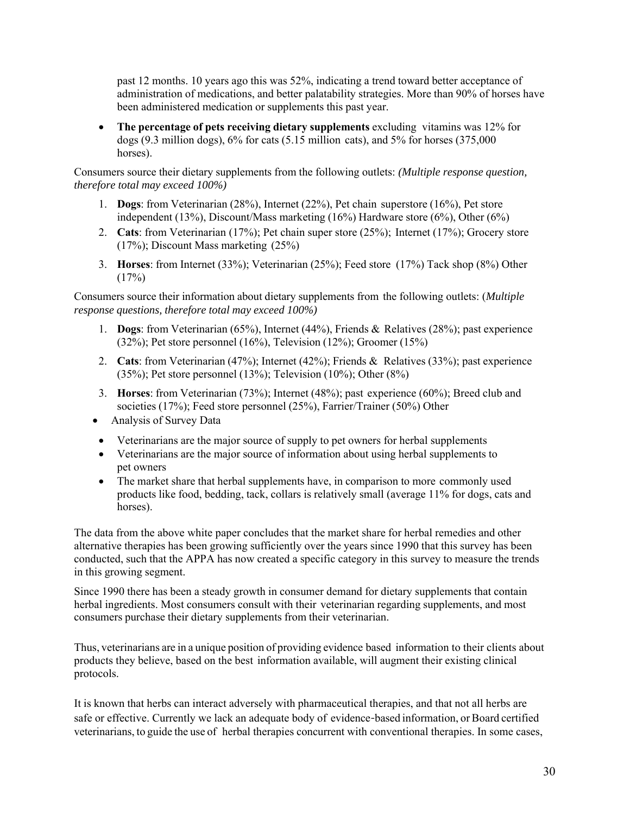past 12 months. 10 years ago this was 52%, indicating a trend toward better acceptance of administration of medications, and better palatability strategies. More than 90% of horses have been administered medication or supplements this past year.

 **The percentage of pets receiving dietary supplements** excluding vitamins was 12% for dogs (9.3 million dogs), 6% for cats (5.15 million cats), and 5% for horses (375,000 horses).

Consumers source their dietary supplements from the following outlets: *(Multiple response question, therefore total may exceed 100%)*

- 1. **Dogs**: from Veterinarian (28%), Internet (22%), Pet chain superstore (16%), Pet store independent (13%), Discount/Mass marketing (16%) Hardware store (6%), Other (6%)
- 2. **Cats**: from Veterinarian (17%); Pet chain super store (25%); Internet (17%); Grocery store (17%); Discount Mass marketing (25%)
- 3. **Horses**: from Internet (33%); Veterinarian (25%); Feed store (17%) Tack shop (8%) Other  $(17%)$

Consumers source their information about dietary supplements from the following outlets: (*Multiple response questions, therefore total may exceed 100%)*

- 1. **Dogs**: from Veterinarian (65%), Internet (44%), Friends & Relatives (28%); past experience (32%); Pet store personnel (16%), Television (12%); Groomer (15%)
- 2. **Cats**: from Veterinarian (47%); Internet (42%); Friends & Relatives (33%); past experience (35%); Pet store personnel (13%); Television (10%); Other (8%)
- 3. **Horses**: from Veterinarian (73%); Internet (48%); past experience (60%); Breed club and societies (17%); Feed store personnel (25%), Farrier/Trainer (50%) Other
- Analysis of Survey Data
- Veterinarians are the major source of supply to pet owners for herbal supplements
- Veterinarians are the major source of information about using herbal supplements to pet owners
- The market share that herbal supplements have, in comparison to more commonly used products like food, bedding, tack, collars is relatively small (average 11% for dogs, cats and horses).

The data from the above white paper concludes that the market share for herbal remedies and other alternative therapies has been growing sufficiently over the years since 1990 that this survey has been conducted, such that the APPA has now created a specific category in this survey to measure the trends in this growing segment.

Since 1990 there has been a steady growth in consumer demand for dietary supplements that contain herbal ingredients. Most consumers consult with their veterinarian regarding supplements, and most consumers purchase their dietary supplements from their veterinarian.

Thus, veterinarians are in a unique position of providing evidence based information to their clients about products they believe, based on the best information available, will augment their existing clinical protocols.

It is known that herbs can interact adversely with pharmaceutical therapies, and that not all herbs are safe or effective. Currently we lack an adequate body of evidence-based information, or Board certified veterinarians, to guide the use of herbal therapies concurrent with conventional therapies. In some cases,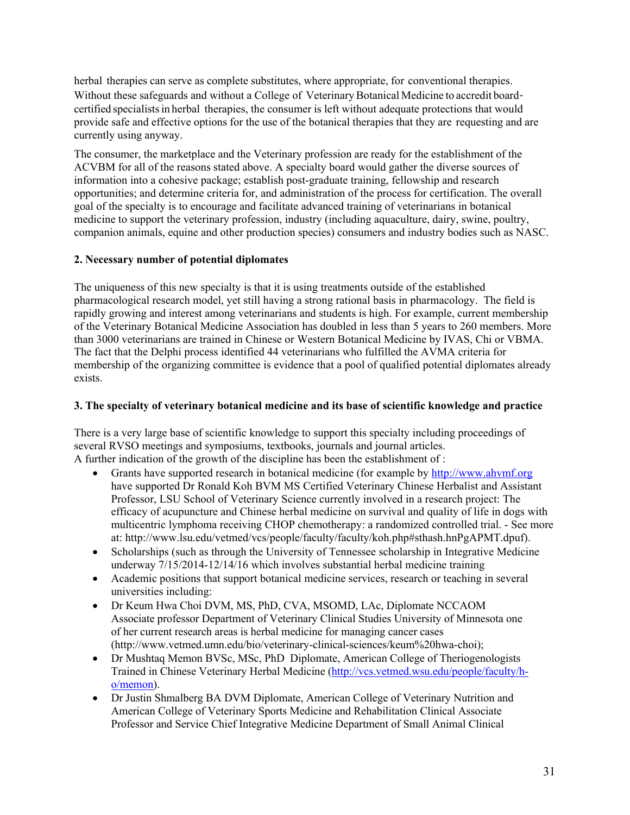herbal therapies can serve as complete substitutes, where appropriate, for conventional therapies. Without these safeguards and without a College of Veterinary Botanical Medicine to accredit boardcertified specialists in herbal therapies, the consumer is left without adequate protections that would provide safe and effective options for the use of the botanical therapies that they are requesting and are currently using anyway.

The consumer, the marketplace and the Veterinary profession are ready for the establishment of the ACVBM for all of the reasons stated above. A specialty board would gather the diverse sources of information into a cohesive package; establish post-graduate training, fellowship and research opportunities; and determine criteria for, and administration of the process for certification. The overall goal of the specialty is to encourage and facilitate advanced training of veterinarians in botanical medicine to support the veterinary profession, industry (including aquaculture, dairy, swine, poultry, companion animals, equine and other production species) consumers and industry bodies such as NASC.

# **2. Necessary number of potential diplomates**

The uniqueness of this new specialty is that it is using treatments outside of the established pharmacological research model, yet still having a strong rational basis in pharmacology. The field is rapidly growing and interest among veterinarians and students is high. For example, current membership of the Veterinary Botanical Medicine Association has doubled in less than 5 years to 260 members. More than 3000 veterinarians are trained in Chinese or Western Botanical Medicine by IVAS, Chi or VBMA. The fact that the Delphi process identified 44 veterinarians who fulfilled the AVMA criteria for membership of the organizing committee is evidence that a pool of qualified potential diplomates already exists.

### **3. The specialty of veterinary botanical medicine and its base of scientific knowledge and practice**

There is a very large base of scientific knowledge to support this specialty including proceedings of several RVSO meetings and symposiums, textbooks, journals and journal articles. A further indication of the growth of the discipline has been the establishment of :

- Grants have supported research in botanical medicine (for example by http://www.ahvmf.org have supported Dr Ronald Koh BVM MS Certified Veterinary Chinese Herbalist and Assistant Professor, LSU School of Veterinary Science currently involved in a research project: The efficacy of acupuncture and Chinese herbal medicine on survival and quality of life in dogs with multicentric lymphoma receiving CHOP chemotherapy: a randomized controlled trial. - See more at: http://www.lsu.edu/vetmed/vcs/people/faculty/faculty/koh.php#sthash.hnPgAPMT.dpuf).
- Scholarships (such as through the University of Tennessee scholarship in Integrative Medicine underway 7/15/2014-12/14/16 which involves substantial herbal medicine training
- Academic positions that support botanical medicine services, research or teaching in several universities including:
- Dr Keum Hwa Choi DVM, MS, PhD, CVA, MSOMD, LAc, Diplomate NCCAOM Associate professor Department of Veterinary Clinical Studies University of Minnesota one of her current research areas is herbal medicine for managing cancer cases (http://www.vetmed.umn.edu/bio/veterinary-clinical-sciences/keum%20hwa-choi);
- Dr Mushtaq Memon BVSc, MSc, PhDDiplomate, American College of Theriogenologists Trained in Chinese Veterinary Herbal Medicine (http://vcs.vetmed.wsu.edu/people/faculty/ho/memon).
- Dr Justin Shmalberg BA DVM Diplomate, American College of Veterinary Nutrition and American College of Veterinary Sports Medicine and Rehabilitation Clinical Associate Professor and Service Chief Integrative Medicine Department of Small Animal Clinical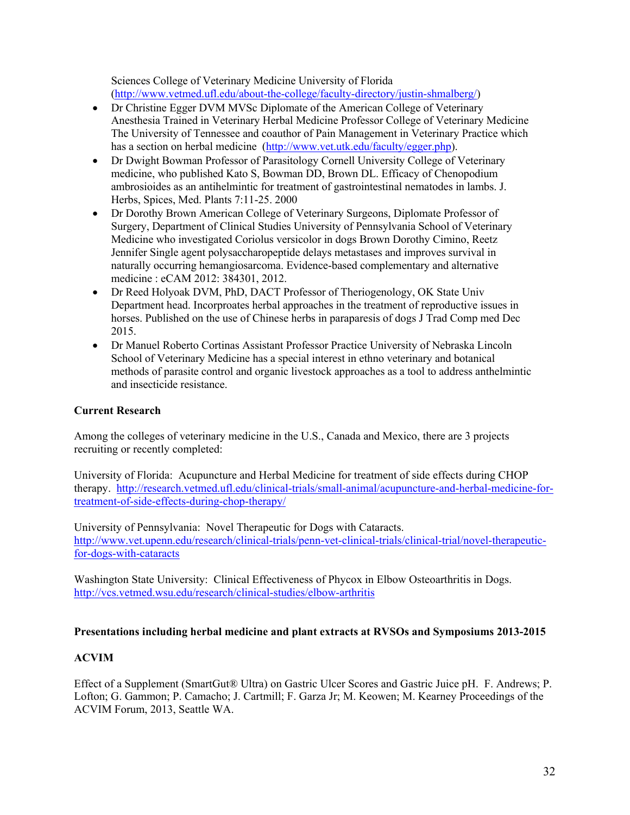Sciences College of Veterinary Medicine University of Florida (http://www.vetmed.ufl.edu/about-the-college/faculty-directory/justin-shmalberg/)

- Dr Christine Egger DVM MVSc Diplomate of the American College of Veterinary Anesthesia Trained in Veterinary Herbal Medicine Professor College of Veterinary Medicine The University of Tennessee and coauthor of Pain Management in Veterinary Practice which has a section on herbal medicine (http://www.vet.utk.edu/faculty/egger.php).
- Dr Dwight Bowman Professor of Parasitology Cornell University College of Veterinary medicine, who published Kato S, Bowman DD, Brown DL. Efficacy of Chenopodium ambrosioides as an antihelmintic for treatment of gastrointestinal nematodes in lambs. J. Herbs, Spices, Med. Plants 7:11-25. 2000
- Dr Dorothy Brown American College of Veterinary Surgeons, Diplomate Professor of Surgery, Department of Clinical Studies University of Pennsylvania School of Veterinary Medicine who investigated Coriolus versicolor in dogs Brown Dorothy Cimino, Reetz Jennifer Single agent polysaccharopeptide delays metastases and improves survival in naturally occurring hemangiosarcoma. Evidence-based complementary and alternative medicine : eCAM 2012: 384301, 2012.
- Dr Reed Holyoak DVM, PhD, DACT Professor of Theriogenology, OK State Univ Department head. Incorproates herbal approaches in the treatment of reproductive issues in horses. Published on the use of Chinese herbs in paraparesis of dogs J Trad Comp med Dec 2015.
- Dr Manuel Roberto Cortinas Assistant Professor Practice University of Nebraska Lincoln School of Veterinary Medicine has a special interest in ethno veterinary and botanical methods of parasite control and organic livestock approaches as a tool to address anthelmintic and insecticide resistance.

# **Current Research**

Among the colleges of veterinary medicine in the U.S., Canada and Mexico, there are 3 projects recruiting or recently completed:

University of Florida: Acupuncture and Herbal Medicine for treatment of side effects during CHOP therapy. http://research.vetmed.ufl.edu/clinical-trials/small-animal/acupuncture-and-herbal-medicine-fortreatment-of-side-effects-during-chop-therapy/

University of Pennsylvania: Novel Therapeutic for Dogs with Cataracts. http://www.vet.upenn.edu/research/clinical-trials/penn-vet-clinical-trials/clinical-trial/novel-therapeuticfor-dogs-with-cataracts

Washington State University: Clinical Effectiveness of Phycox in Elbow Osteoarthritis in Dogs. http://vcs.vetmed.wsu.edu/research/clinical-studies/elbow-arthritis

# **Presentations including herbal medicine and plant extracts at RVSOs and Symposiums 2013-2015**

# **ACVIM**

Effect of a Supplement (SmartGut® Ultra) on Gastric Ulcer Scores and Gastric Juice pH. F. Andrews; P. Lofton; G. Gammon; P. Camacho; J. Cartmill; F. Garza Jr; M. Keowen; M. Kearney Proceedings of the ACVIM Forum, 2013, Seattle WA.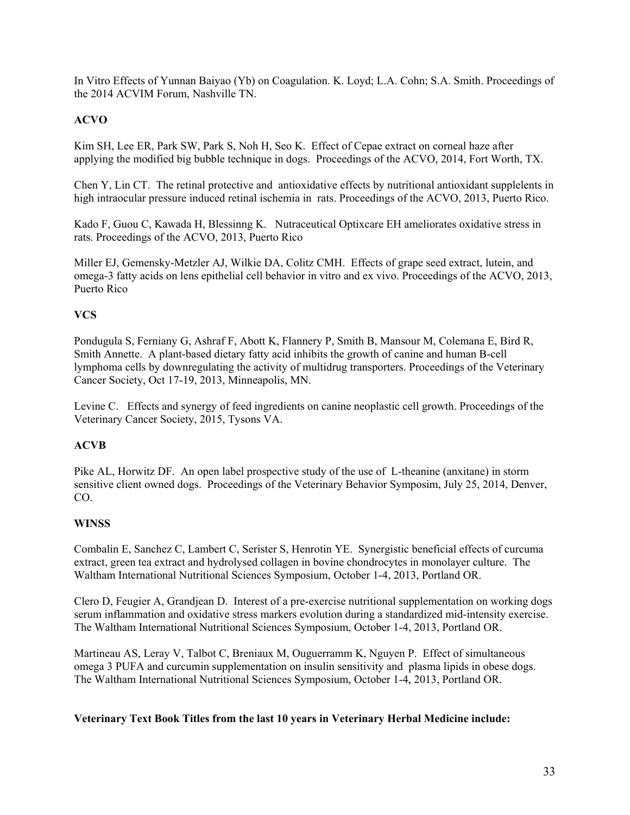In Vitro Effects of Yunnan Baiyao (Yb) on Coagulation. K. Loyd; L.A. Cohn; S.A. Smith. Proceedings of the 2014 ACVIM Forum, Nashville TN.

# **ACVO**

Kim SH, Lee ER, Park SW, Park S, Noh H, Seo K. Effect of Cepae extract on corneal haze after applying the modified big bubble technique in dogs. Proceedings of the ACVO, 2014, Fort Worth, TX.

Chen Y, Lin CT. The retinal protective and antioxidative effects by nutritional antioxidant supplelents in high intraocular pressure induced retinal ischemia in rats. Proceedings of the ACVO, 2013, Puerto Rico.

Kado F, Guou C, Kawada H, Blessinng K. Nutraceutical Optixcare EH ameliorates oxidative stress in rats. Proceedings of the ACVO, 2013, Puerto Rico

Miller EJ, Gemensky-Metzler AJ, Wilkie DA, Colitz CMH. Effects of grape seed extract, lutein, and omega-3 fatty acids on lens epithelial cell behavior in vitro and ex vivo. Proceedings of the ACVO, 2013, Puerto Rico

# **VCS**

Pondugula S, Ferniany G, Ashraf F, Abott K, Flannery P, Smith B, Mansour M, Colemana E, Bird R, Smith Annette. A plant-based dietary fatty acid inhibits the growth of canine and human B-cell lymphoma cells by downregulating the activity of multidrug transporters. Proceedings of the Veterinary Cancer Society, Oct 17-19, 2013, Minneapolis, MN.

Levine C. Effects and synergy of feed ingredients on canine neoplastic cell growth. Proceedings of the Veterinary Cancer Society, 2015, Tysons VA.

# **ACVB**

Pike AL, Horwitz DF. An open label prospective study of the use of L-theanine (anxitane) in storm sensitive client owned dogs. Proceedings of the Veterinary Behavior Symposim, July 25, 2014, Denver, CO.

# **WINSS**

Combalin E, Sanchez C, Lambert C, Serister S, Henrotin YE. Synergistic beneficial effects of curcuma extract, green tea extract and hydrolysed collagen in bovine chondrocytes in monolayer culture. The Waltham International Nutritional Sciences Symposium, October 1-4, 2013, Portland OR.

Clero D, Feugier A, Grandjean D. Interest of a pre-exercise nutritional supplementation on working dogs serum inflammation and oxidative stress markers evolution during a standardized mid-intensity exercise. The Waltham International Nutritional Sciences Symposium, October 1-4, 2013, Portland OR.

Martineau AS, Leray V, Talbot C, Breniaux M, Ouguerramm K, Nguyen P. Effect of simultaneous omega 3 PUFA and curcumin supplementation on insulin sensitivity and plasma lipids in obese dogs. The Waltham International Nutritional Sciences Symposium, October 1-4, 2013, Portland OR.

#### **Veterinary Text Book Titles from the last 10 years in Veterinary Herbal Medicine include:**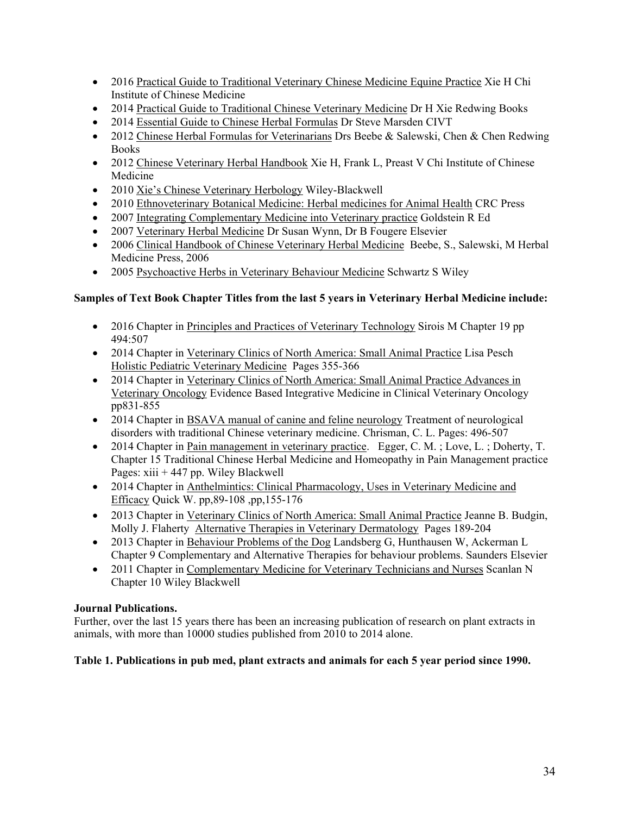- 2016 Practical Guide to Traditional Veterinary Chinese Medicine Equine Practice Xie H Chi Institute of Chinese Medicine
- 2014 Practical Guide to Traditional Chinese Veterinary Medicine Dr H Xie Redwing Books
- 2014 Essential Guide to Chinese Herbal Formulas Dr Steve Marsden CIVT
- 2012 Chinese Herbal Formulas for Veterinarians Drs Beebe & Salewski, Chen & Chen Redwing Books
- 2012 Chinese Veterinary Herbal Handbook Xie H, Frank L, Preast V Chi Institute of Chinese Medicine
- 2010 Xie's Chinese Veterinary Herbology Wiley-Blackwell
- 2010 Ethnoveterinary Botanical Medicine: Herbal medicines for Animal Health CRC Press
- 2007 Integrating Complementary Medicine into Veterinary practice Goldstein R Ed
- 2007 Veterinary Herbal Medicine Dr Susan Wynn, Dr B Fougere Elsevier
- 2006 Clinical Handbook of Chinese Veterinary Herbal Medicine Beebe, S., Salewski, M Herbal Medicine Press, 2006
- 2005 Psychoactive Herbs in Veterinary Behaviour Medicine Schwartz S Wiley

# **Samples of Text Book Chapter Titles from the last 5 years in Veterinary Herbal Medicine include:**

- 2016 Chapter in Principles and Practices of Veterinary Technology Sirois M Chapter 19 pp 494:507
- 2014 Chapter in Veterinary Clinics of North America: Small Animal Practice Lisa Pesch Holistic Pediatric Veterinary Medicine Pages 355-366
- 2014 Chapter in Veterinary Clinics of North America: Small Animal Practice Advances in Veterinary Oncology Evidence Based Integrative Medicine in Clinical Veterinary Oncology pp831-855
- 2014 Chapter in BSAVA manual of canine and feline neurology Treatment of neurological disorders with traditional Chinese veterinary medicine. Chrisman, C. L. Pages: 496-507
- 2014 Chapter in Pain management in veterinary practice. Egger, C. M.; Love, L.; Doherty, T. Chapter 15 Traditional Chinese Herbal Medicine and Homeopathy in Pain Management practice Pages:  $xiii + 447$  pp. Wiley Blackwell
- 2014 Chapter in Anthelmintics: Clinical Pharmacology, Uses in Veterinary Medicine and Efficacy Quick W. pp,89-108 ,pp,155-176
- 2013 Chapter in Veterinary Clinics of North America: Small Animal Practice Jeanne B. Budgin, Molly J. Flaherty Alternative Therapies in Veterinary Dermatology Pages 189-204
- 2013 Chapter in Behaviour Problems of the Dog Landsberg G, Hunthausen W, Ackerman L Chapter 9 Complementary and Alternative Therapies for behaviour problems. Saunders Elsevier
- 2011 Chapter in Complementary Medicine for Veterinary Technicians and Nurses Scanlan N Chapter 10 Wiley Blackwell

# **Journal Publications.**

Further, over the last 15 years there has been an increasing publication of research on plant extracts in animals, with more than 10000 studies published from 2010 to 2014 alone.

# **Table 1. Publications in pub med, plant extracts and animals for each 5 year period since 1990.**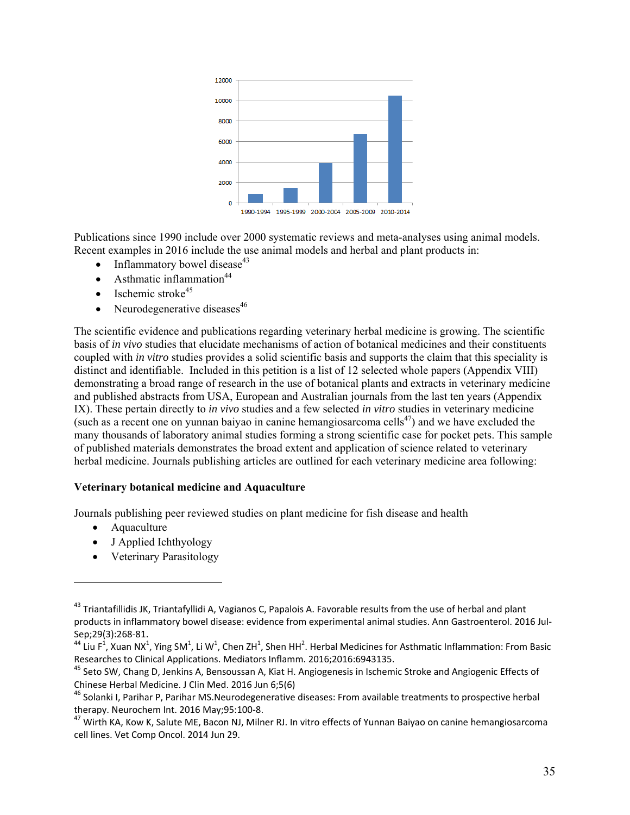

Publications since 1990 include over 2000 systematic reviews and meta-analyses using animal models. Recent examples in 2016 include the use animal models and herbal and plant products in:

- $\bullet$  Inflammatory bowel disease<sup>43</sup>
- $\bullet$  Asthmatic inflammation<sup>44</sup>
- Ischemic stroke $45$
- Neurodegenerative diseases $46$

The scientific evidence and publications regarding veterinary herbal medicine is growing. The scientific basis of *in vivo* studies that elucidate mechanisms of action of botanical medicines and their constituents coupled with *in vitro* studies provides a solid scientific basis and supports the claim that this speciality is distinct and identifiable. Included in this petition is a list of 12 selected whole papers (Appendix VIII) demonstrating a broad range of research in the use of botanical plants and extracts in veterinary medicine and published abstracts from USA, European and Australian journals from the last ten years (Appendix IX). These pertain directly to *in vivo* studies and a few selected *in vitro* studies in veterinary medicine (such as a recent one on yunnan baiyao in canine hemangiosarcoma cells<sup>47</sup>) and we have excluded the many thousands of laboratory animal studies forming a strong scientific case for pocket pets. This sample of published materials demonstrates the broad extent and application of science related to veterinary herbal medicine. Journals publishing articles are outlined for each veterinary medicine area following:

#### **Veterinary botanical medicine and Aquaculture**

Journals publishing peer reviewed studies on plant medicine for fish disease and health

- Aquaculture
- J Applied Ichthyology

• Veterinary Parasitology

<sup>&</sup>lt;sup>43</sup> Triantafillidis JK, Triantafyllidi A, Vagianos C, Papalois A. Favorable results from the use of herbal and plant products in inflammatory bowel disease: evidence from experimental animal studies. Ann Gastroenterol. 2016 Jul‐ Sep;29(3):268‐81.

<sup>&</sup>lt;sup>44</sup> Liu F<sup>1</sup>, Xuan NX<sup>1</sup>, Ying SM<sup>1</sup>, Li W<sup>1</sup>, Chen ZH<sup>1</sup>, Shen HH<sup>2</sup>. Herbal Medicines for Asthmatic Inflammation: From Basic Researches to Clinical Applications. Mediators Inflamm. 2016;2016:6943135.<br><sup>45</sup> Seto SW, Chang D, Jenkins A, Bensoussan A, Kiat H. Angiogenesis in Ischemic Stroke and Angiogenic Effects of

Chinese Herbal Medicine. J Clin Med. 2016 Jun 6;5(6)

<sup>&</sup>lt;sup>46</sup> Solanki I, Parihar P, Parihar MS.Neurodegenerative diseases: From available treatments to prospective herbal therapy. Neurochem Int. 2016 May;95:100-8.<br><sup>47</sup> Wirth KA, Kow K, Salute ME, Bacon NJ, Milner RJ. In vitro effects of Yunnan Baiyao on canine hemangiosarcoma

cell lines. Vet Comp Oncol. 2014 Jun 29.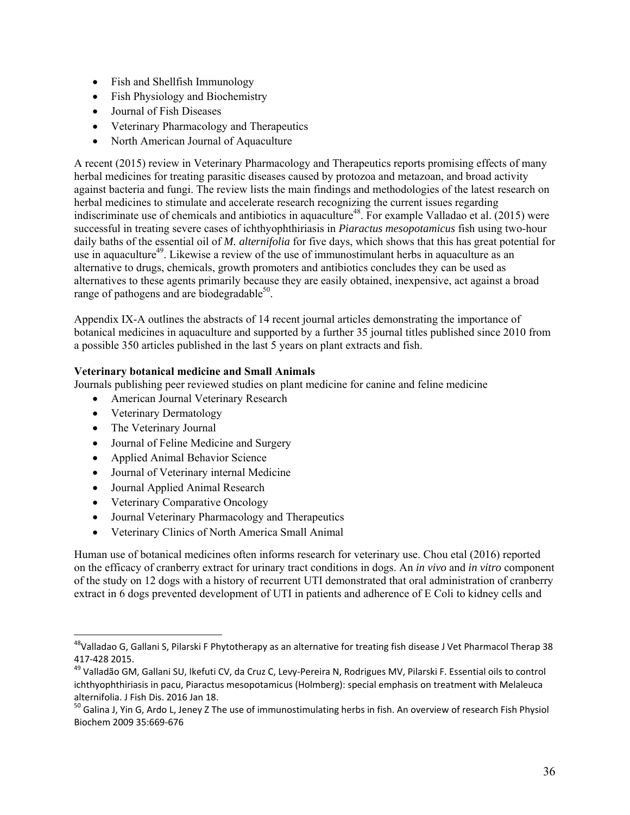- Fish and Shellfish Immunology
- Fish Physiology and Biochemistry
- Journal of Fish Diseases
- Veterinary Pharmacology and Therapeutics
- North American Journal of Aquaculture

A recent (2015) review in Veterinary Pharmacology and Therapeutics reports promising effects of many herbal medicines for treating parasitic diseases caused by protozoa and metazoan, and broad activity against bacteria and fungi. The review lists the main findings and methodologies of the latest research on herbal medicines to stimulate and accelerate research recognizing the current issues regarding indiscriminate use of chemicals and antibiotics in aquaculture<sup>48</sup>. For example Valladao et al. (2015) were successful in treating severe cases of ichthyophthiriasis in *Piaractus mesopotamicus* fish using two-hour daily baths of the essential oil of *M. alternifolia* for five days, which shows that this has great potential for use in aquaculture<sup>49</sup>. Likewise a review of the use of immunostimulant herbs in aquaculture as an alternative to drugs, chemicals, growth promoters and antibiotics concludes they can be used as alternatives to these agents primarily because they are easily obtained, inexpensive, act against a broad range of pathogens and are biodegradable $50$ .

Appendix IX-A outlines the abstracts of 14 recent journal articles demonstrating the importance of botanical medicines in aquaculture and supported by a further 35 journal titles published since 2010 from a possible 350 articles published in the last 5 years on plant extracts and fish.

#### **Veterinary botanical medicine and Small Animals**

Journals publishing peer reviewed studies on plant medicine for canine and feline medicine

- American Journal Veterinary Research
- Veterinary Dermatology
- The Veterinary Journal

- Journal of Feline Medicine and Surgery
- Applied Animal Behavior Science
- Journal of Veterinary internal Medicine
- Journal Applied Animal Research
- Veterinary Comparative Oncology
- Journal Veterinary Pharmacology and Therapeutics
- Veterinary Clinics of North America Small Animal

Human use of botanical medicines often informs research for veterinary use. Chou etal (2016) reported on the efficacy of cranberry extract for urinary tract conditions in dogs. An *in vivo* and *in vitro* component of the study on 12 dogs with a history of recurrent UTI demonstrated that oral administration of cranberry extract in 6 dogs prevented development of UTI in patients and adherence of E Coli to kidney cells and

<sup>&</sup>lt;sup>48</sup>Valladao G, Gallani S, Pilarski F Phytotherapy as an alternative for treating fish disease J Vet Pharmacol Therap 38 417‐428 2015.

<sup>&</sup>lt;sup>49</sup> Valladão GM, Gallani SU, Ikefuti CV, da Cruz C, Levy-Pereira N, Rodrigues MV, Pilarski F. Essential oils to control ichthyophthiriasis in pacu, Piaractus mesopotamicus (Holmberg): special emphasis on treatment with Melaleuca<br>alternifolia. J Fish Dis. 2016 Jan 18.

 $50$  Galina J, Yin G, Ardo L, Jeney Z The use of immunostimulating herbs in fish. An overview of research Fish Physiol Biochem 2009 35:669‐676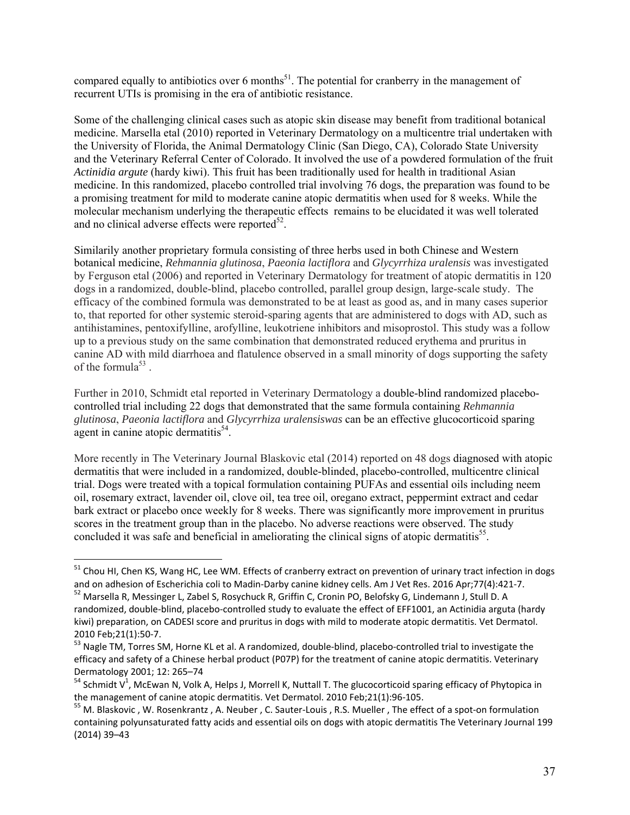compared equally to antibiotics over 6 months<sup>51</sup>. The potential for cranberry in the management of recurrent UTIs is promising in the era of antibiotic resistance.

Some of the challenging clinical cases such as atopic skin disease may benefit from traditional botanical medicine. Marsella etal (2010) reported in Veterinary Dermatology on a multicentre trial undertaken with the University of Florida, the Animal Dermatology Clinic (San Diego, CA), Colorado State University and the Veterinary Referral Center of Colorado. It involved the use of a powdered formulation of the fruit *Actinidia argute* (hardy kiwi). This fruit has been traditionally used for health in traditional Asian medicine. In this randomized, placebo controlled trial involving 76 dogs, the preparation was found to be a promising treatment for mild to moderate canine atopic dermatitis when used for 8 weeks. While the molecular mechanism underlying the therapeutic effects remains to be elucidated it was well tolerated and no clinical adverse effects were reported $52$ .

Similarily another proprietary formula consisting of three herbs used in both Chinese and Western botanical medicine, *Rehmannia glutinosa*, *Paeonia lactiflora* and *Glycyrrhiza uralensis* was investigated by Ferguson etal (2006) and reported in Veterinary Dermatology for treatment of atopic dermatitis in 120 dogs in a randomized, double-blind, placebo controlled, parallel group design, large-scale study. The efficacy of the combined formula was demonstrated to be at least as good as, and in many cases superior to, that reported for other systemic steroid-sparing agents that are administered to dogs with AD, such as antihistamines, pentoxifylline, arofylline, leukotriene inhibitors and misoprostol. This study was a follow up to a previous study on the same combination that demonstrated reduced erythema and pruritus in canine AD with mild diarrhoea and flatulence observed in a small minority of dogs supporting the safety of the formula<sup>53</sup>.

Further in 2010, Schmidt etal reported in Veterinary Dermatology a double-blind randomized placebocontrolled trial including 22 dogs that demonstrated that the same formula containing *Rehmannia glutinosa*, *Paeonia lactiflora* and *Glycyrrhiza uralensiswas* can be an effective glucocorticoid sparing agent in canine atopic dermatitis<sup>54</sup>.

More recently in The Veterinary Journal Blaskovic etal (2014) reported on 48 dogs diagnosed with atopic dermatitis that were included in a randomized, double-blinded, placebo-controlled, multicentre clinical trial. Dogs were treated with a topical formulation containing PUFAs and essential oils including neem oil, rosemary extract, lavender oil, clove oil, tea tree oil, oregano extract, peppermint extract and cedar bark extract or placebo once weekly for 8 weeks. There was significantly more improvement in pruritus scores in the treatment group than in the placebo. No adverse reactions were observed. The study concluded it was safe and beneficial in ameliorating the clinical signs of atopic dermatitis<sup>55</sup>.

<sup>&</sup>lt;sup>51</sup> Chou HI, Chen KS, Wang HC, Lee WM. Effects of cranberry extract on prevention of urinary tract infection in dogs and on adhesion of Escherichia coli to Madin-Darby canine kidney cells. Am J Vet Res. 2016 Apr;77(4):421-7.<br><sup>52</sup> Marsella R, Messinger L, Zabel S, Rosychuck R, Griffin C, Cronin PO, Belofsky G, Lindemann J, Stull D. A

randomized, double‐blind, placebo‐controlled study to evaluate the effect of EFF1001, an Actinidia arguta (hardy kiwi) preparation, on CADESI score and pruritus in dogs with mild to moderate atopic dermatitis. Vet Dermatol. 2010 Feb;21(1):50‐7.

<sup>53</sup> Nagle TM, Torres SM, Horne KL et al. A randomized, double-blind, placebo-controlled trial to investigate the efficacy and safety of a Chinese herbal product (P07P) for the treatment of canine atopic dermatitis. Veterinary Dermatology 2001; 12: 265–74

 $^{54}$  Schmidt V<sup>1</sup>, McEwan N, Volk A, Helps J, Morrell K, Nuttall T. The glucocorticoid sparing efficacy of Phytopica in the management of canine atopic dermatitis. Vet Dermatol. 2010 Feb;21(1):96-105.<br><sup>55</sup> M. Blaskovic , W. Rosenkrantz , A. Neuber , C. Sauter-Louis , R.S. Mueller , The effect of a spot-on formulation

containing polyunsaturated fatty acids and essential oils on dogs with atopic dermatitis The Veterinary Journal 199 (2014) 39–43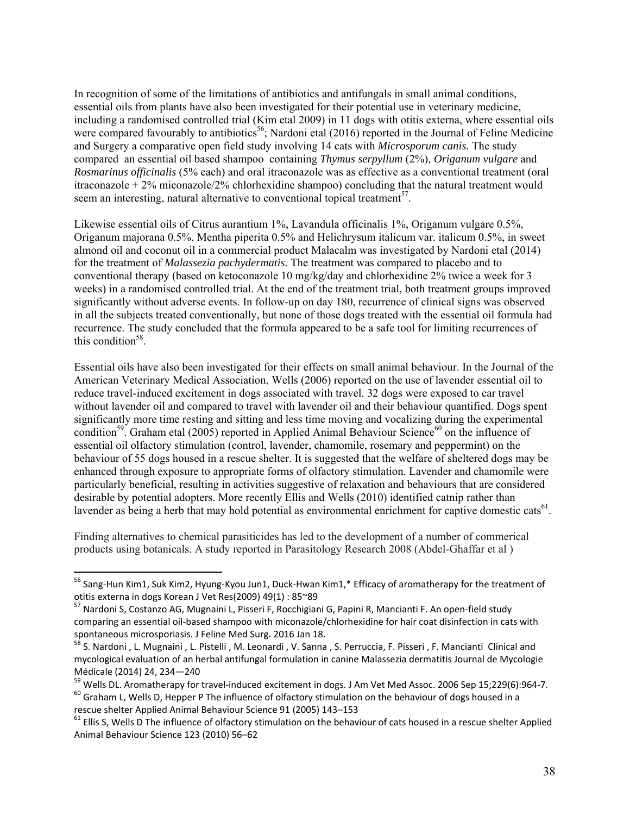In recognition of some of the limitations of antibiotics and antifungals in small animal conditions, essential oils from plants have also been investigated for their potential use in veterinary medicine, including a randomised controlled trial (Kim etal 2009) in 11 dogs with otitis externa, where essential oils were compared favourably to antibiotics<sup>56</sup>; Nardoni etal (2016) reported in the Journal of Feline Medicine and Surgery a comparative open field study involving 14 cats with *Microsporum canis.* The study compared an essential oil based shampoo containing *Thymus serpyllum* (2%), *Origanum vulgare* and *Rosmarinus officinalis* (5% each) and oral itraconazole was as effective as a conventional treatment (oral itraconazole  $+ 2\%$  miconazole/2% chlorhexidine shampoo) concluding that the natural treatment would seem an interesting, natural alternative to conventional topical treatment<sup>57</sup>.

Likewise essential oils of Citrus aurantium 1%, Lavandula officinalis 1%, Origanum vulgare 0.5%, Origanum majorana 0.5%, Mentha piperita 0.5% and Helichrysum italicum var. italicum 0.5%, in sweet almond oil and coconut oil in a commercial product Malacalm was investigated by Nardoni etal (2014) for the treatment of *Malassezia pachydermatis*. The treatment was compared to placebo and to conventional therapy (based on ketoconazole 10 mg/kg/day and chlorhexidine 2% twice a week for 3 weeks) in a randomised controlled trial. At the end of the treatment trial, both treatment groups improved significantly without adverse events. In follow-up on day 180, recurrence of clinical signs was observed in all the subjects treated conventionally, but none of those dogs treated with the essential oil formula had recurrence. The study concluded that the formula appeared to be a safe tool for limiting recurrences of this condition<sup>58</sup>.

Essential oils have also been investigated for their effects on small animal behaviour. In the Journal of the American Veterinary Medical Association, Wells (2006) reported on the use of lavender essential oil to reduce travel-induced excitement in dogs associated with travel. 32 dogs were exposed to car travel without lavender oil and compared to travel with lavender oil and their behaviour quantified. Dogs spent significantly more time resting and sitting and less time moving and vocalizing during the experimental condition<sup>59</sup>. Graham etal (2005) reported in Applied Animal Behaviour Science<sup>60</sup> on the influence of essential oil olfactory stimulation (control, lavender, chamomile, rosemary and peppermint) on the behaviour of 55 dogs housed in a rescue shelter. It is suggested that the welfare of sheltered dogs may be enhanced through exposure to appropriate forms of olfactory stimulation. Lavender and chamomile were particularly beneficial, resulting in activities suggestive of relaxation and behaviours that are considered desirable by potential adopters. More recently Ellis and Wells (2010) identified catnip rather than lavender as being a herb that may hold potential as environmental enrichment for captive domestic cats<sup>61</sup>.

Finding alternatives to chemical parasiticides has led to the development of a number of commerical products using botanicals. A study reported in Parasitology Research 2008 (Abdel-Ghaffar et al )

 $56$  Sang-Hun Kim1, Suk Kim2, Hyung-Kyou Jun1, Duck-Hwan Kim1,\* Efficacy of aromatherapy for the treatment of otitis externa in dogs Korean J Vet Res(2009) 49(1) : 85~89

<sup>&</sup>lt;sup>57</sup> Nardoni S, Costanzo AG, Mugnaini L, Pisseri F, Rocchigiani G, Papini R, Mancianti F. An open-field study comparing an essential oil-based shampoo with miconazole/chlorhexidine for hair coat disinfection in cats with<br>spontaneous microsporiasis. J Feline Med Surg. 2016 Jan 18.

ss<br>S. Nardoni , L. Mugnaini , L. Pistelli , M. Leonardi , V. Sanna , S. Perruccia, F. Pisseri , F. Mancianti Clinical and mycological evaluation of an herbal antifungal formulation in canine Malassezia dermatitis Journal de Mycologie Médicale (2014) 24, 234-240<br><sup>59</sup> Wells DL. Aromatherapy for travel-induced excitement in dogs. J Am Vet Med Assoc. 2006 Sep 15;229(6):964-7.

 $^{60}$  Graham L, Wells D, Hepper P The influence of olfactory stimulation on the behaviour of dogs housed in a<br>rescue shelter Applied Animal Behaviour Science 91 (2005) 143–153

 $61$  Ellis S, Wells D The influence of olfactory stimulation on the behaviour of cats housed in a rescue shelter Applied Animal Behaviour Science 123 (2010) 56–62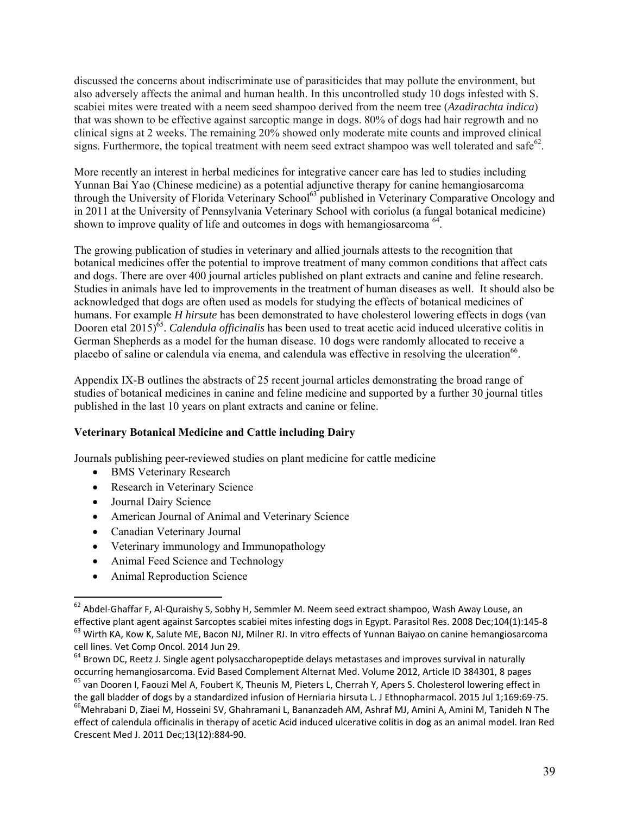discussed the concerns about indiscriminate use of parasiticides that may pollute the environment, but also adversely affects the animal and human health. In this uncontrolled study 10 dogs infested with S. scabiei mites were treated with a neem seed shampoo derived from the neem tree (*Azadirachta indica*) that was shown to be effective against sarcoptic mange in dogs. 80% of dogs had hair regrowth and no clinical signs at 2 weeks. The remaining 20% showed only moderate mite counts and improved clinical signs. Furthermore, the topical treatment with neem seed extract shampoo was well tolerated and safe<sup>62</sup>.

More recently an interest in herbal medicines for integrative cancer care has led to studies including Yunnan Bai Yao (Chinese medicine) as a potential adjunctive therapy for canine hemangiosarcoma through the University of Florida Veterinary School<sup>63</sup> published in Veterinary Comparative Oncology and in 2011 at the University of Pennsylvania Veterinary School with coriolus (a fungal botanical medicine) shown to improve quality of life and outcomes in dogs with hemangiosarcoma <sup>64</sup>.

The growing publication of studies in veterinary and allied journals attests to the recognition that botanical medicines offer the potential to improve treatment of many common conditions that affect cats and dogs. There are over 400 journal articles published on plant extracts and canine and feline research. Studies in animals have led to improvements in the treatment of human diseases as well. It should also be acknowledged that dogs are often used as models for studying the effects of botanical medicines of humans. For example *H hirsute* has been demonstrated to have cholesterol lowering effects in dogs (van Dooren etal 2015)<sup>65</sup>. *Calendula officinalis* has been used to treat acetic acid induced ulcerative colitis in German Shepherds as a model for the human disease. 10 dogs were randomly allocated to receive a placebo of saline or calendula via enema, and calendula was effective in resolving the ulceration<sup>66</sup>.

Appendix IX-B outlines the abstracts of 25 recent journal articles demonstrating the broad range of studies of botanical medicines in canine and feline medicine and supported by a further 30 journal titles published in the last 10 years on plant extracts and canine or feline.

# **Veterinary Botanical Medicine and Cattle including Dairy**

Journals publishing peer-reviewed studies on plant medicine for cattle medicine

- BMS Veterinary Research
- Research in Veterinary Science
- Journal Dairy Science

- American Journal of Animal and Veterinary Science
- Canadian Veterinary Journal
- Veterinary immunology and Immunopathology
- Animal Feed Science and Technology
- Animal Reproduction Science

 $^{62}$  Abdel-Ghaffar F, Al-Quraishy S, Sobhy H, Semmler M. Neem seed extract shampoo, Wash Away Louse, an effective plant agent against Sarcoptes scabiei mites infesting dogs in Egypt. Parasitol Res. 2008 Dec;104(1):145-8<br><sup>63</sup> Wirth KA, Kow K, Salute ME, Bacon NJ, Milner RJ. In vitro effects of Yunnan Baiyao on canine hemangio cell lines. Vet Comp Oncol. 2014 Jun 29.

<sup>&</sup>lt;sup>64</sup> Brown DC, Reetz J. Single agent polysaccharopeptide delays metastases and improves survival in naturally occurring hemangiosarcoma. Evid Based Complement Alternat Med. Volume 2012, Article ID 384301, 8 pages 65 van Dooren I, Faouzi Mel A, Foubert K, Theunis M, Pieters L, Cherrah Y, Apers S. Cholesterol lowering effect in

the gall bladder of dogs by a standardized infusion of Herniaria hirsuta L. J Ethnopharmacol. 2015 Jul 1;169:69-75.<br><sup>66</sup>Mehrabani D, Ziaei M, Hosseini SV, Ghahramani L, Bananzadeh AM, Ashraf MJ, Amini A, Amini M, Tanideh N effect of calendula officinalis in therapy of acetic Acid induced ulcerative colitis in dog as an animal model. Iran Red Crescent Med J. 2011 Dec;13(12):884‐90.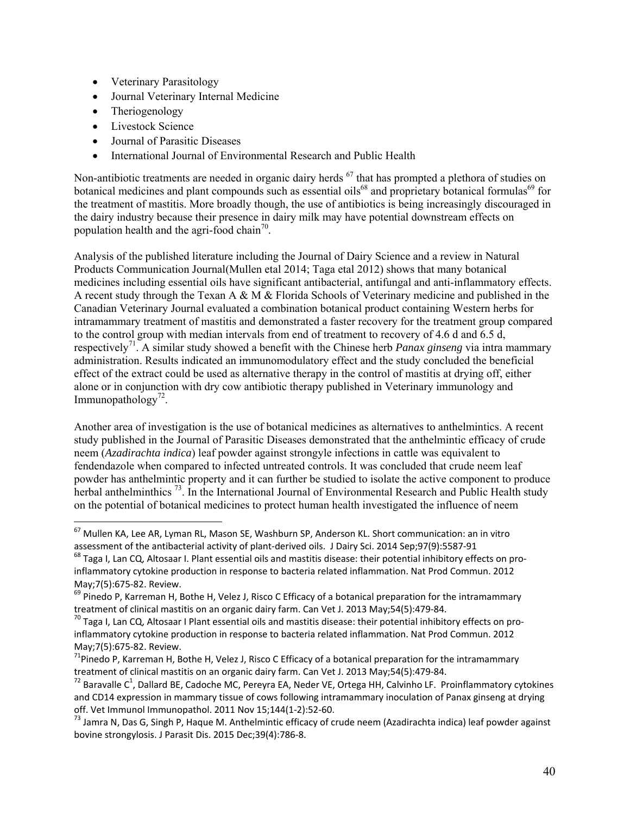- Veterinary Parasitology
- Journal Veterinary Internal Medicine
- Theriogenology
- Livestock Science

- Journal of Parasitic Diseases
- International Journal of Environmental Research and Public Health

Non-antibiotic treatments are needed in organic dairy herds <sup>67</sup> that has prompted a plethora of studies on botanical medicines and plant compounds such as essential oils<sup>68</sup> and proprietary botanical formulas<sup>69</sup> for the treatment of mastitis. More broadly though, the use of antibiotics is being increasingly discouraged in the dairy industry because their presence in dairy milk may have potential downstream effects on population health and the agri-food chain<sup>70</sup>.

Analysis of the published literature including the Journal of Dairy Science and a review in Natural Products Communication Journal(Mullen etal 2014; Taga etal 2012) shows that many botanical medicines including essential oils have significant antibacterial, antifungal and anti-inflammatory effects. A recent study through the Texan A & M & Florida Schools of Veterinary medicine and published in the Canadian Veterinary Journal evaluated a combination botanical product containing Western herbs for intramammary treatment of mastitis and demonstrated a faster recovery for the treatment group compared to the control group with median intervals from end of treatment to recovery of 4.6 d and 6.5 d, respectively<sup>71</sup>. A similar study showed a benefit with the Chinese herb *Panax ginseng* via intra mammary administration. Results indicated an immunomodulatory effect and the study concluded the beneficial effect of the extract could be used as alternative therapy in the control of mastitis at drying off, either alone or in conjunction with dry cow antibiotic therapy published in Veterinary immunology and Immunopathology<sup>72</sup>.

Another area of investigation is the use of botanical medicines as alternatives to anthelmintics. A recent study published in the Journal of Parasitic Diseases demonstrated that the anthelmintic efficacy of crude neem (*Azadirachta indica*) leaf powder against strongyle infections in cattle was equivalent to fendendazole when compared to infected untreated controls. It was concluded that crude neem leaf powder has anthelmintic property and it can further be studied to isolate the active component to produce herbal anthelminthics<sup>73</sup>. In the International Journal of Environmental Research and Public Health study on the potential of botanical medicines to protect human health investigated the influence of neem

 $^{67}$  Mullen KA, Lee AR, Lyman RL, Mason SE, Washburn SP, Anderson KL. Short communication: an in vitro assessment of the antibacterial activity of plant-derived oils. J Dairy Sci. 2014 Sep;97(9):5587-91<br><sup>68</sup> Taga I, Lan CQ, Altosaar I. Plant essential oils and mastitis disease: their potential inhibitory effects on pro-

inflammatory cytokine production in response to bacteria related inflammation. Nat Prod Commun. 2012 May;7(5):675‐82. Review.

 $^{69}$  Pinedo P, Karreman H, Bothe H, Velez J, Risco C Efficacy of a botanical preparation for the intramammary treatment of clinical mastitis on an organic dairy farm. Can Vet J. 2013 May;54(5):479-84.<br><sup>70</sup> Taga I, Lan CQ, Altosaar I Plant essential oils and mastitis disease: their potential inhibitory effects on pro-

inflammatory cytokine production in response to bacteria related inflammation. Nat Prod Commun. 2012 May;7(5):675‐82. Review.

<sup>&</sup>lt;sup>71</sup>Pinedo P, Karreman H, Bothe H, Velez J, Risco C Efficacy of a botanical preparation for the intramammary treatment of clinical mastitis on an organic dairy farm. Can Vet J. 2013 May;54(5):479-84.

treatment of clinical mastitis on an organic dairy farm. Can Vet J. 2013 May;54(5):479-84.<br><sup>72</sup> Baravalle C<sup>1</sup>, Dallard BE, Cadoche MC, Pereyra EA, Neder VE, Ortega HH, Calvinho LF. Proinflammatory cytokines and CD14 expression in mammary tissue of cows following intramammary inoculation of Panax ginseng at drying off. Vet Immunol Immunopathol. 2011 Nov 15;144(1‐2):52‐60.

<sup>&</sup>lt;sup>73</sup> Jamra N, Das G, Singh P, Haque M. Anthelmintic efficacy of crude neem (Azadirachta indica) leaf powder against bovine strongylosis. J Parasit Dis. 2015 Dec;39(4):786‐8.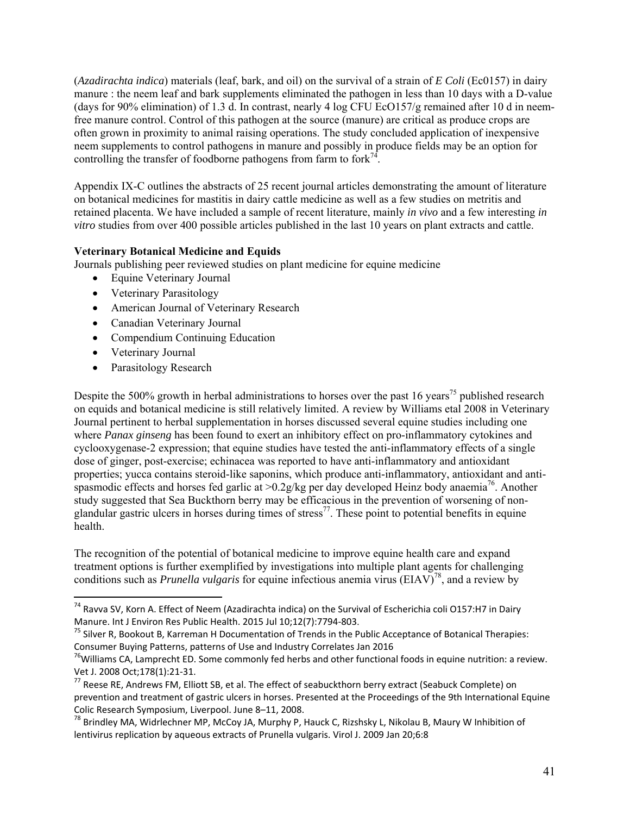(*Azadirachta indica*) materials (leaf, bark, and oil) on the survival of a strain of *E Coli* (Ec0157) in dairy manure : the neem leaf and bark supplements eliminated the pathogen in less than 10 days with a D-value (days for 90% elimination) of 1.3 d. In contrast, nearly 4 log CFU EcO157/g remained after 10 d in neemfree manure control. Control of this pathogen at the source (manure) are critical as produce crops are often grown in proximity to animal raising operations. The study concluded application of inexpensive neem supplements to control pathogens in manure and possibly in produce fields may be an option for controlling the transfer of foodborne pathogens from farm to  $fork^{74}$ .

Appendix IX-C outlines the abstracts of 25 recent journal articles demonstrating the amount of literature on botanical medicines for mastitis in dairy cattle medicine as well as a few studies on metritis and retained placenta. We have included a sample of recent literature, mainly *in vivo* and a few interesting *in vitro* studies from over 400 possible articles published in the last 10 years on plant extracts and cattle.

# **Veterinary Botanical Medicine and Equids**

Journals publishing peer reviewed studies on plant medicine for equine medicine

- Equine Veterinary Journal
- Veterinary Parasitology
- American Journal of Veterinary Research
- Canadian Veterinary Journal
- Compendium Continuing Education
- Veterinary Journal
- Parasitology Research

Despite the 500% growth in herbal administrations to horses over the past 16 years<sup>75</sup> published research on equids and botanical medicine is still relatively limited. A review by Williams etal 2008 in Veterinary Journal pertinent to herbal supplementation in horses discussed several equine studies including one where *Panax ginseng* has been found to exert an inhibitory effect on pro-inflammatory cytokines and cyclooxygenase-2 expression; that equine studies have tested the anti-inflammatory effects of a single dose of ginger, post-exercise; echinacea was reported to have anti-inflammatory and antioxidant properties; yucca contains steroid-like saponins, which produce anti-inflammatory, antioxidant and antispasmodic effects and horses fed garlic at  $>0.2$ g/kg per day developed Heinz body anaemia<sup>76</sup>. Another study suggested that Sea Buckthorn berry may be efficacious in the prevention of worsening of nonglandular gastric ulcers in horses during times of stress<sup>77</sup>. These point to potential benefits in equine health.

The recognition of the potential of botanical medicine to improve equine health care and expand treatment options is further exemplified by investigations into multiple plant agents for challenging conditions such as *Prunella vulgaris* for equine infectious anemia virus (EIAV)<sup>78</sup>, and a review by

<sup>&</sup>lt;sup>74</sup> Ravva SV, Korn A. Effect of Neem (Azadirachta indica) on the Survival of Escherichia coli O157:H7 in Dairy

Manure. Int J Environ Res Public Health. 2015 Jul 10;12(7):7794-803.<br><sup>75</sup> Silver R, Bookout B, Karreman H Documentation of Trends in the Public Acceptance of Botanical Therapies:<br>Consumer Buying Patterns, patterns of Use a

 $^{76}$ Williams CA, Lamprecht ED. Some commonly fed herbs and other functional foods in equine nutrition: a review. Vet J. 2008 Oct;178(1):21‐31.

 $^{77}$  Reese RE, Andrews FM, Elliott SB, et al. The effect of seabuckthorn berry extract (Seabuck Complete) on prevention and treatment of gastric ulcers in horses. Presented at the Proceedings of the 9th International Equine Colic Research Symposium, Liverpool. June 8–11, 2008.

<sup>&</sup>lt;sup>78</sup> Brindley MA, Widrlechner MP, McCoy JA, Murphy P, Hauck C, Rizshsky L, Nikolau B, Maury W Inhibition of lentivirus replication by aqueous extracts of Prunella vulgaris. Virol J. 2009 Jan 20;6:8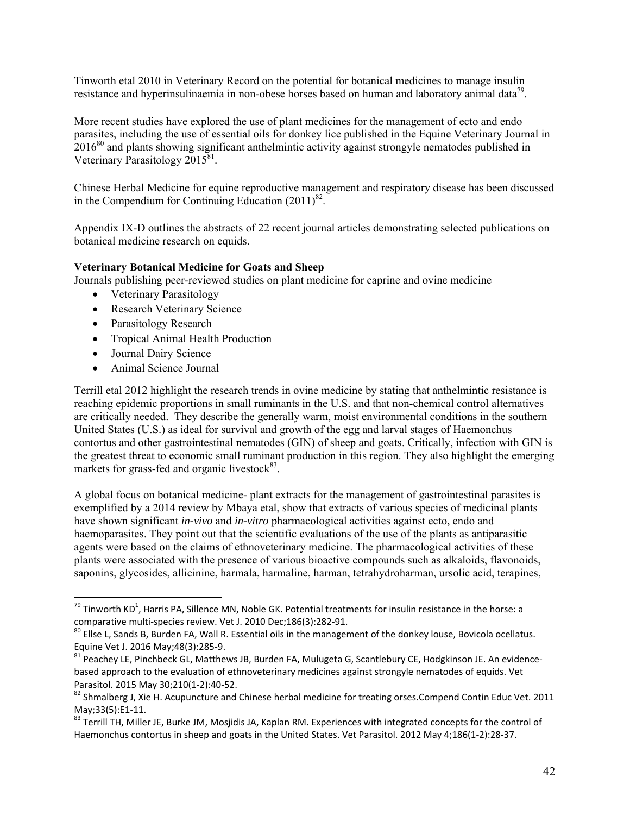Tinworth etal 2010 in Veterinary Record on the potential for botanical medicines to manage insulin resistance and hyperinsulinaemia in non-obese horses based on human and laboratory animal data<sup>79</sup>.

More recent studies have explored the use of plant medicines for the management of ecto and endo parasites, including the use of essential oils for donkey lice published in the Equine Veterinary Journal in 2016<sup>80</sup> and plants showing significant anthelmintic activity against strongyle nematodes published in Veterinary Parasitology 2015<sup>81</sup>.

Chinese Herbal Medicine for equine reproductive management and respiratory disease has been discussed in the Compendium for Continuing Education  $(2011)^{82}$ .

Appendix IX-D outlines the abstracts of 22 recent journal articles demonstrating selected publications on botanical medicine research on equids.

#### **Veterinary Botanical Medicine for Goats and Sheep**

Journals publishing peer-reviewed studies on plant medicine for caprine and ovine medicine

- Veterinary Parasitology
- Research Veterinary Science
- Parasitology Research
- Tropical Animal Health Production
- Journal Dairy Science

Animal Science Journal

Terrill etal 2012 highlight the research trends in ovine medicine by stating that anthelmintic resistance is reaching epidemic proportions in small ruminants in the U.S. and that non-chemical control alternatives are critically needed. They describe the generally warm, moist environmental conditions in the southern United States (U.S.) as ideal for survival and growth of the egg and larval stages of Haemonchus contortus and other gastrointestinal nematodes (GIN) of sheep and goats. Critically, infection with GIN is the greatest threat to economic small ruminant production in this region. They also highlight the emerging markets for grass-fed and organic livestock $83$ .

A global focus on botanical medicine- plant extracts for the management of gastrointestinal parasites is exemplified by a 2014 review by Mbaya etal, show that extracts of various species of medicinal plants have shown significant *in-vivo* and *in-vitro* pharmacological activities against ecto, endo and haemoparasites. They point out that the scientific evaluations of the use of the plants as antiparasitic agents were based on the claims of ethnoveterinary medicine. The pharmacological activities of these plants were associated with the presence of various bioactive compounds such as alkaloids, flavonoids, saponins, glycosides, allicinine, harmala, harmaline, harman, tetrahydroharman, ursolic acid, terapines,

<sup>&</sup>lt;sup>79</sup> Tinworth KD<sup>1</sup>, Harris PA, Sillence MN, Noble GK. Potential treatments for insulin resistance in the horse: a comparative multi-species review. Vet J. 2010 Dec;186(3):282-91.<br><sup>80</sup> Ellse L, Sands B, Burden FA, Wall R. Essential oils in the management of the donkey louse, Bovicola ocellatus.

Equine Vet J. 2016 May;48(3):285‐9.

<sup>81</sup> Peachey LE, Pinchbeck GL, Matthews JB, Burden FA, Mulugeta G, Scantlebury CE, Hodgkinson JE. An evidencebased approach to the evaluation of ethnoveterinary medicines against strongyle nematodes of equids. Vet Parasitol. 2015 May 30;210(1‐2):40‐52.

<sup>&</sup>lt;sup>82</sup> Shmalberg J, Xie H. Acupuncture and Chinese herbal medicine for treating orses.Compend Contin Educ Vet. 2011 May;33(5):E1‐11.

<sup>83</sup> Terrill TH, Miller JE, Burke JM, Mosjidis JA, Kaplan RM. Experiences with integrated concepts for the control of Haemonchus contortus in sheep and goats in the United States. Vet Parasitol. 2012 May 4;186(1‐2):28‐37.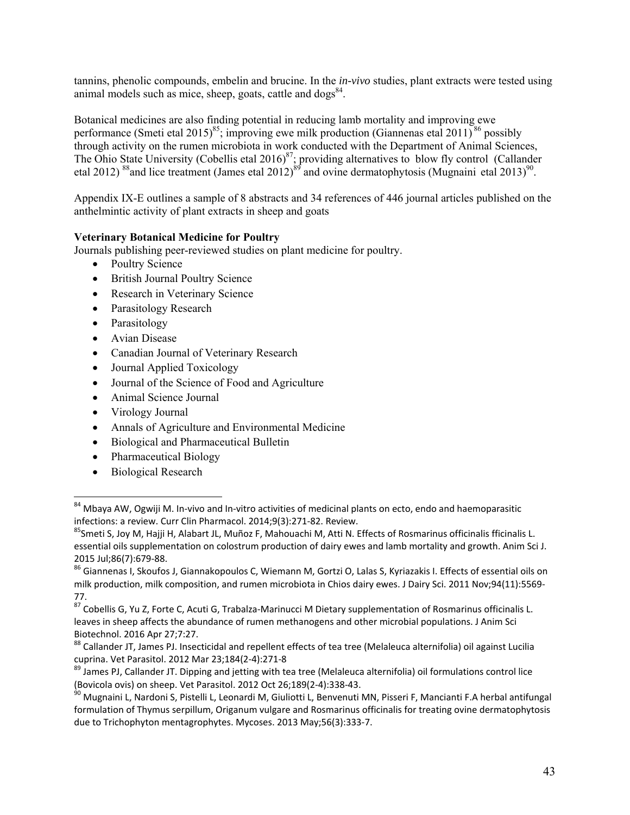tannins, phenolic compounds, embelin and brucine. In the *in-vivo* studies, plant extracts were tested using animal models such as mice, sheep, goats, cattle and  $\log s^{84}$ .

Botanical medicines are also finding potential in reducing lamb mortality and improving ewe performance (Smeti etal 2015)<sup>85</sup>; improving ewe milk production (Giannenas etal 2011)<sup>86</sup> possibly through activity on the rumen microbiota in work conducted with the Department of Animal Sciences, The Ohio State University (Cobellis etal  $2016)^{87}$ ; providing alternatives to blow fly control (Callander etal 2012) <sup>88</sup> and lice treatment (James etal 2012)<sup>89</sup> and ovine dermatophytosis (Mugnaini etal 2013)<sup>90</sup>.

Appendix IX-E outlines a sample of 8 abstracts and 34 references of 446 journal articles published on the anthelmintic activity of plant extracts in sheep and goats

#### **Veterinary Botanical Medicine for Poultry**

Journals publishing peer-reviewed studies on plant medicine for poultry.

- Poultry Science
- British Journal Poultry Science
- Research in Veterinary Science
- Parasitology Research
- Parasitology
- Avian Disease
- Canadian Journal of Veterinary Research
- Journal Applied Toxicology
- Journal of the Science of Food and Agriculture
- Animal Science Journal
- Virology Journal
- Annals of Agriculture and Environmental Medicine
- Biological and Pharmaceutical Bulletin
- Pharmaceutical Biology
- Biological Research

<sup>&</sup>lt;sup>84</sup> Mbaya AW, Ogwiji M. In-vivo and In-vitro activities of medicinal plants on ecto, endo and haemoparasitic infections: a review. Curr Clin Pharmacol. 2014;9(3):271-82. Review.

<sup>&</sup>lt;sup>85</sup>Smeti S, Joy M, Hajji H, Alabart JL, Muñoz F, Mahouachi M, Atti N. Effects of Rosmarinus officinalis fficinalis L. essential oils supplementation on colostrum production of dairy ewes and lamb mortality and growth. Anim Sci J. 2015 Jul;86(7):679‐88.

<sup>86</sup> Giannenas I, Skoufos J, Giannakopoulos C, Wiemann M, Gortzi O, Lalas S, Kyriazakis I. Effects of essential oils on milk production, milk composition, and rumen microbiota in Chios dairy ewes. J Dairy Sci. 2011 Nov;94(11):5569-77.

<sup>87</sup> Cobellis G, Yu Z, Forte C, Acuti G, Trabalza-Marinucci M Dietary supplementation of Rosmarinus officinalis L. leaves in sheep affects the abundance of rumen methanogens and other microbial populations. J Anim Sci Biotechnol. 2016 Apr 27;7:27.

<sup>88</sup> Callander JT, James PJ. Insecticidal and repellent effects of tea tree (Melaleuca alternifolia) oil against Lucilia cuprina. Vet Parasitol. 2012 Mar 23;184(2‐4):271‐8

<sup>89</sup> James PJ, Callander JT. Dipping and jetting with tea tree (Melaleuca alternifolia) oil formulations control lice<br>(Bovicola ovis) on sheep. Vet Parasitol. 2012 Oct 26:189(2-4):338-43.

<sup>&</sup>lt;sup>90</sup> Mugnaini L, Nardoni S, Pistelli L, Leonardi M, Giuliotti L, Benvenuti MN, Pisseri F, Mancianti F.A herbal antifungal formulation of Thymus serpillum, Origanum vulgare and Rosmarinus officinalis for treating ovine dermatophytosis due to Trichophyton mentagrophytes. Mycoses. 2013 May;56(3):333‐7.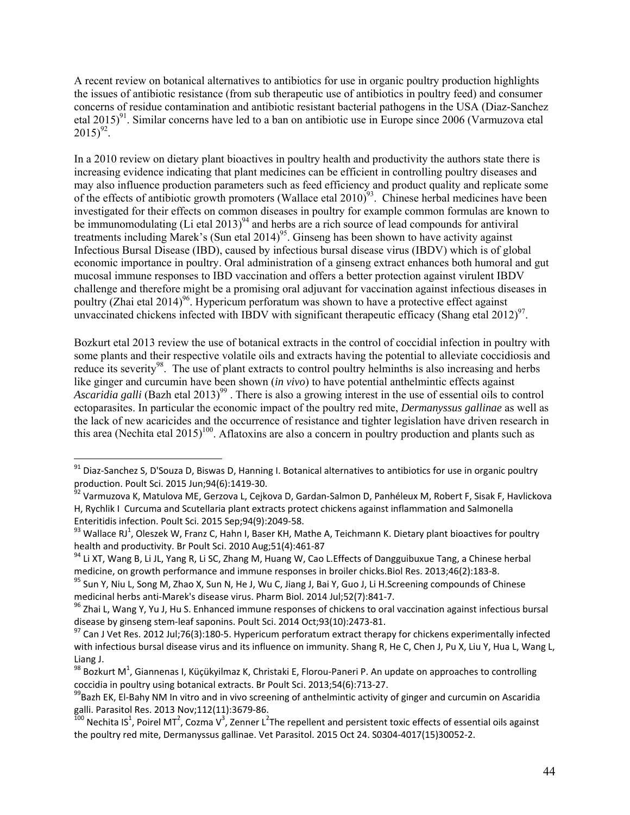A recent review on botanical alternatives to antibiotics for use in organic poultry production highlights the issues of antibiotic resistance (from sub therapeutic use of antibiotics in poultry feed) and consumer concerns of residue contamination and antibiotic resistant bacterial pathogens in the USA (Diaz-Sanchez etal  $2015)^{91}$ . Similar concerns have led to a ban on antibiotic use in Europe since 2006 (Varmuzova etal  $2015)^{92}$ .

In a 2010 review on dietary plant bioactives in poultry health and productivity the authors state there is increasing evidence indicating that plant medicines can be efficient in controlling poultry diseases and may also influence production parameters such as feed efficiency and product quality and replicate some of the effects of antibiotic growth promoters (Wallace etal 2010)<sup>93</sup>. Chinese herbal medicines have been investigated for their effects on common diseases in poultry for example common formulas are known to be immunomodulating (Li etal 2013)<sup>94</sup> and herbs are a rich source of lead compounds for antiviral treatments including Marek's (Sun etal 2014)<sup>95</sup>. Ginseng has been shown to have activity against Infectious Bursal Disease (IBD), caused by infectious bursal disease virus (IBDV) which is of global economic importance in poultry. Oral administration of a ginseng extract enhances both humoral and gut mucosal immune responses to IBD vaccination and offers a better protection against virulent IBDV challenge and therefore might be a promising oral adjuvant for vaccination against infectious diseases in poultry (Zhai etal 2014)<sup>96</sup>. Hypericum perforatum was shown to have a protective effect against unvaccinated chickens infected with IBDV with significant therapeutic efficacy (Shang etal 2012)<sup>97</sup>.

Bozkurt etal 2013 review the use of botanical extracts in the control of coccidial infection in poultry with some plants and their respective volatile oils and extracts having the potential to alleviate coccidiosis and reduce its severity<sup>98</sup>. The use of plant extracts to control poultry helminths is also increasing and herbs like ginger and curcumin have been shown (*in vivo*) to have potential anthelmintic effects against *Ascaridia galli* (Bazh etal 2013)<sup>99</sup>. There is also a growing interest in the use of essential oils to control ectoparasites. In particular the economic impact of the poultry red mite, *Dermanyssus gallinae* as well as the lack of new acaricides and the occurrence of resistance and tighter legislation have driven research in this area (Nechita etal 2015)<sup>100</sup>. Aflatoxins are also a concern in poultry production and plants such as

 $^{91}$  Diaz-Sanchez S, D'Souza D, Biswas D, Hanning I. Botanical alternatives to antibiotics for use in organic poultry production. Poult Sci. 2015 Jun;94(6):1419‐30.

<sup>&</sup>lt;sup>92</sup> Varmuzova K, Matulova ME, Gerzova L, Cejkova D, Gardan-Salmon D, Panhéleux M, Robert F, Sisak F, Havlickova H, Rychlik I Curcuma and Scutellaria plant extracts protect chickens against inflammation and Salmonella<br>Enteritidis infection. Poult Sci. 2015 Sep;94(9):2049-58.

Enteritidis infection. Poult Sci. 2015 Sep;94(9):2049-58.<br><sup>93</sup> Wallace RJ<sup>1</sup>, Oleszek W, Franz C, Hahn I, Baser KH, Mathe A, Teichmann K. Dietary plant bioactives for poultry health and productivity. Br Poult Sci. 2010 Aug;51(4):461‐87

<sup>&</sup>lt;sup>94</sup> Li XT, Wang B, Li JL, Yang R, Li SC, Zhang M, Huang W, Cao L. Effects of Dangguibuxue Tang, a Chinese herbal medicine, on growth performance and immune responses in broiler chicks. Biol Res. 2013;46(2):183-8.

<sup>&</sup>lt;sup>95</sup> Sun Y, Niu L, Song M, Zhao X, Sun N, He J, Wu C, Jiang J, Bai Y, Guo J, Li H.Screening compounds of Chinese<br>medicinal herbs anti-Marek's disease virus. Pharm Biol. 2014 Jul;52(7):841-7.

<sup>&</sup>lt;sup>96</sup> Zhai L, Wang Y, Yu J, Hu S. Enhanced immune responses of chickens to oral vaccination against infectious bursal disease by ginseng stem-leaf saponins. Poult Sci. 2014 Oct;93(10):2473-81.<br><sup>97</sup> Can J Vet Res. 2012 Jul;76(3):180-5. Hypericum perforatum extract therapy for chickens experimentally infected

with infectious bursal disease virus and its influence on immunity. Shang R, He C, Chen J, Pu X, Liu Y, Hua L, Wang L, Liang J.

 $^{98}$  Bozkurt M<sup>1</sup>, Giannenas I, Küçükyilmaz K, Christaki E, Florou-Paneri P. An update on approaches to controlling coccidia in poultry using botanical extracts. Br Poult Sci. 2013;54(6):713-27.<br><sup>99</sup>Bazh EK, El-Bahy NM In vitro and in vivo screening of anthelmintic activity of ginger and curcumin on Ascaridia

galli. Parasitol Res. 2013 Nov;112(11):3679-86.<br><sup>100</sup> Nechita IS<sup>1</sup>, Poirel MT<sup>2</sup>, Cozma V<sup>3</sup>, Zenner L<sup>2</sup>The repellent and persistent toxic effects of essential oils against the poultry red mite, Dermanyssus gallinae. Vet Parasitol. 2015 Oct 24. S0304‐4017(15)30052‐2.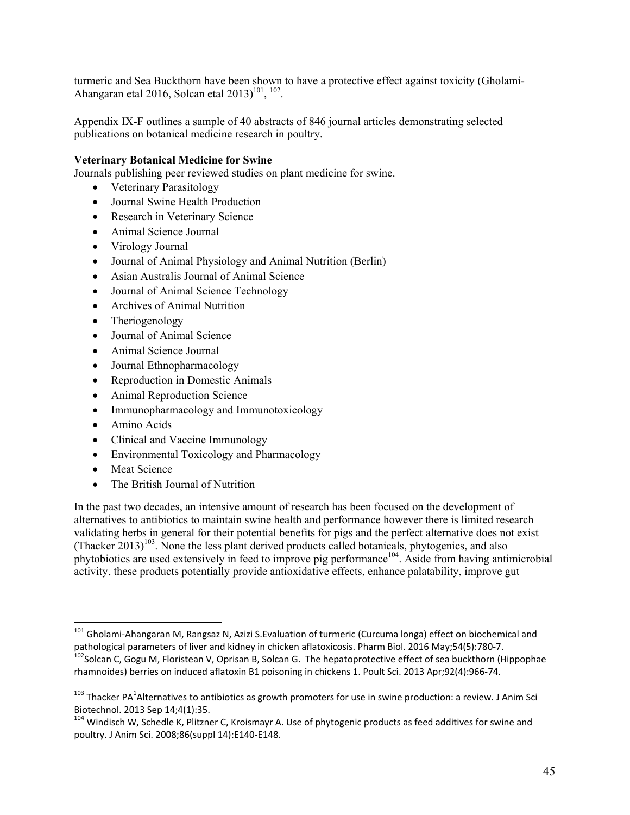turmeric and Sea Buckthorn have been shown to have a protective effect against toxicity (Gholami-Ahangaran etal 2016, Solcan etal 2013)<sup>101</sup>, <sup>102</sup>.

Appendix IX-F outlines a sample of 40 abstracts of 846 journal articles demonstrating selected publications on botanical medicine research in poultry.

#### **Veterinary Botanical Medicine for Swine**

Journals publishing peer reviewed studies on plant medicine for swine.

- Veterinary Parasitology
- Journal Swine Health Production
- Research in Veterinary Science
- Animal Science Journal
- Virology Journal
- Journal of Animal Physiology and Animal Nutrition (Berlin)
- Asian Australis Journal of Animal Science
- Journal of Animal Science Technology
- Archives of Animal Nutrition
- Theriogenology
- Journal of Animal Science
- Animal Science Journal
- Journal Ethnopharmacology
- Reproduction in Domestic Animals
- Animal Reproduction Science
- Immunopharmacology and Immunotoxicology
- Amino Acids
- Clinical and Vaccine Immunology
- Environmental Toxicology and Pharmacology
- Meat Science

• The British Journal of Nutrition

In the past two decades, an intensive amount of research has been focused on the development of alternatives to antibiotics to maintain swine health and performance however there is limited research validating herbs in general for their potential benefits for pigs and the perfect alternative does not exist  $(Thacker 2013)^{103}$ . None the less plant derived products called botanicals, phytogenics, and also phytobiotics are used extensively in feed to improve pig performance<sup>104</sup>. Aside from having antimicrobial activity, these products potentially provide antioxidative effects, enhance palatability, improve gut

<sup>&</sup>lt;sup>101</sup> Gholami-Ahangaran M, Rangsaz N, Azizi S.Evaluation of turmeric (Curcuma longa) effect on biochemical and pathological parameters of liver and kidney in chicken aflatoxicosis. Pharm Biol. 2016 May;54(5):780-7.<br>
<sup>102</sup>Solcan C, Gogu M, Floristean V, Oprisan B, Solcan G. The hepatoprotective effect of sea buckthorn (Hippophae

rhamnoides) berries on induced aflatoxin B1 poisoning in chickens 1. Poult Sci. 2013 Apr;92(4):966‐74.

 $^{103}$  Thacker PA<sup>1</sup>Alternatives to antibiotics as growth promoters for use in swine production: a review. J Anim Sci Biotechnol. 2013 Sep 14;4(1):35.

<sup>&</sup>lt;sup>104</sup> Windisch W, Schedle K, Plitzner C, Kroismayr A. Use of phytogenic products as feed additives for swine and poultry. J Anim Sci. 2008;86(suppl 14):E140‐E148.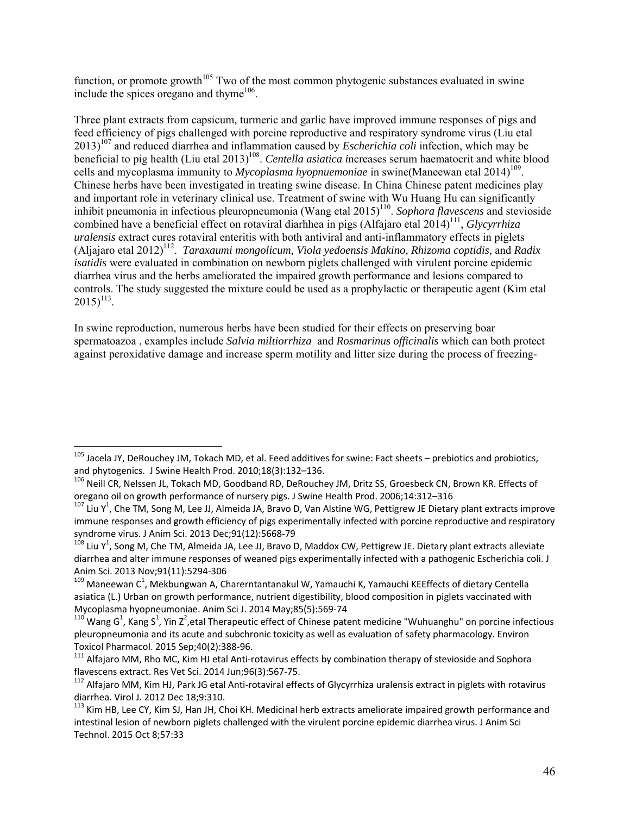function, or promote growth<sup>105</sup> Two of the most common phytogenic substances evaluated in swine include the spices oregano and thyme<sup>106</sup>.

Three plant extracts from capsicum, turmeric and garlic have improved immune responses of pigs and feed efficiency of pigs challenged with porcine reproductive and respiratory syndrome virus (Liu etal 2013)107 and reduced diarrhea and inflammation caused by *Escherichia coli* infection, which may be beneficial to pig health (Liu etal 2013)<sup>108</sup>. *Centella asiatica increases serum haematocrit and white blood* cells and mycoplasma immunity to *Mycoplasma hyopnuemoniae* in swine(Maneewan etal 2014)<sup>109</sup>. Chinese herbs have been investigated in treating swine disease. In China Chinese patent medicines play and important role in veterinary clinical use. Treatment of swine with Wu Huang Hu can significantly inhibit pneumonia in infectious pleuropneumonia (Wang etal 2015) 110. *Sophora flavescens* and stevioside combined have a beneficial effect on rotaviral diarhhea in pigs (Alfajaro etal 2014)<sup>111</sup>, *Glycyrrhiza uralensis* extract cures rotaviral enteritis with both antiviral and anti-inflammatory effects in piglets (Aljajaro etal 2012)112. *Taraxaumi mongolicum, Viola yedoensis Makino, Rhizoma coptidis,* and *Radix isatidis* were evaluated in combination on newborn piglets challenged with virulent porcine epidemic diarrhea virus and the herbs ameliorated the impaired growth performance and lesions compared to controls. The study suggested the mixture could be used as a prophylactic or therapeutic agent (Kim etal  $2015$ <sup>113</sup>.

In swine reproduction, numerous herbs have been studied for their effects on preserving boar spermatoazoa , examples include *Salvia miltiorrhiza* and *Rosmarinus officinalis* which can both protect against peroxidative damage and increase sperm motility and litter size during the process of freezing-

<sup>&</sup>lt;sup>105</sup> Jacela JY, DeRouchey JM, Tokach MD, et al. Feed additives for swine: Fact sheets – prebiotics and probiotics, and phytogenics. J Swine Health Prod. 2010;18(3):132–136.

<sup>&</sup>lt;sup>106</sup> Neill CR, Nelssen JL, Tokach MD, Goodband RD, DeRouchey JM, Dritz SS, Groesbeck CN, Brown KR. Effects of

oregano oil on growth performance of nursery pigs. J Swine Health Prod. 2006;14:312–316<br><sup>107</sup> Liu Y<sup>1</sup>, Che TM, Song M, Lee JJ, Almeida JA, Bravo D, Van Alstine WG, Pettigrew JE Dietary plant extracts improve immune responses and growth efficiency of pigs experimentally infected with porcine reproductive and respiratory syndrome virus. J Anim Sci. 2013 Dec;91(12):5668‐79

<sup>&</sup>lt;sup>108</sup> Liu Y<sup>1</sup>, Song M, Che TM, Almeida JA, Lee JJ, Bravo D, Maddox CW, Pettigrew JE. Dietary plant extracts alleviate diarrhea and alter immune responses of weaned pigs experimentally infected with a pathogenic Escherichia coli. J Anim Sci. 2013 Nov;91(11):5294‐306

<sup>&</sup>lt;sup>109</sup> Maneewan C<sup>1</sup>, Mekbungwan A, Charerntantanakul W, Yamauchi K, Yamauchi KEEffects of dietary Centella asiatica (L.) Urban on growth performance, nutrient digestibility, blood composition in piglets vaccinated with<br>Mycoplasma hyopneumoniae. Anim Sci J. 2014 May;85(5):569-74

Mycoplasma hyopneumoniae. Anim Sci J. 2014 May;85(5):569-74<br><sup>110</sup> Wang G<sup>1</sup>, Kang S<sup>1</sup>, Yin Z<sup>2</sup>,etal Therapeutic effect of Chinese patent medicine "Wuhuanghu" on porcine infectious pleuropneumonia and its acute and subchronic toxicity as well as evaluation of safety pharmacology. Environ Toxicol Pharmacol. 2015 Sep;40(2):388‐96.

<sup>&</sup>lt;sup>111</sup> Alfajaro MM, Rho MC, Kim HJ etal Anti-rotavirus effects by combination therapy of stevioside and Sophora flavescens extract. Res Vet Sci. 2014 Jun;96(3):567‐75.

 $112$  Alfajaro MM, Kim HJ, Park JG etal Anti-rotaviral effects of Glycyrrhiza uralensis extract in piglets with rotavirus diarrhea. Virol J. 2012 Dec 18;9:310.

<sup>&</sup>lt;sup>113</sup> Kim HB, Lee CY, Kim SJ, Han JH, Choi KH. Medicinal herb extracts ameliorate impaired growth performance and intestinal lesion of newborn piglets challenged with the virulent porcine epidemic diarrhea virus. J Anim Sci Technol. 2015 Oct 8;57:33